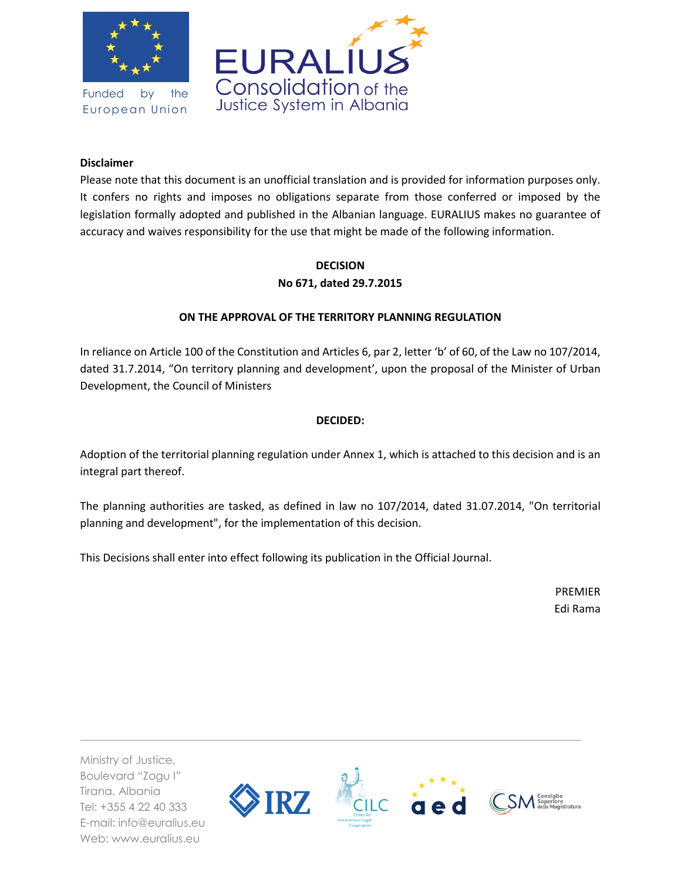

Funded by the European Union



## **Disclaimer**

Please note that this document is an unofficial translation and is provided for information purposes only. It confers no rights and imposes no obligations separate from those conferred or imposed by the legislation formally adopted and published in the Albanian language. EURALIUS makes no guarantee of accuracy and waives responsibility for the use that might be made of the following information.

# **DECISION No 671, dated 29.7.2015**

# **ON THE APPROVAL OF THE TERRITORY PLANNING REGULATION**

In reliance on Article 100 of the Constitution and Articles 6, par 2, letter 'b' of 60, of the Law no 107/2014, dated 31.7.2014, "On territory planning and development', upon the proposal of the Minister of Urban Development, the Council of Ministers

## **DECIDED:**

Adoption of the territorial planning regulation under Annex 1, which is attached to this decision and is an integral part thereof.

The planning authorities are tasked, as defined in law no 107/2014, dated 31.07.2014, "On territorial planning and development", for the implementation of this decision.

This Decisions shall enter into effect following its publication in the Official Journal.

PREMIER Edi Rama

Ministry of Justice, Boulevard "Zogu I" Tirana, Albania Tel: +355 4 22 40 333 E-mail: info@euralius.eu Web: www.euralius.eu

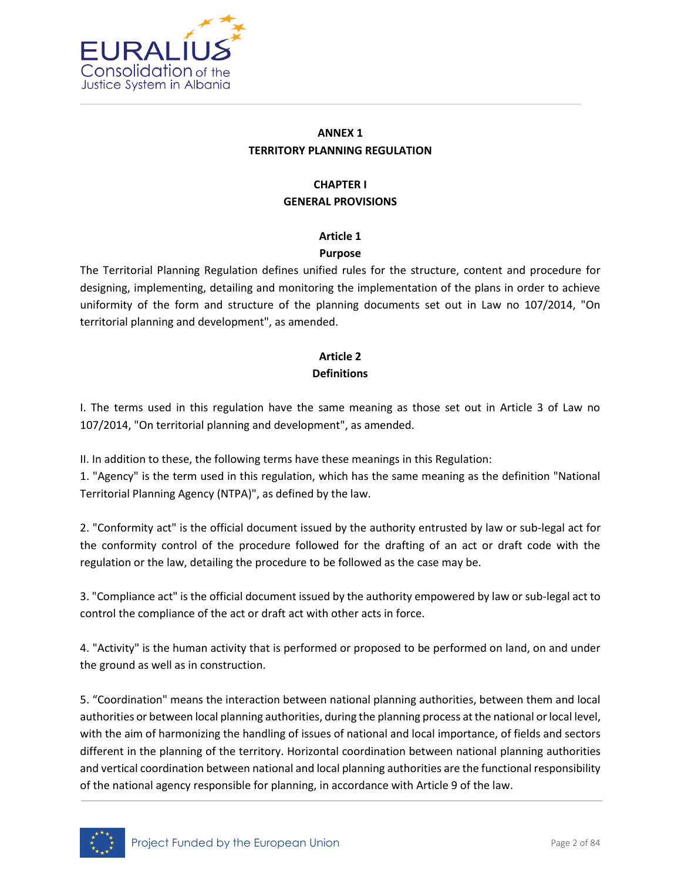

# **ANNEX 1 TERRITORY PLANNING REGULATION**

# **CHAPTER I GENERAL PROVISIONS**

# **Article 1**

# **Purpose**

The Territorial Planning Regulation defines unified rules for the structure, content and procedure for designing, implementing, detailing and monitoring the implementation of the plans in order to achieve uniformity of the form and structure of the planning documents set out in Law no 107/2014, "On territorial planning and development", as amended.

# **Article 2 Definitions**

I. The terms used in this regulation have the same meaning as those set out in Article 3 of Law no 107/2014, "On territorial planning and development", as amended.

II. In addition to these, the following terms have these meanings in this Regulation:

1. "Agency" is the term used in this regulation, which has the same meaning as the definition "National Territorial Planning Agency (NTPA)", as defined by the law.

2. "Conformity act" is the official document issued by the authority entrusted by law or sub-legal act for the conformity control of the procedure followed for the drafting of an act or draft code with the regulation or the law, detailing the procedure to be followed as the case may be.

3. "Compliance act" is the official document issued by the authority empowered by law or sub-legal act to control the compliance of the act or draft act with other acts in force.

4. "Activity" is the human activity that is performed or proposed to be performed on land, on and under the ground as well as in construction.

5. "Coordination" means the interaction between national planning authorities, between them and local authorities or between local planning authorities, during the planning process at the national or local level, with the aim of harmonizing the handling of issues of national and local importance, of fields and sectors different in the planning of the territory. Horizontal coordination between national planning authorities and vertical coordination between national and local planning authorities are the functional responsibility of the national agency responsible for planning, in accordance with Article 9 of the law.

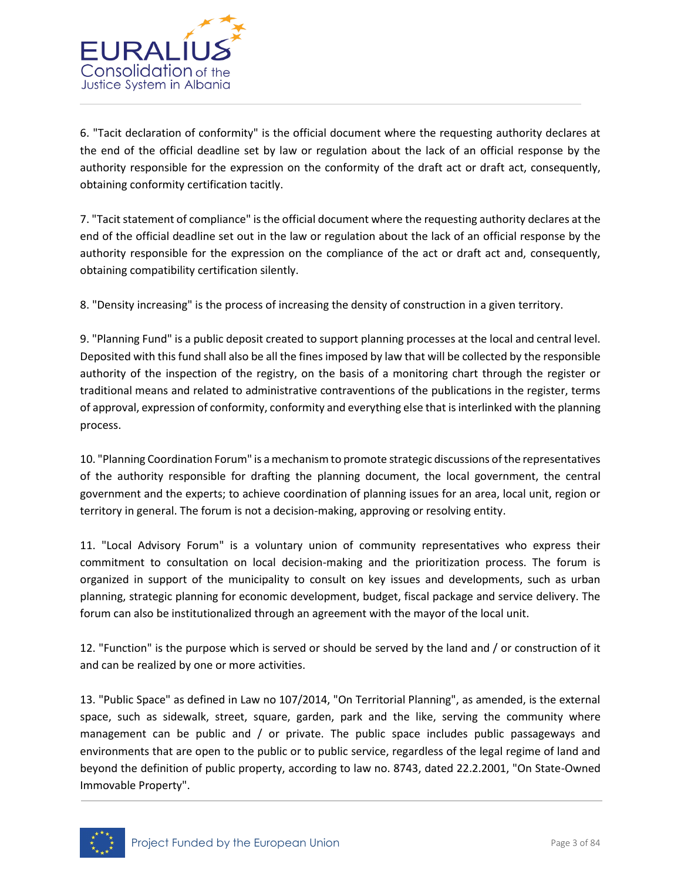

6. "Tacit declaration of conformity" is the official document where the requesting authority declares at the end of the official deadline set by law or regulation about the lack of an official response by the authority responsible for the expression on the conformity of the draft act or draft act, consequently, obtaining conformity certification tacitly.

7. "Tacit statement of compliance" is the official document where the requesting authority declares at the end of the official deadline set out in the law or regulation about the lack of an official response by the authority responsible for the expression on the compliance of the act or draft act and, consequently, obtaining compatibility certification silently.

8. "Density increasing" is the process of increasing the density of construction in a given territory.

9. "Planning Fund" is a public deposit created to support planning processes at the local and central level. Deposited with this fund shall also be all the fines imposed by law that will be collected by the responsible authority of the inspection of the registry, on the basis of a monitoring chart through the register or traditional means and related to administrative contraventions of the publications in the register, terms of approval, expression of conformity, conformity and everything else that is interlinked with the planning process.

10. "Planning Coordination Forum" is a mechanism to promote strategic discussions of the representatives of the authority responsible for drafting the planning document, the local government, the central government and the experts; to achieve coordination of planning issues for an area, local unit, region or territory in general. The forum is not a decision-making, approving or resolving entity.

11. "Local Advisory Forum" is a voluntary union of community representatives who express their commitment to consultation on local decision-making and the prioritization process. The forum is organized in support of the municipality to consult on key issues and developments, such as urban planning, strategic planning for economic development, budget, fiscal package and service delivery. The forum can also be institutionalized through an agreement with the mayor of the local unit.

12. "Function" is the purpose which is served or should be served by the land and / or construction of it and can be realized by one or more activities.

13. "Public Space" as defined in Law no 107/2014, "On Territorial Planning", as amended, is the external space, such as sidewalk, street, square, garden, park and the like, serving the community where management can be public and / or private. The public space includes public passageways and environments that are open to the public or to public service, regardless of the legal regime of land and beyond the definition of public property, according to law no. 8743, dated 22.2.2001, "On State-Owned Immovable Property".

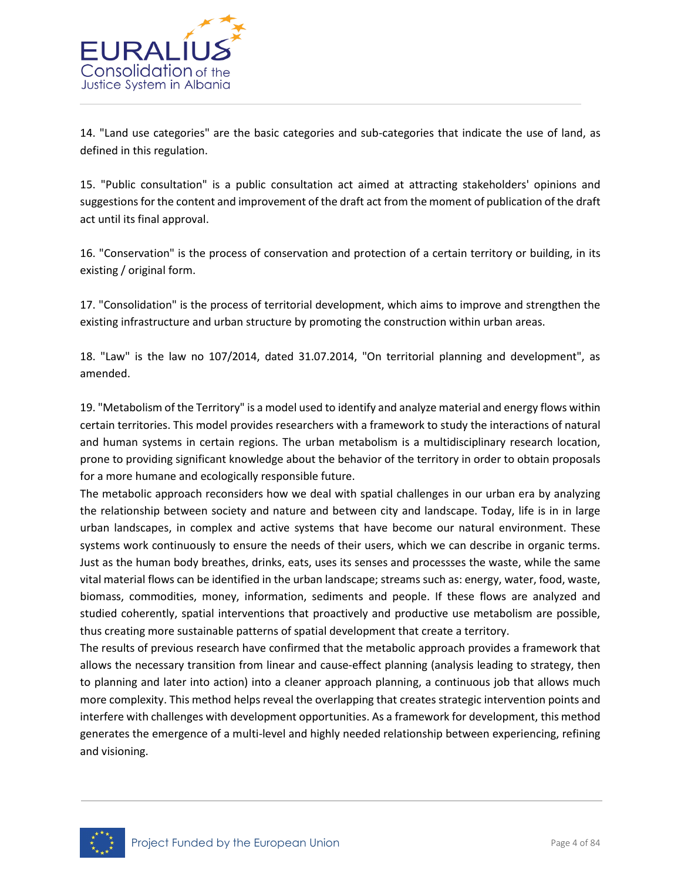

14. "Land use categories" are the basic categories and sub-categories that indicate the use of land, as defined in this regulation.

15. "Public consultation" is a public consultation act aimed at attracting stakeholders' opinions and suggestions for the content and improvement of the draft act from the moment of publication of the draft act until its final approval.

16. "Conservation" is the process of conservation and protection of a certain territory or building, in its existing / original form.

17. "Consolidation" is the process of territorial development, which aims to improve and strengthen the existing infrastructure and urban structure by promoting the construction within urban areas.

18. "Law" is the law no 107/2014, dated 31.07.2014, "On territorial planning and development", as amended.

19. "Metabolism of the Territory" is a model used to identify and analyze material and energy flows within certain territories. This model provides researchers with a framework to study the interactions of natural and human systems in certain regions. The urban metabolism is a multidisciplinary research location, prone to providing significant knowledge about the behavior of the territory in order to obtain proposals for a more humane and ecologically responsible future.

The metabolic approach reconsiders how we deal with spatial challenges in our urban era by analyzing the relationship between society and nature and between city and landscape. Today, life is in in large urban landscapes, in complex and active systems that have become our natural environment. These systems work continuously to ensure the needs of their users, which we can describe in organic terms. Just as the human body breathes, drinks, eats, uses its senses and processses the waste, while the same vital material flows can be identified in the urban landscape; streams such as: energy, water, food, waste, biomass, commodities, money, information, sediments and people. If these flows are analyzed and studied coherently, spatial interventions that proactively and productive use metabolism are possible, thus creating more sustainable patterns of spatial development that create a territory.

The results of previous research have confirmed that the metabolic approach provides a framework that allows the necessary transition from linear and cause-effect planning (analysis leading to strategy, then to planning and later into action) into a cleaner approach planning, a continuous job that allows much more complexity. This method helps reveal the overlapping that creates strategic intervention points and interfere with challenges with development opportunities. As a framework for development, this method generates the emergence of a multi-level and highly needed relationship between experiencing, refining and visioning.

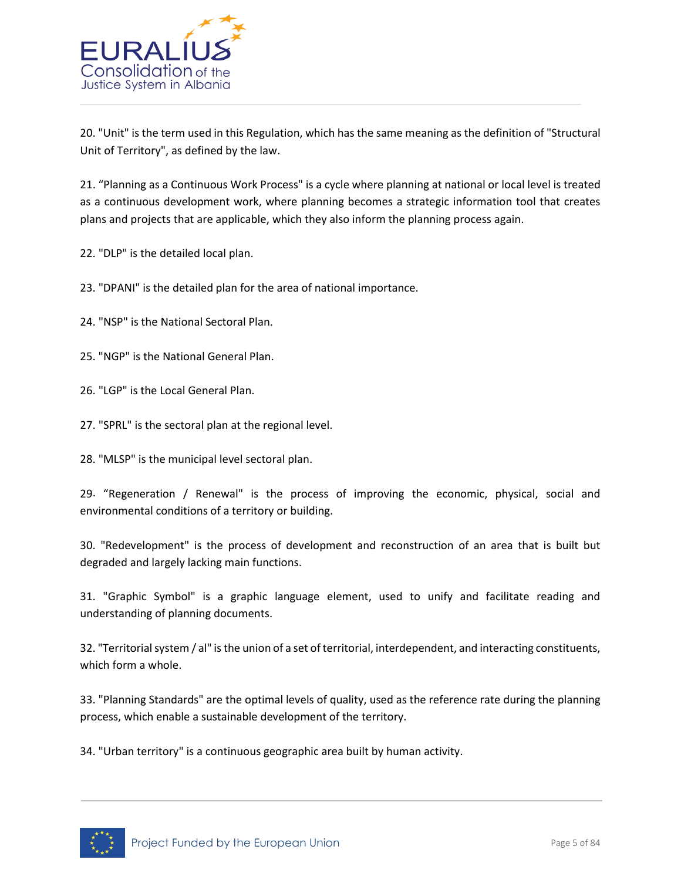

20. "Unit" is the term used in this Regulation, which has the same meaning as the definition of "Structural Unit of Territory", as defined by the law.

21. "Planning as a Continuous Work Process" is a cycle where planning at national or local level is treated as a continuous development work, where planning becomes a strategic information tool that creates plans and projects that are applicable, which they also inform the planning process again.

22. "DLP" is the detailed local plan.

23. "DPANI" is the detailed plan for the area of national importance.

24. "NSP" is the National Sectoral Plan.

25. "NGP" is the National General Plan.

26. "LGP" is the Local General Plan.

27. "SPRL" is the sectoral plan at the regional level.

28. "MLSP" is the municipal level sectoral plan.

29. "Regeneration / Renewal" is the process of improving the economic, physical, social and environmental conditions of a territory or building.

30. "Redevelopment" is the process of development and reconstruction of an area that is built but degraded and largely lacking main functions.

31. "Graphic Symbol" is a graphic language element, used to unify and facilitate reading and understanding of planning documents.

32. "Territorial system / al" is the union of a set of territorial, interdependent, and interacting constituents, which form a whole.

33. "Planning Standards" are the optimal levels of quality, used as the reference rate during the planning process, which enable a sustainable development of the territory.

34. "Urban territory" is a continuous geographic area built by human activity.

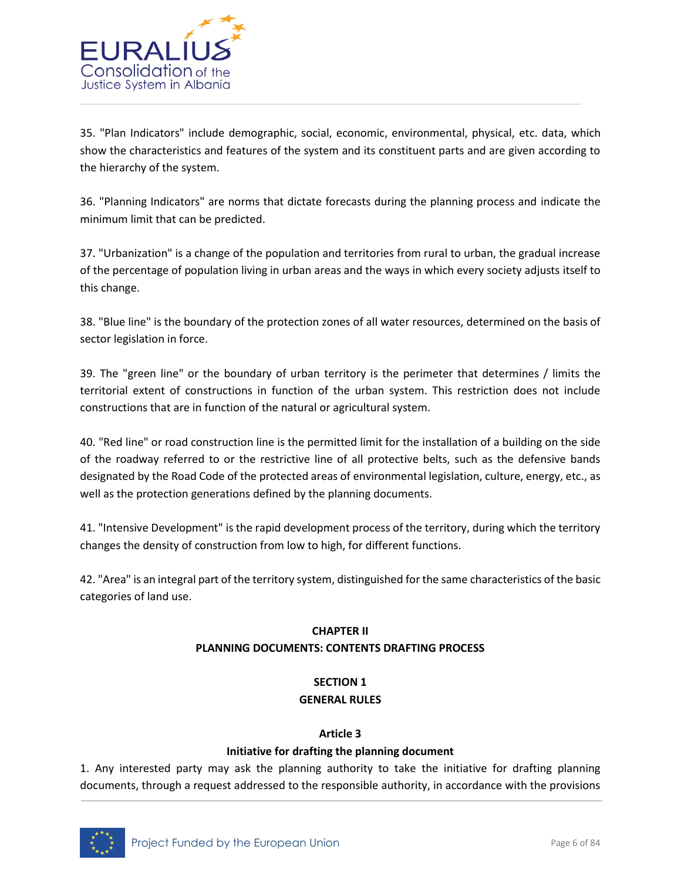

35. "Plan Indicators" include demographic, social, economic, environmental, physical, etc. data, which show the characteristics and features of the system and its constituent parts and are given according to the hierarchy of the system.

36. "Planning Indicators" are norms that dictate forecasts during the planning process and indicate the minimum limit that can be predicted.

37. "Urbanization" is a change of the population and territories from rural to urban, the gradual increase of the percentage of population living in urban areas and the ways in which every society adjusts itself to this change.

38. "Blue line" is the boundary of the protection zones of all water resources, determined on the basis of sector legislation in force.

39. The "green line" or the boundary of urban territory is the perimeter that determines / limits the territorial extent of constructions in function of the urban system. This restriction does not include constructions that are in function of the natural or agricultural system.

40. "Red line" or road construction line is the permitted limit for the installation of a building on the side of the roadway referred to or the restrictive line of all protective belts, such as the defensive bands designated by the Road Code of the protected areas of environmental legislation, culture, energy, etc., as well as the protection generations defined by the planning documents.

41. "Intensive Development" is the rapid development process of the territory, during which the territory changes the density of construction from low to high, for different functions.

42. "Area" is an integral part of the territory system, distinguished for the same characteristics of the basic categories of land use.

# **CHAPTER II PLANNING DOCUMENTS: CONTENTS DRAFTING PROCESS**

# **SECTION 1 GENERAL RULES**

# **Article 3**

# **Initiative for drafting the planning document**

1. Any interested party may ask the planning authority to take the initiative for drafting planning documents, through a request addressed to the responsible authority, in accordance with the provisions

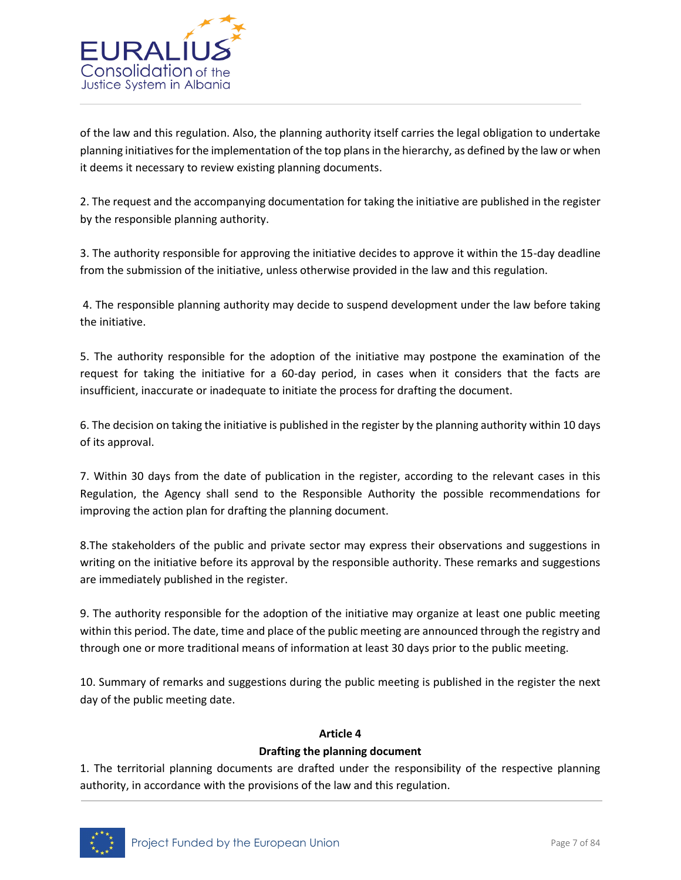

of the law and this regulation. Also, the planning authority itself carries the legal obligation to undertake planning initiatives for the implementation of the top plans in the hierarchy, as defined by the law or when it deems it necessary to review existing planning documents.

2. The request and the accompanying documentation for taking the initiative are published in the register by the responsible planning authority.

3. The authority responsible for approving the initiative decides to approve it within the 15-day deadline from the submission of the initiative, unless otherwise provided in the law and this regulation.

4. The responsible planning authority may decide to suspend development under the law before taking the initiative.

5. The authority responsible for the adoption of the initiative may postpone the examination of the request for taking the initiative for a 60-day period, in cases when it considers that the facts are insufficient, inaccurate or inadequate to initiate the process for drafting the document.

6. The decision on taking the initiative is published in the register by the planning authority within 10 days of its approval.

7. Within 30 days from the date of publication in the register, according to the relevant cases in this Regulation, the Agency shall send to the Responsible Authority the possible recommendations for improving the action plan for drafting the planning document.

8.The stakeholders of the public and private sector may express their observations and suggestions in writing on the initiative before its approval by the responsible authority. These remarks and suggestions are immediately published in the register.

9. The authority responsible for the adoption of the initiative may organize at least one public meeting within this period. The date, time and place of the public meeting are announced through the registry and through one or more traditional means of information at least 30 days prior to the public meeting.

10. Summary of remarks and suggestions during the public meeting is published in the register the next day of the public meeting date.

# **Article 4**

# **Drafting the planning document**

1. The territorial planning documents are drafted under the responsibility of the respective planning authority, in accordance with the provisions of the law and this regulation.

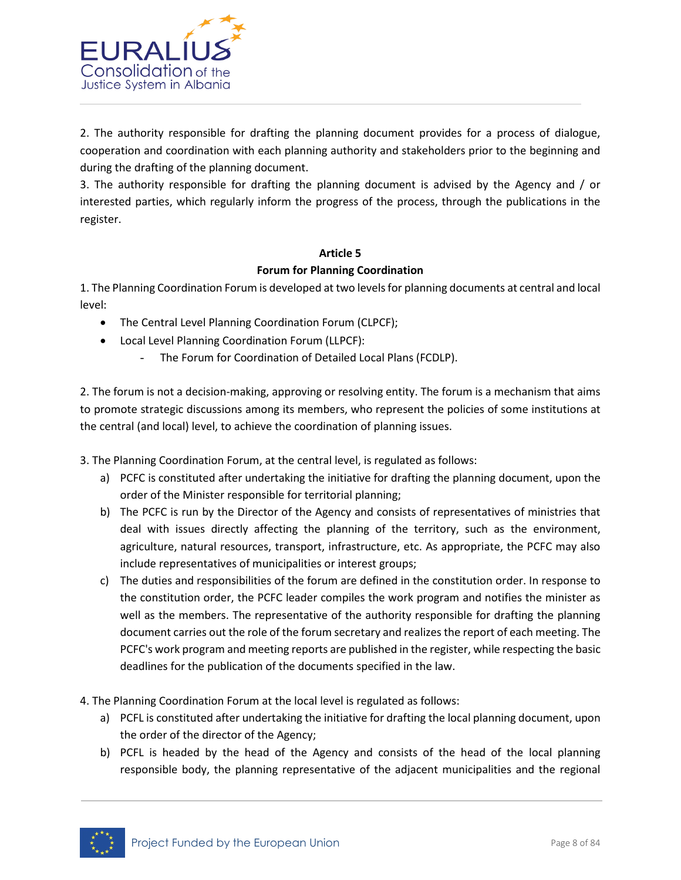

2. The authority responsible for drafting the planning document provides for a process of dialogue, cooperation and coordination with each planning authority and stakeholders prior to the beginning and during the drafting of the planning document.

3. The authority responsible for drafting the planning document is advised by the Agency and / or interested parties, which regularly inform the progress of the process, through the publications in the register.

# **Article 5**

#### **Forum for Planning Coordination**

1. The Planning Coordination Forum is developed at two levels for planning documents at central and local level:

- The Central Level Planning Coordination Forum (CLPCF);
- Local Level Planning Coordination Forum (LLPCF):
	- The Forum for Coordination of Detailed Local Plans (FCDLP).

2. The forum is not a decision-making, approving or resolving entity. The forum is a mechanism that aims to promote strategic discussions among its members, who represent the policies of some institutions at the central (and local) level, to achieve the coordination of planning issues.

3. The Planning Coordination Forum, at the central level, is regulated as follows:

- a) PCFC is constituted after undertaking the initiative for drafting the planning document, upon the order of the Minister responsible for territorial planning;
- b) The PCFC is run by the Director of the Agency and consists of representatives of ministries that deal with issues directly affecting the planning of the territory, such as the environment, agriculture, natural resources, transport, infrastructure, etc. As appropriate, the PCFC may also include representatives of municipalities or interest groups;
- c) The duties and responsibilities of the forum are defined in the constitution order. In response to the constitution order, the PCFC leader compiles the work program and notifies the minister as well as the members. The representative of the authority responsible for drafting the planning document carries out the role of the forum secretary and realizes the report of each meeting. The PCFC's work program and meeting reports are published in the register, while respecting the basic deadlines for the publication of the documents specified in the law.
- 4. The Planning Coordination Forum at the local level is regulated as follows:
	- a) PCFL is constituted after undertaking the initiative for drafting the local planning document, upon the order of the director of the Agency;
	- b) PCFL is headed by the head of the Agency and consists of the head of the local planning responsible body, the planning representative of the adjacent municipalities and the regional

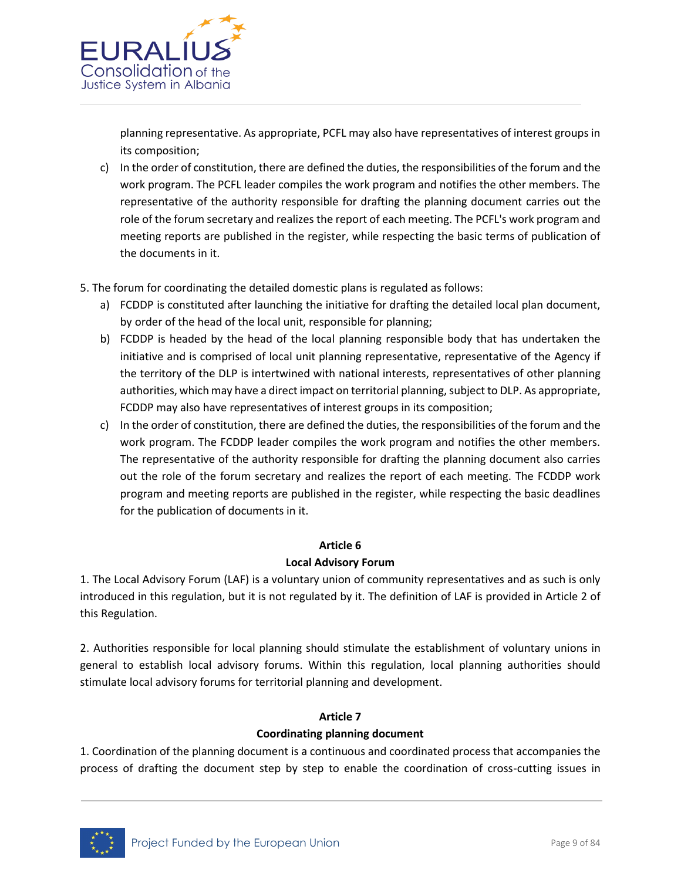

planning representative. As appropriate, PCFL may also have representatives of interest groups in its composition;

- c) In the order of constitution, there are defined the duties, the responsibilities of the forum and the work program. The PCFL leader compiles the work program and notifies the other members. The representative of the authority responsible for drafting the planning document carries out the role of the forum secretary and realizes the report of each meeting. The PCFL's work program and meeting reports are published in the register, while respecting the basic terms of publication of the documents in it.
- 5. The forum for coordinating the detailed domestic plans is regulated as follows:
	- a) FCDDP is constituted after launching the initiative for drafting the detailed local plan document, by order of the head of the local unit, responsible for planning;
	- b) FCDDP is headed by the head of the local planning responsible body that has undertaken the initiative and is comprised of local unit planning representative, representative of the Agency if the territory of the DLP is intertwined with national interests, representatives of other planning authorities, which may have a direct impact on territorial planning, subject to DLP. As appropriate, FCDDP may also have representatives of interest groups in its composition;
	- c) In the order of constitution, there are defined the duties, the responsibilities of the forum and the work program. The FCDDP leader compiles the work program and notifies the other members. The representative of the authority responsible for drafting the planning document also carries out the role of the forum secretary and realizes the report of each meeting. The FCDDP work program and meeting reports are published in the register, while respecting the basic deadlines for the publication of documents in it.

#### **Article 6**

#### **Local Advisory Forum**

1. The Local Advisory Forum (LAF) is a voluntary union of community representatives and as such is only introduced in this regulation, but it is not regulated by it. The definition of LAF is provided in Article 2 of this Regulation.

2. Authorities responsible for local planning should stimulate the establishment of voluntary unions in general to establish local advisory forums. Within this regulation, local planning authorities should stimulate local advisory forums for territorial planning and development.

## **Article 7 Coordinating planning document**

1. Coordination of the planning document is a continuous and coordinated process that accompanies the process of drafting the document step by step to enable the coordination of cross-cutting issues in

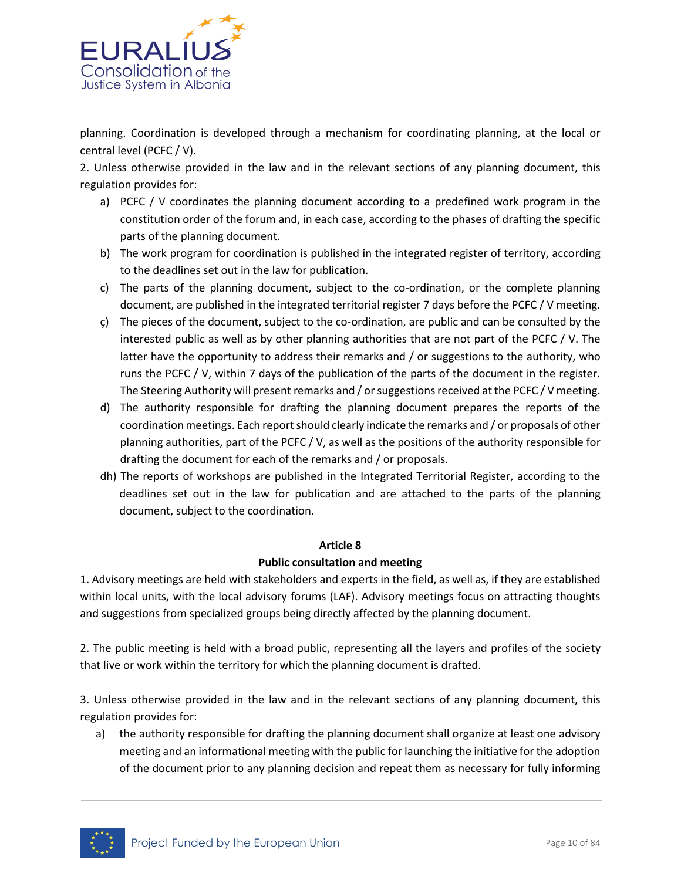

planning. Coordination is developed through a mechanism for coordinating planning, at the local or central level (PCFC / V).

2. Unless otherwise provided in the law and in the relevant sections of any planning document, this regulation provides for:

- a) PCFC / V coordinates the planning document according to a predefined work program in the constitution order of the forum and, in each case, according to the phases of drafting the specific parts of the planning document.
- b) The work program for coordination is published in the integrated register of territory, according to the deadlines set out in the law for publication.
- c) The parts of the planning document, subject to the co-ordination, or the complete planning document, are published in the integrated territorial register 7 days before the PCFC / V meeting.
- ç) The pieces of the document, subject to the co-ordination, are public and can be consulted by the interested public as well as by other planning authorities that are not part of the PCFC / V. The latter have the opportunity to address their remarks and / or suggestions to the authority, who runs the PCFC / V, within 7 days of the publication of the parts of the document in the register. The Steering Authority will present remarks and / or suggestions received at the PCFC / V meeting.
- d) The authority responsible for drafting the planning document prepares the reports of the coordination meetings. Each report should clearly indicate the remarks and / or proposals of other planning authorities, part of the PCFC / V, as well as the positions of the authority responsible for drafting the document for each of the remarks and / or proposals.
- dh) The reports of workshops are published in the Integrated Territorial Register, according to the deadlines set out in the law for publication and are attached to the parts of the planning document, subject to the coordination.

#### **Article 8**

#### **Public consultation and meeting**

1. Advisory meetings are held with stakeholders and experts in the field, as well as, if they are established within local units, with the local advisory forums (LAF). Advisory meetings focus on attracting thoughts and suggestions from specialized groups being directly affected by the planning document.

2. The public meeting is held with a broad public, representing all the layers and profiles of the society that live or work within the territory for which the planning document is drafted.

3. Unless otherwise provided in the law and in the relevant sections of any planning document, this regulation provides for:

a) the authority responsible for drafting the planning document shall organize at least one advisory meeting and an informational meeting with the public for launching the initiative for the adoption of the document prior to any planning decision and repeat them as necessary for fully informing

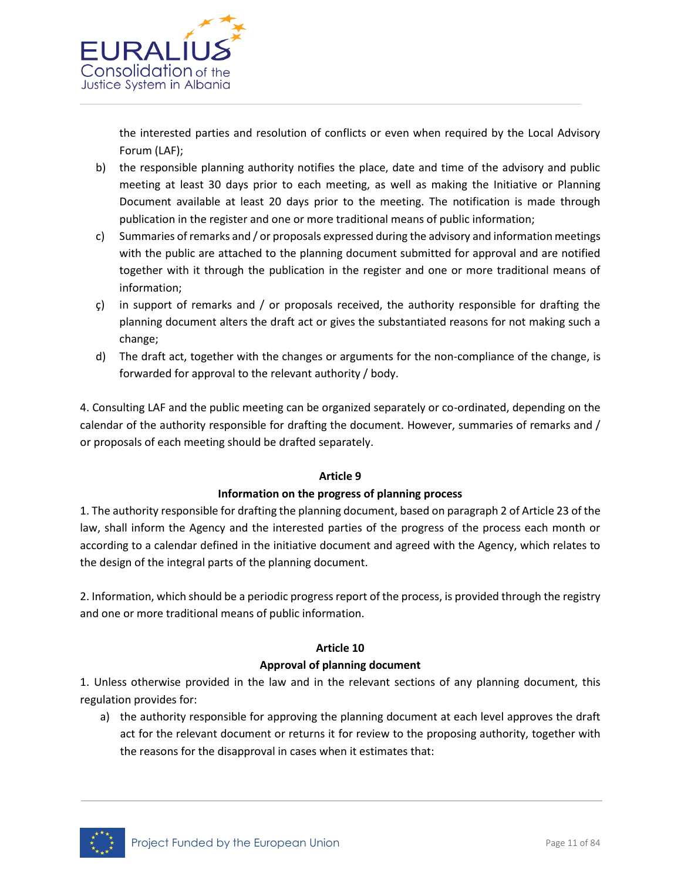

the interested parties and resolution of conflicts or even when required by the Local Advisory Forum (LAF);

- b) the responsible planning authority notifies the place, date and time of the advisory and public meeting at least 30 days prior to each meeting, as well as making the Initiative or Planning Document available at least 20 days prior to the meeting. The notification is made through publication in the register and one or more traditional means of public information;
- c) Summaries of remarks and / or proposals expressed during the advisory and information meetings with the public are attached to the planning document submitted for approval and are notified together with it through the publication in the register and one or more traditional means of information;
- $\varsigma$ ) in support of remarks and / or proposals received, the authority responsible for drafting the planning document alters the draft act or gives the substantiated reasons for not making such a change;
- d) The draft act, together with the changes or arguments for the non-compliance of the change, is forwarded for approval to the relevant authority / body.

4. Consulting LAF and the public meeting can be organized separately or co-ordinated, depending on the calendar of the authority responsible for drafting the document. However, summaries of remarks and / or proposals of each meeting should be drafted separately.

# **Article 9**

#### **Information on the progress of planning process**

1. The authority responsible for drafting the planning document, based on paragraph 2 of Article 23 of the law, shall inform the Agency and the interested parties of the progress of the process each month or according to a calendar defined in the initiative document and agreed with the Agency, which relates to the design of the integral parts of the planning document.

2. Information, which should be a periodic progress report of the process, is provided through the registry and one or more traditional means of public information.

# **Article 10**

# **Approval of planning document**

1. Unless otherwise provided in the law and in the relevant sections of any planning document, this regulation provides for:

a) the authority responsible for approving the planning document at each level approves the draft act for the relevant document or returns it for review to the proposing authority, together with the reasons for the disapproval in cases when it estimates that:

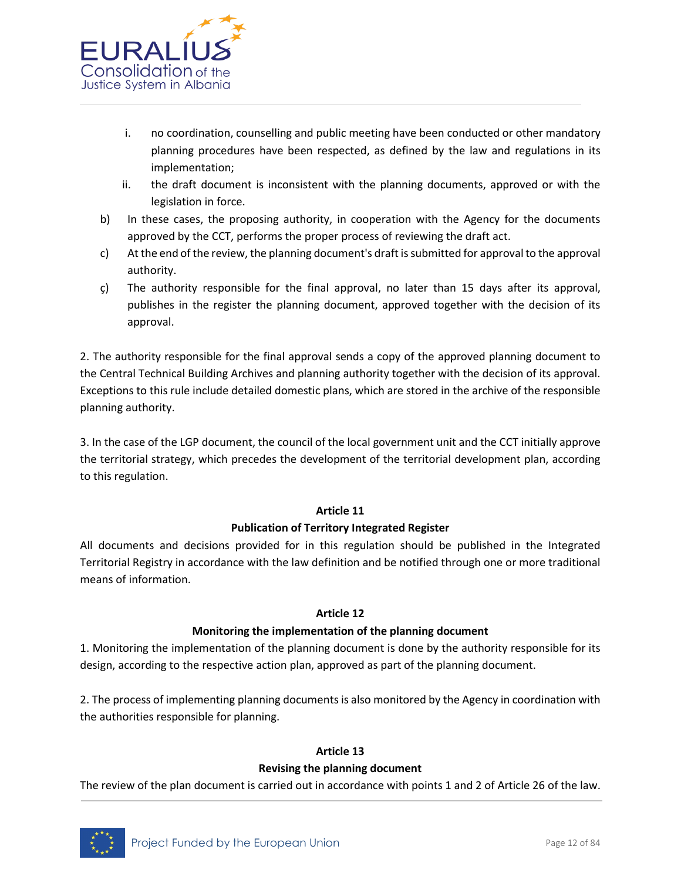

- i. no coordination, counselling and public meeting have been conducted or other mandatory planning procedures have been respected, as defined by the law and regulations in its implementation;
- ii. the draft document is inconsistent with the planning documents, approved or with the legislation in force.
- b) In these cases, the proposing authority, in cooperation with the Agency for the documents approved by the CCT, performs the proper process of reviewing the draft act.
- c) At the end of the review, the planning document's draft is submitted for approval to the approval authority.
- ç) The authority responsible for the final approval, no later than 15 days after its approval, publishes in the register the planning document, approved together with the decision of its approval.

2. The authority responsible for the final approval sends a copy of the approved planning document to the Central Technical Building Archives and planning authority together with the decision of its approval. Exceptions to this rule include detailed domestic plans, which are stored in the archive of the responsible planning authority.

3. In the case of the LGP document, the council of the local government unit and the CCT initially approve the territorial strategy, which precedes the development of the territorial development plan, according to this regulation.

# **Article 11**

# **Publication of Territory Integrated Register**

All documents and decisions provided for in this regulation should be published in the Integrated Territorial Registry in accordance with the law definition and be notified through one or more traditional means of information.

#### **Article 12**

# **Monitoring the implementation of the planning document**

1. Monitoring the implementation of the planning document is done by the authority responsible for its design, according to the respective action plan, approved as part of the planning document.

2. The process of implementing planning documents is also monitored by the Agency in coordination with the authorities responsible for planning.

# **Article 13**

# **Revising the planning document**

The review of the plan document is carried out in accordance with points 1 and 2 of Article 26 of the law.

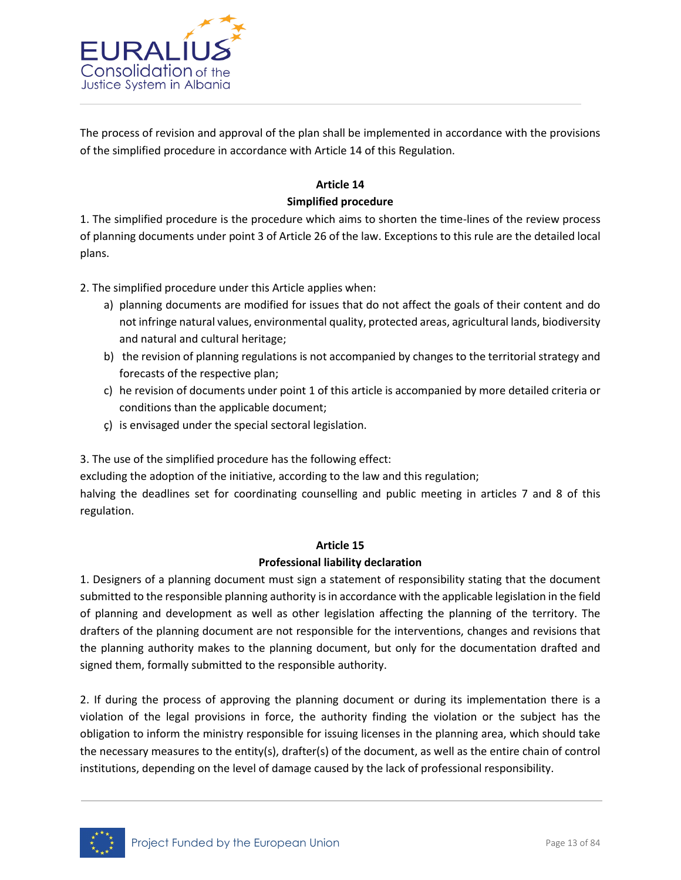

The process of revision and approval of the plan shall be implemented in accordance with the provisions of the simplified procedure in accordance with Article 14 of this Regulation.

# **Article 14**

## **Simplified procedure**

1. The simplified procedure is the procedure which aims to shorten the time-lines of the review process of planning documents under point 3 of Article 26 of the law. Exceptions to this rule are the detailed local plans.

2. The simplified procedure under this Article applies when:

- a) planning documents are modified for issues that do not affect the goals of their content and do not infringe natural values, environmental quality, protected areas, agricultural lands, biodiversity and natural and cultural heritage;
- b) the revision of planning regulations is not accompanied by changes to the territorial strategy and forecasts of the respective plan;
- c) he revision of documents under point 1 of this article is accompanied by more detailed criteria or conditions than the applicable document;
- ç) is envisaged under the special sectoral legislation.

3. The use of the simplified procedure has the following effect:

excluding the adoption of the initiative, according to the law and this regulation;

halving the deadlines set for coordinating counselling and public meeting in articles 7 and 8 of this regulation.

#### **Article 15**

#### **Professional liability declaration**

1. Designers of a planning document must sign a statement of responsibility stating that the document submitted to the responsible planning authority is in accordance with the applicable legislation in the field of planning and development as well as other legislation affecting the planning of the territory. The drafters of the planning document are not responsible for the interventions, changes and revisions that the planning authority makes to the planning document, but only for the documentation drafted and signed them, formally submitted to the responsible authority.

2. If during the process of approving the planning document or during its implementation there is a violation of the legal provisions in force, the authority finding the violation or the subject has the obligation to inform the ministry responsible for issuing licenses in the planning area, which should take the necessary measures to the entity(s), drafter(s) of the document, as well as the entire chain of control institutions, depending on the level of damage caused by the lack of professional responsibility.

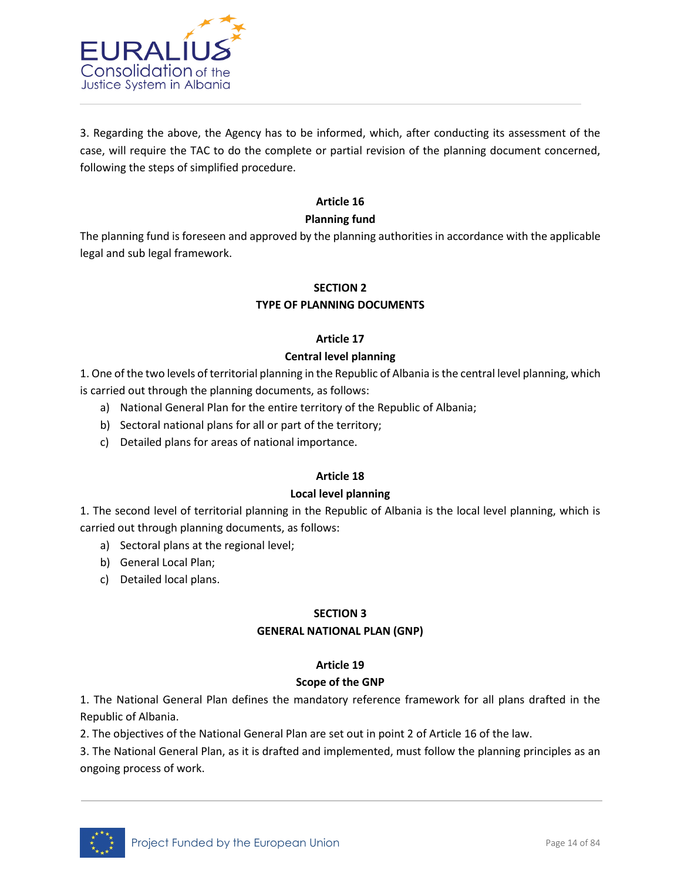

3. Regarding the above, the Agency has to be informed, which, after conducting its assessment of the case, will require the TAC to do the complete or partial revision of the planning document concerned, following the steps of simplified procedure.

## **Article 16**

#### **Planning fund**

The planning fund is foreseen and approved by the planning authorities in accordance with the applicable legal and sub legal framework.

# **SECTION 2**

## **TYPE OF PLANNING DOCUMENTS**

#### **Article 17**

#### **Central level planning**

1. One of the two levels of territorial planning in the Republic of Albania is the central level planning, which is carried out through the planning documents, as follows:

- a) National General Plan for the entire territory of the Republic of Albania;
- b) Sectoral national plans for all or part of the territory;
- c) Detailed plans for areas of national importance.

## **Article 18**

#### **Local level planning**

1. The second level of territorial planning in the Republic of Albania is the local level planning, which is carried out through planning documents, as follows:

- a) Sectoral plans at the regional level;
- b) General Local Plan;
- c) Detailed local plans.

#### **SECTION 3**

#### **GENERAL NATIONAL PLAN (GNP)**

#### **Article 19**

#### **Scope of the GNP**

1. The National General Plan defines the mandatory reference framework for all plans drafted in the Republic of Albania.

2. The objectives of the National General Plan are set out in point 2 of Article 16 of the law.

3. The National General Plan, as it is drafted and implemented, must follow the planning principles as an ongoing process of work.

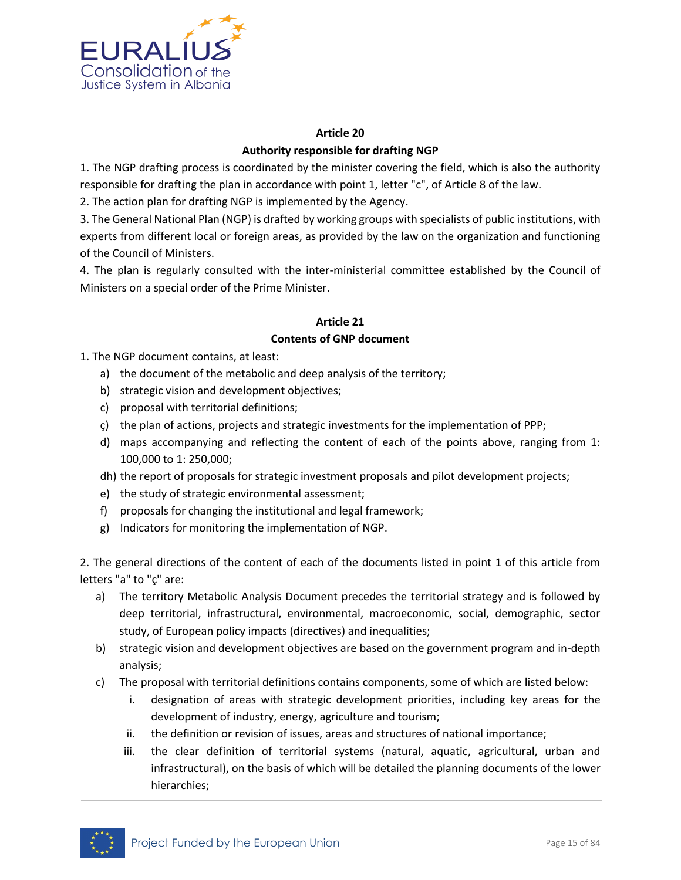

# **Article 20 Authority responsible for drafting NGP**

1. The NGP drafting process is coordinated by the minister covering the field, which is also the authority responsible for drafting the plan in accordance with point 1, letter "c", of Article 8 of the law.

2. The action plan for drafting NGP is implemented by the Agency.

3. The General National Plan (NGP) is drafted by working groups with specialists of public institutions, with experts from different local or foreign areas, as provided by the law on the organization and functioning of the Council of Ministers.

4. The plan is regularly consulted with the inter-ministerial committee established by the Council of Ministers on a special order of the Prime Minister.

## **Article 21**

# **Contents of GNP document**

1. The NGP document contains, at least:

- a) the document of the metabolic and deep analysis of the territory;
- b) strategic vision and development objectives;
- c) proposal with territorial definitions;
- ç) the plan of actions, projects and strategic investments for the implementation of PPP;
- d) maps accompanying and reflecting the content of each of the points above, ranging from 1: 100,000 to 1: 250,000;
- dh) the report of proposals for strategic investment proposals and pilot development projects;
- e) the study of strategic environmental assessment;
- f) proposals for changing the institutional and legal framework;
- g) Indicators for monitoring the implementation of NGP.

2. The general directions of the content of each of the documents listed in point 1 of this article from letters "a" to "ç" are:

- a) The territory Metabolic Analysis Document precedes the territorial strategy and is followed by deep territorial, infrastructural, environmental, macroeconomic, social, demographic, sector study, of European policy impacts (directives) and inequalities;
- b) strategic vision and development objectives are based on the government program and in-depth analysis;
- c) The proposal with territorial definitions contains components, some of which are listed below:
	- i. designation of areas with strategic development priorities, including key areas for the development of industry, energy, agriculture and tourism;
	- ii. the definition or revision of issues, areas and structures of national importance;
	- iii. the clear definition of territorial systems (natural, aquatic, agricultural, urban and infrastructural), on the basis of which will be detailed the planning documents of the lower hierarchies;

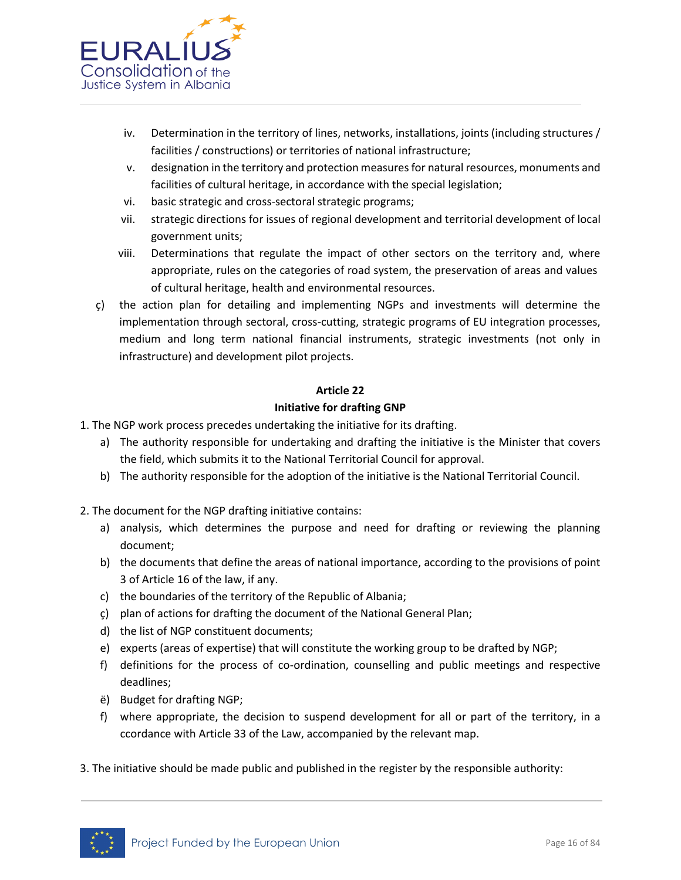

- iv. Determination in the territory of lines, networks, installations, joints (including structures / facilities / constructions) or territories of national infrastructure;
- v. designation in the territory and protection measures for natural resources, monuments and facilities of cultural heritage, in accordance with the special legislation;
- vi. basic strategic and cross-sectoral strategic programs;
- vii. strategic directions for issues of regional development and territorial development of local government units;
- viii. Determinations that regulate the impact of other sectors on the territory and, where appropriate, rules on the categories of road system, the preservation of areas and values of cultural heritage, health and environmental resources.
- ç) the action plan for detailing and implementing NGPs and investments will determine the implementation through sectoral, cross-cutting, strategic programs of EU integration processes, medium and long term national financial instruments, strategic investments (not only in infrastructure) and development pilot projects.

## **Article 22**

## **Initiative for drafting GNP**

- 1. The NGP work process precedes undertaking the initiative for its drafting.
	- a) The authority responsible for undertaking and drafting the initiative is the Minister that covers the field, which submits it to the National Territorial Council for approval.
	- b) The authority responsible for the adoption of the initiative is the National Territorial Council.
- 2. The document for the NGP drafting initiative contains:
	- a) analysis, which determines the purpose and need for drafting or reviewing the planning document;
	- b) the documents that define the areas of national importance, according to the provisions of point 3 of Article 16 of the law, if any.
	- c) the boundaries of the territory of the Republic of Albania;
	- ç) plan of actions for drafting the document of the National General Plan;
	- d) the list of NGP constituent documents;
	- e) experts (areas of expertise) that will constitute the working group to be drafted by NGP;
	- f) definitions for the process of co-ordination, counselling and public meetings and respective deadlines;
	- ë) Budget for drafting NGP;
	- f) where appropriate, the decision to suspend development for all or part of the territory, in a ccordance with Article 33 of the Law, accompanied by the relevant map.
- 3. The initiative should be made public and published in the register by the responsible authority:

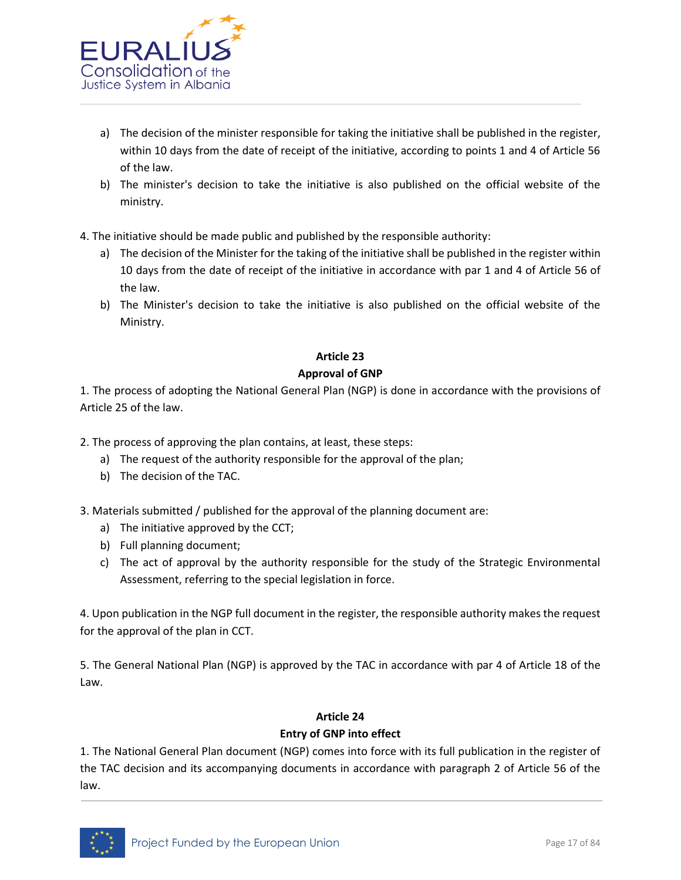

- a) The decision of the minister responsible for taking the initiative shall be published in the register, within 10 days from the date of receipt of the initiative, according to points 1 and 4 of Article 56 of the law.
- b) The minister's decision to take the initiative is also published on the official website of the ministry.
- 4. The initiative should be made public and published by the responsible authority:
	- a) The decision of the Minister for the taking of the initiative shall be published in the register within 10 days from the date of receipt of the initiative in accordance with par 1 and 4 of Article 56 of the law.
	- b) The Minister's decision to take the initiative is also published on the official website of the Ministry.

## **Article 23**

## **Approval of GNP**

1. The process of adopting the National General Plan (NGP) is done in accordance with the provisions of Article 25 of the law.

2. The process of approving the plan contains, at least, these steps:

- a) The request of the authority responsible for the approval of the plan;
- b) The decision of the TAC.

3. Materials submitted / published for the approval of the planning document are:

- a) The initiative approved by the CCT;
- b) Full planning document;
- c) The act of approval by the authority responsible for the study of the Strategic Environmental Assessment, referring to the special legislation in force.

4. Upon publication in the NGP full document in the register, the responsible authority makes the request for the approval of the plan in CCT.

5. The General National Plan (NGP) is approved by the TAC in accordance with par 4 of Article 18 of the Law.

# **Article 24**

# **Entry of GNP into effect**

1. The National General Plan document (NGP) comes into force with its full publication in the register of the TAC decision and its accompanying documents in accordance with paragraph 2 of Article 56 of the law.

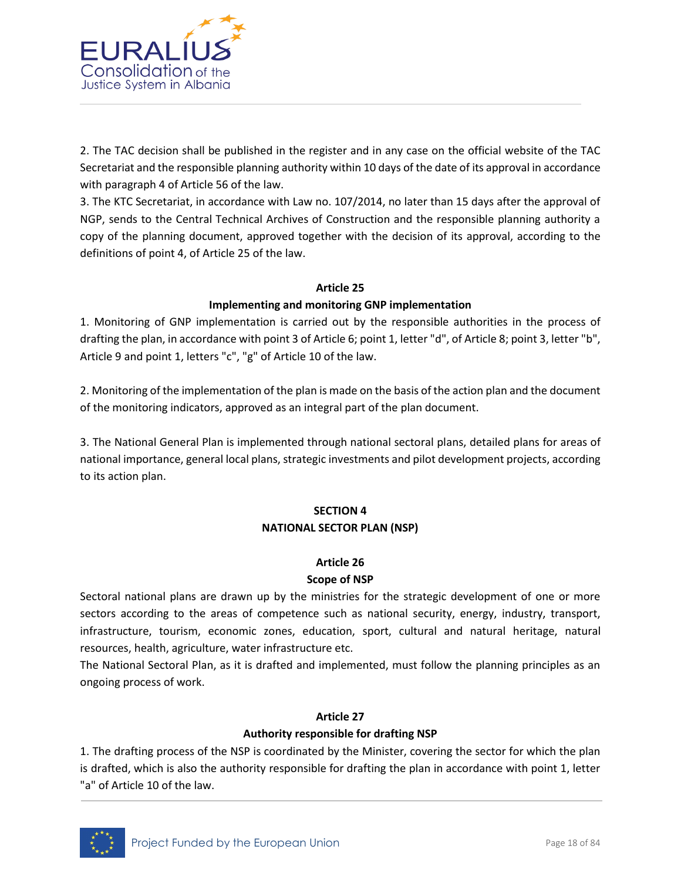

2. The TAC decision shall be published in the register and in any case on the official website of the TAC Secretariat and the responsible planning authority within 10 days of the date of its approval in accordance with paragraph 4 of Article 56 of the law.

3. The KTC Secretariat, in accordance with Law no. 107/2014, no later than 15 days after the approval of NGP, sends to the Central Technical Archives of Construction and the responsible planning authority a copy of the planning document, approved together with the decision of its approval, according to the definitions of point 4, of Article 25 of the law.

#### **Article 25**

## **Implementing and monitoring GNP implementation**

1. Monitoring of GNP implementation is carried out by the responsible authorities in the process of drafting the plan, in accordance with point 3 of Article 6; point 1, letter "d", of Article 8; point 3, letter "b", Article 9 and point 1, letters "c", "g" of Article 10 of the law.

2. Monitoring of the implementation of the plan is made on the basis of the action plan and the document of the monitoring indicators, approved as an integral part of the plan document.

3. The National General Plan is implemented through national sectoral plans, detailed plans for areas of national importance, general local plans, strategic investments and pilot development projects, according to its action plan.

# **SECTION 4 NATIONAL SECTOR PLAN (NSP)**

# **Article 26**

# **Scope of NSP**

Sectoral national plans are drawn up by the ministries for the strategic development of one or more sectors according to the areas of competence such as national security, energy, industry, transport, infrastructure, tourism, economic zones, education, sport, cultural and natural heritage, natural resources, health, agriculture, water infrastructure etc.

The National Sectoral Plan, as it is drafted and implemented, must follow the planning principles as an ongoing process of work.

# **Article 27**

# **Authority responsible for drafting NSP**

1. The drafting process of the NSP is coordinated by the Minister, covering the sector for which the plan is drafted, which is also the authority responsible for drafting the plan in accordance with point 1, letter "a" of Article 10 of the law.

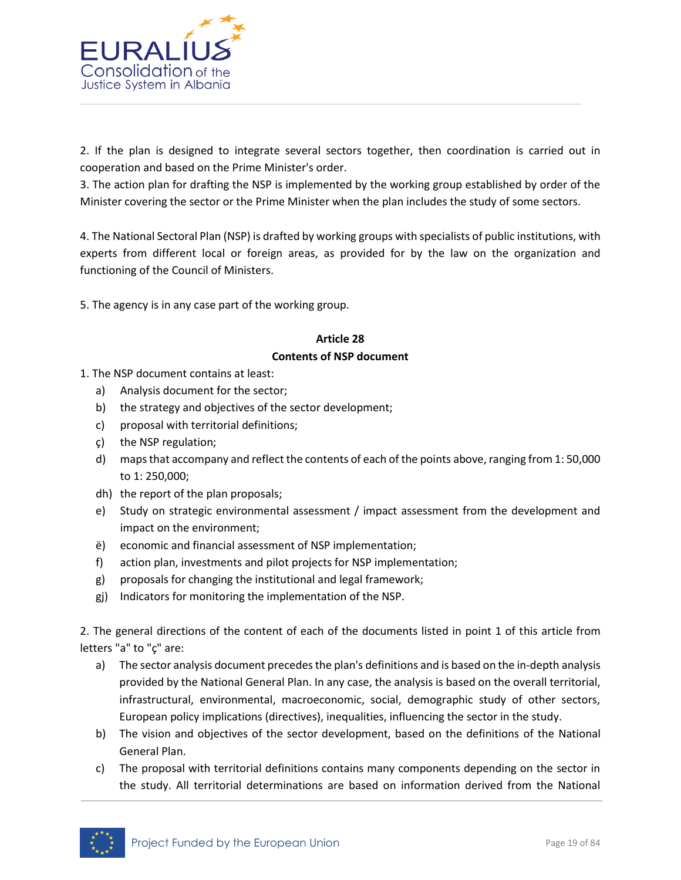

2. If the plan is designed to integrate several sectors together, then coordination is carried out in cooperation and based on the Prime Minister's order.

3. The action plan for drafting the NSP is implemented by the working group established by order of the Minister covering the sector or the Prime Minister when the plan includes the study of some sectors.

4. The National Sectoral Plan (NSP) is drafted by working groups with specialists of public institutions, with experts from different local or foreign areas, as provided for by the law on the organization and functioning of the Council of Ministers.

5. The agency is in any case part of the working group.

# **Article 28 Contents of NSP document**

- 1. The NSP document contains at least:
	- a) Analysis document for the sector;
	- b) the strategy and objectives of the sector development;
	- c) proposal with territorial definitions;
	- ç) the NSP regulation;
	- d) maps that accompany and reflect the contents of each of the points above, ranging from 1: 50,000 to 1: 250,000;
	- dh) the report of the plan proposals;
	- e) Study on strategic environmental assessment / impact assessment from the development and impact on the environment;
	- ë) economic and financial assessment of NSP implementation;
	- f) action plan, investments and pilot projects for NSP implementation;
	- g) proposals for changing the institutional and legal framework;
	- gj) Indicators for monitoring the implementation of the NSP.

2. The general directions of the content of each of the documents listed in point 1 of this article from letters "a" to "ç" are:

- a) The sector analysis document precedes the plan's definitions and is based on the in-depth analysis provided by the National General Plan. In any case, the analysis is based on the overall territorial, infrastructural, environmental, macroeconomic, social, demographic study of other sectors, European policy implications (directives), inequalities, influencing the sector in the study.
- b) The vision and objectives of the sector development, based on the definitions of the National General Plan.
- c) The proposal with territorial definitions contains many components depending on the sector in the study. All territorial determinations are based on information derived from the National

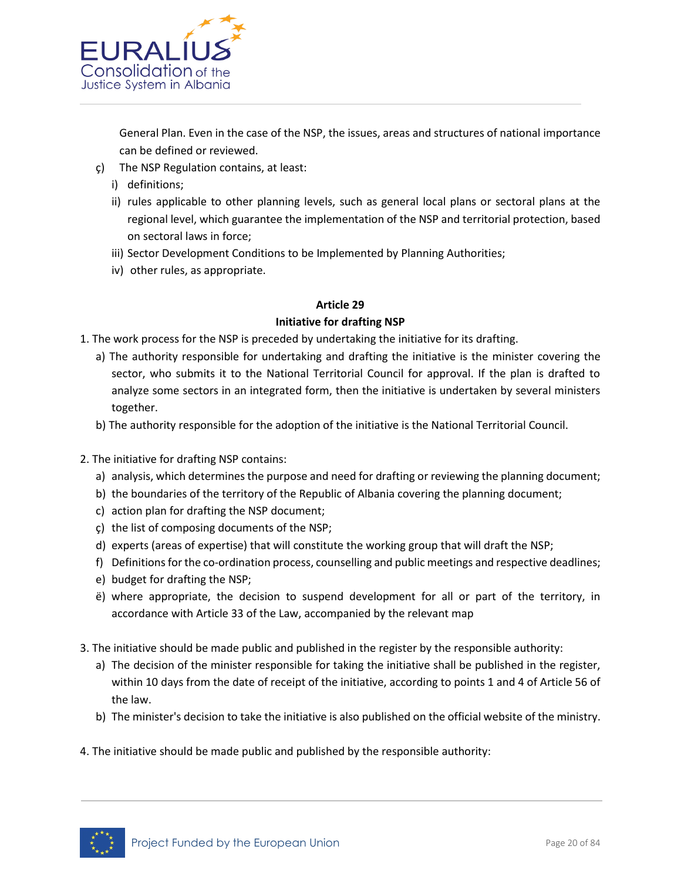

General Plan. Even in the case of the NSP, the issues, areas and structures of national importance can be defined or reviewed.

- ç) The NSP Regulation contains, at least:
	- i) definitions;
	- ii) rules applicable to other planning levels, such as general local plans or sectoral plans at the regional level, which guarantee the implementation of the NSP and territorial protection, based on sectoral laws in force;
	- iii) Sector Development Conditions to be Implemented by Planning Authorities;
	- iv) other rules, as appropriate.

## **Article 29**

#### **Initiative for drafting NSP**

- 1. The work process for the NSP is preceded by undertaking the initiative for its drafting.
	- a) The authority responsible for undertaking and drafting the initiative is the minister covering the sector, who submits it to the National Territorial Council for approval. If the plan is drafted to analyze some sectors in an integrated form, then the initiative is undertaken by several ministers together.
	- b) The authority responsible for the adoption of the initiative is the National Territorial Council.
- 2. The initiative for drafting NSP contains:
	- a) analysis, which determines the purpose and need for drafting or reviewing the planning document;
	- b) the boundaries of the territory of the Republic of Albania covering the planning document;
	- c) action plan for drafting the NSP document;
	- ç) the list of composing documents of the NSP;
	- d) experts (areas of expertise) that will constitute the working group that will draft the NSP;
	- f) Definitions for the co-ordination process, counselling and public meetings and respective deadlines;
	- e) budget for drafting the NSP;
	- ë) where appropriate, the decision to suspend development for all or part of the territory, in accordance with Article 33 of the Law, accompanied by the relevant map
- 3. The initiative should be made public and published in the register by the responsible authority:
	- a) The decision of the minister responsible for taking the initiative shall be published in the register, within 10 days from the date of receipt of the initiative, according to points 1 and 4 of Article 56 of the law.
	- b) The minister's decision to take the initiative is also published on the official website of the ministry.
- 4. The initiative should be made public and published by the responsible authority:

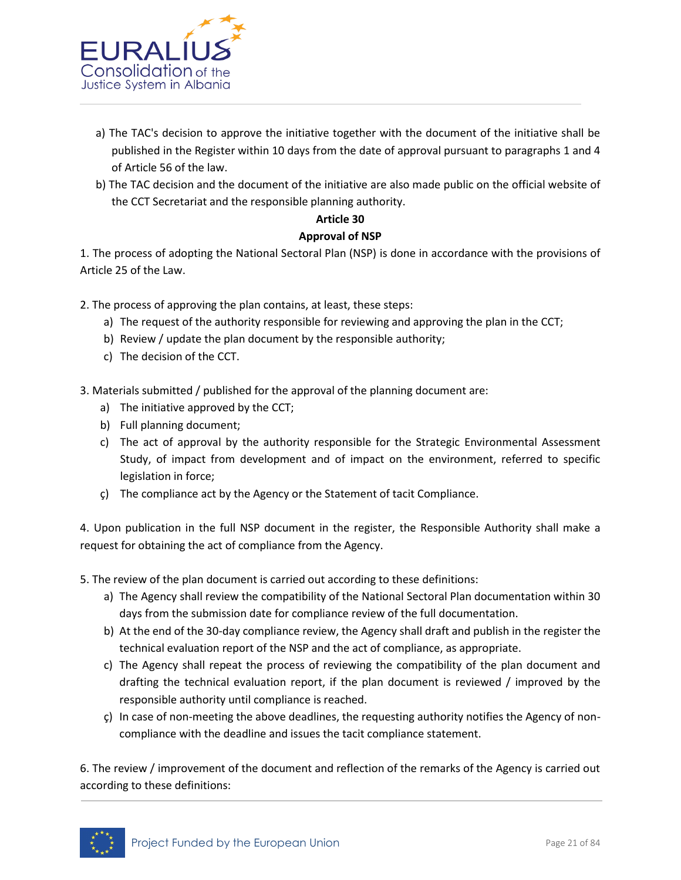

- a) The TAC's decision to approve the initiative together with the document of the initiative shall be published in the Register within 10 days from the date of approval pursuant to paragraphs 1 and 4 of Article 56 of the law.
- b) The TAC decision and the document of the initiative are also made public on the official website of the CCT Secretariat and the responsible planning authority.

# **Article 30**

# **Approval of NSP**

1. The process of adopting the National Sectoral Plan (NSP) is done in accordance with the provisions of Article 25 of the Law.

2. The process of approving the plan contains, at least, these steps:

- a) The request of the authority responsible for reviewing and approving the plan in the CCT;
- b) Review / update the plan document by the responsible authority;
- c) The decision of the CCT.
- 3. Materials submitted / published for the approval of the planning document are:
	- a) The initiative approved by the CCT;
	- b) Full planning document;
	- c) The act of approval by the authority responsible for the Strategic Environmental Assessment Study, of impact from development and of impact on the environment, referred to specific legislation in force;
	- ç) The compliance act by the Agency or the Statement of tacit Compliance.

4. Upon publication in the full NSP document in the register, the Responsible Authority shall make a request for obtaining the act of compliance from the Agency.

5. The review of the plan document is carried out according to these definitions:

- a) The Agency shall review the compatibility of the National Sectoral Plan documentation within 30 days from the submission date for compliance review of the full documentation.
- b) At the end of the 30-day compliance review, the Agency shall draft and publish in the register the technical evaluation report of the NSP and the act of compliance, as appropriate.
- c) The Agency shall repeat the process of reviewing the compatibility of the plan document and drafting the technical evaluation report, if the plan document is reviewed / improved by the responsible authority until compliance is reached.
- ç) In case of non-meeting the above deadlines, the requesting authority notifies the Agency of noncompliance with the deadline and issues the tacit compliance statement.

6. The review / improvement of the document and reflection of the remarks of the Agency is carried out according to these definitions:

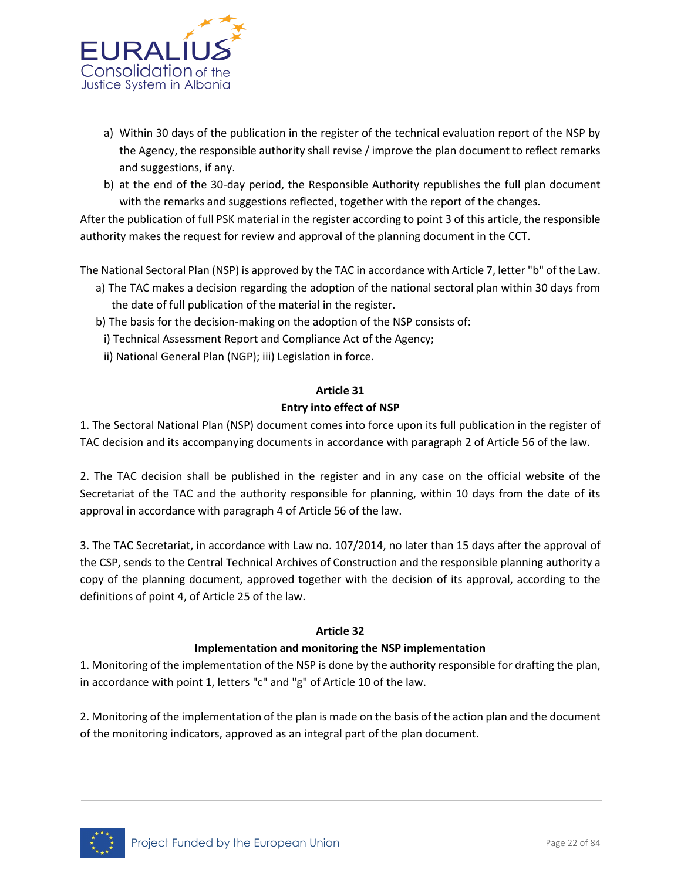

- a) Within 30 days of the publication in the register of the technical evaluation report of the NSP by the Agency, the responsible authority shall revise / improve the plan document to reflect remarks and suggestions, if any.
- b) at the end of the 30-day period, the Responsible Authority republishes the full plan document with the remarks and suggestions reflected, together with the report of the changes.

After the publication of full PSK material in the register according to point 3 of this article, the responsible authority makes the request for review and approval of the planning document in the CCT.

The National Sectoral Plan (NSP) is approved by the TAC in accordance with Article 7, letter "b" of the Law.

- a) The TAC makes a decision regarding the adoption of the national sectoral plan within 30 days from the date of full publication of the material in the register.
- b) The basis for the decision-making on the adoption of the NSP consists of:
	- i) Technical Assessment Report and Compliance Act of the Agency;
	- ii) National General Plan (NGP); iii) Legislation in force.

# **Article 31 Entry into effect of NSP**

1. The Sectoral National Plan (NSP) document comes into force upon its full publication in the register of TAC decision and its accompanying documents in accordance with paragraph 2 of Article 56 of the law.

2. The TAC decision shall be published in the register and in any case on the official website of the Secretariat of the TAC and the authority responsible for planning, within 10 days from the date of its approval in accordance with paragraph 4 of Article 56 of the law.

3. The TAC Secretariat, in accordance with Law no. 107/2014, no later than 15 days after the approval of the CSP, sends to the Central Technical Archives of Construction and the responsible planning authority a copy of the planning document, approved together with the decision of its approval, according to the definitions of point 4, of Article 25 of the law.

#### **Article 32**

#### **Implementation and monitoring the NSP implementation**

1. Monitoring of the implementation of the NSP is done by the authority responsible for drafting the plan, in accordance with point 1, letters "c" and "g" of Article 10 of the law.

2. Monitoring of the implementation of the plan is made on the basis of the action plan and the document of the monitoring indicators, approved as an integral part of the plan document.

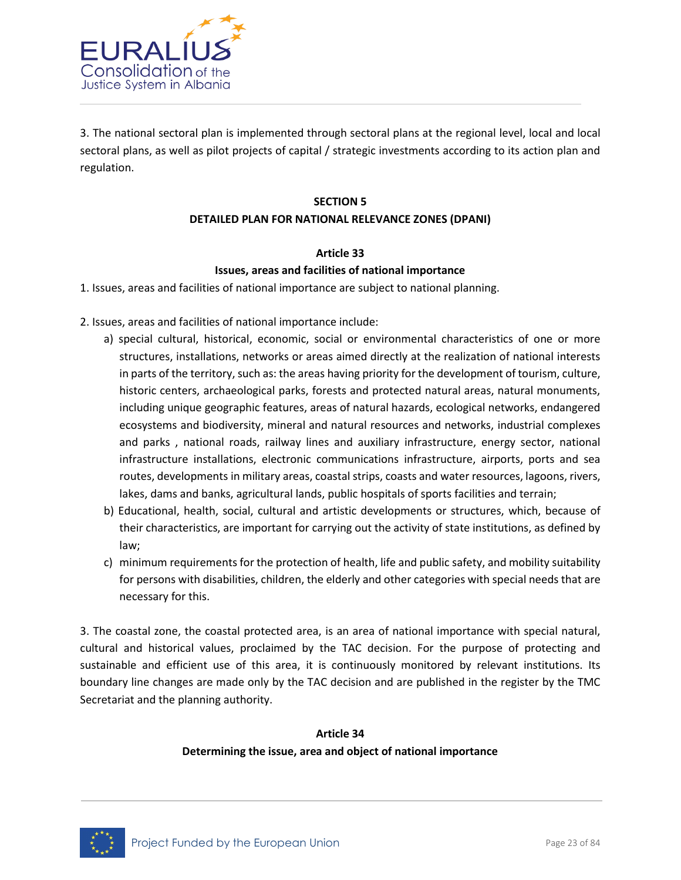

3. The national sectoral plan is implemented through sectoral plans at the regional level, local and local sectoral plans, as well as pilot projects of capital / strategic investments according to its action plan and regulation.

# **SECTION 5 DETAILED PLAN FOR NATIONAL RELEVANCE ZONES (DPANI)**

#### **Article 33 Issues, areas and facilities of national importance**

- 1. Issues, areas and facilities of national importance are subject to national planning.
- 2. Issues, areas and facilities of national importance include:
	- a) special cultural, historical, economic, social or environmental characteristics of one or more structures, installations, networks or areas aimed directly at the realization of national interests in parts of the territory, such as: the areas having priority for the development of tourism, culture, historic centers, archaeological parks, forests and protected natural areas, natural monuments, including unique geographic features, areas of natural hazards, ecological networks, endangered ecosystems and biodiversity, mineral and natural resources and networks, industrial complexes and parks , national roads, railway lines and auxiliary infrastructure, energy sector, national infrastructure installations, electronic communications infrastructure, airports, ports and sea routes, developments in military areas, coastal strips, coasts and water resources, lagoons, rivers, lakes, dams and banks, agricultural lands, public hospitals of sports facilities and terrain;
	- b) Educational, health, social, cultural and artistic developments or structures, which, because of their characteristics, are important for carrying out the activity of state institutions, as defined by law;
	- c) minimum requirements for the protection of health, life and public safety, and mobility suitability for persons with disabilities, children, the elderly and other categories with special needs that are necessary for this.

3. The coastal zone, the coastal protected area, is an area of national importance with special natural, cultural and historical values, proclaimed by the TAC decision. For the purpose of protecting and sustainable and efficient use of this area, it is continuously monitored by relevant institutions. Its boundary line changes are made only by the TAC decision and are published in the register by the TMC Secretariat and the planning authority.

# **Article 34 Determining the issue, area and object of national importance**

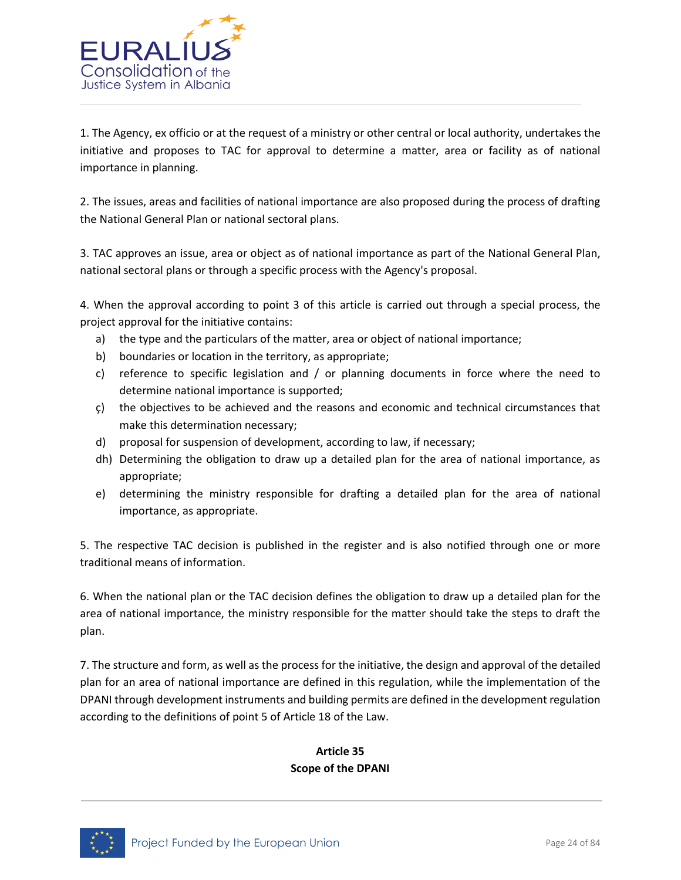

1. The Agency, ex officio or at the request of a ministry or other central or local authority, undertakes the initiative and proposes to TAC for approval to determine a matter, area or facility as of national importance in planning.

2. The issues, areas and facilities of national importance are also proposed during the process of drafting the National General Plan or national sectoral plans.

3. TAC approves an issue, area or object as of national importance as part of the National General Plan, national sectoral plans or through a specific process with the Agency's proposal.

4. When the approval according to point 3 of this article is carried out through a special process, the project approval for the initiative contains:

- a) the type and the particulars of the matter, area or object of national importance;
- b) boundaries or location in the territory, as appropriate;
- c) reference to specific legislation and / or planning documents in force where the need to determine national importance is supported;
- ç) the objectives to be achieved and the reasons and economic and technical circumstances that make this determination necessary;
- d) proposal for suspension of development, according to law, if necessary;
- dh) Determining the obligation to draw up a detailed plan for the area of national importance, as appropriate;
- e) determining the ministry responsible for drafting a detailed plan for the area of national importance, as appropriate.

5. The respective TAC decision is published in the register and is also notified through one or more traditional means of information.

6. When the national plan or the TAC decision defines the obligation to draw up a detailed plan for the area of national importance, the ministry responsible for the matter should take the steps to draft the plan.

7. The structure and form, as well as the process for the initiative, the design and approval of the detailed plan for an area of national importance are defined in this regulation, while the implementation of the DPANI through development instruments and building permits are defined in the development regulation according to the definitions of point 5 of Article 18 of the Law.

# **Article 35 Scope of the DPANI**

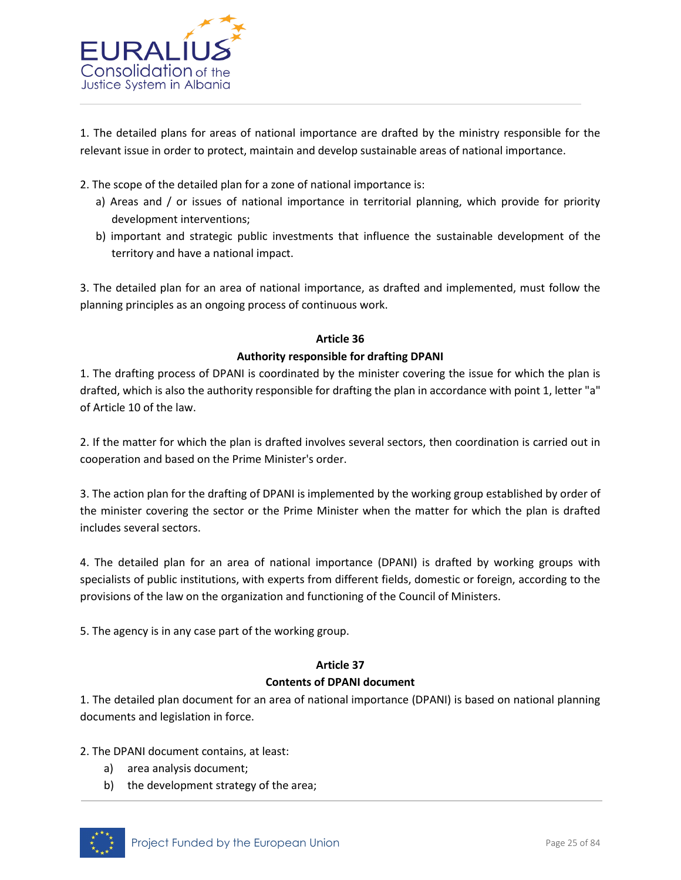

1. The detailed plans for areas of national importance are drafted by the ministry responsible for the relevant issue in order to protect, maintain and develop sustainable areas of national importance.

- 2. The scope of the detailed plan for a zone of national importance is:
	- a) Areas and / or issues of national importance in territorial planning, which provide for priority development interventions;
	- b) important and strategic public investments that influence the sustainable development of the territory and have a national impact.

3. The detailed plan for an area of national importance, as drafted and implemented, must follow the planning principles as an ongoing process of continuous work.

#### **Article 36**

## **Authority responsible for drafting DPANI**

1. The drafting process of DPANI is coordinated by the minister covering the issue for which the plan is drafted, which is also the authority responsible for drafting the plan in accordance with point 1, letter "a" of Article 10 of the law.

2. If the matter for which the plan is drafted involves several sectors, then coordination is carried out in cooperation and based on the Prime Minister's order.

3. The action plan for the drafting of DPANI is implemented by the working group established by order of the minister covering the sector or the Prime Minister when the matter for which the plan is drafted includes several sectors.

4. The detailed plan for an area of national importance (DPANI) is drafted by working groups with specialists of public institutions, with experts from different fields, domestic or foreign, according to the provisions of the law on the organization and functioning of the Council of Ministers.

5. The agency is in any case part of the working group.

# **Article 37**

#### **Contents of DPANI document**

1. The detailed plan document for an area of national importance (DPANI) is based on national planning documents and legislation in force.

2. The DPANI document contains, at least:

- a) area analysis document;
- b) the development strategy of the area;

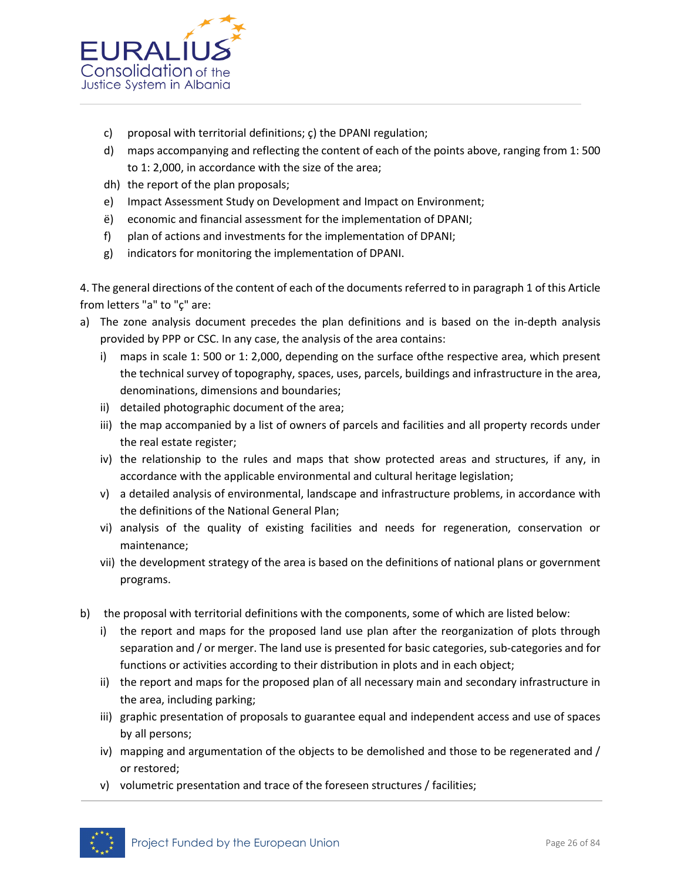

- c) proposal with territorial definitions; ç) the DPANI regulation;
- d) maps accompanying and reflecting the content of each of the points above, ranging from 1: 500 to 1: 2,000, in accordance with the size of the area;
- dh) the report of the plan proposals;
- e) Impact Assessment Study on Development and Impact on Environment;
- ë) economic and financial assessment for the implementation of DPANI;
- f) plan of actions and investments for the implementation of DPANI;
- g) indicators for monitoring the implementation of DPANI.

4. The general directions of the content of each of the documents referred to in paragraph 1 of this Article from letters "a" to "ç" are:

- a) The zone analysis document precedes the plan definitions and is based on the in-depth analysis provided by PPP or CSC. In any case, the analysis of the area contains:
	- i) maps in scale 1: 500 or 1: 2,000, depending on the surface ofthe respective area, which present the technical survey of topography, spaces, uses, parcels, buildings and infrastructure in the area, denominations, dimensions and boundaries;
	- ii) detailed photographic document of the area;
	- iii) the map accompanied by a list of owners of parcels and facilities and all property records under the real estate register;
	- iv) the relationship to the rules and maps that show protected areas and structures, if any, in accordance with the applicable environmental and cultural heritage legislation;
	- v) a detailed analysis of environmental, landscape and infrastructure problems, in accordance with the definitions of the National General Plan;
	- vi) analysis of the quality of existing facilities and needs for regeneration, conservation or maintenance;
	- vii) the development strategy of the area is based on the definitions of national plans or government programs.
- b) the proposal with territorial definitions with the components, some of which are listed below:
	- i) the report and maps for the proposed land use plan after the reorganization of plots through separation and / or merger. The land use is presented for basic categories, sub-categories and for functions or activities according to their distribution in plots and in each object;
	- ii) the report and maps for the proposed plan of all necessary main and secondary infrastructure in the area, including parking;
	- iii) graphic presentation of proposals to guarantee equal and independent access and use of spaces by all persons;
	- iv) mapping and argumentation of the objects to be demolished and those to be regenerated and / or restored;
	- v) volumetric presentation and trace of the foreseen structures / facilities;

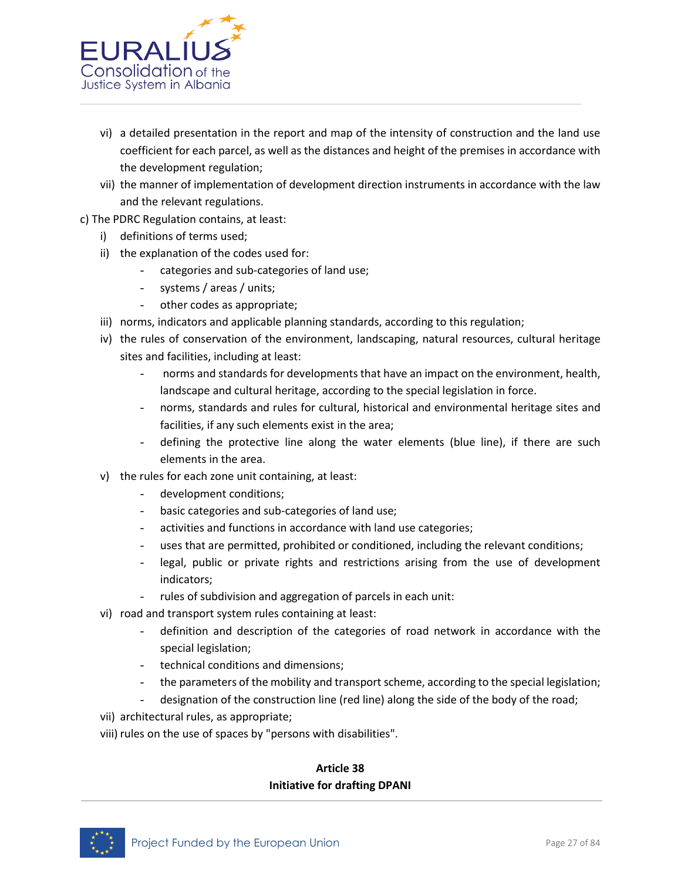

- vi) a detailed presentation in the report and map of the intensity of construction and the land use coefficient for each parcel, as well as the distances and height of the premises in accordance with the development regulation;
- vii) the manner of implementation of development direction instruments in accordance with the law and the relevant regulations.
- c) The PDRC Regulation contains, at least:
	- i) definitions of terms used;
	- ii) the explanation of the codes used for:
		- categories and sub-categories of land use;
		- systems / areas / units;
		- other codes as appropriate;
	- iii) norms, indicators and applicable planning standards, according to this regulation;
	- iv) the rules of conservation of the environment, landscaping, natural resources, cultural heritage sites and facilities, including at least:
		- norms and standards for developments that have an impact on the environment, health, landscape and cultural heritage, according to the special legislation in force.
		- norms, standards and rules for cultural, historical and environmental heritage sites and facilities, if any such elements exist in the area;
		- defining the protective line along the water elements (blue line), if there are such elements in the area.
	- v) the rules for each zone unit containing, at least:
		- development conditions;
		- basic categories and sub-categories of land use;
		- activities and functions in accordance with land use categories;
		- uses that are permitted, prohibited or conditioned, including the relevant conditions;
		- legal, public or private rights and restrictions arising from the use of development indicators;
		- rules of subdivision and aggregation of parcels in each unit:
	- vi) road and transport system rules containing at least:
		- definition and description of the categories of road network in accordance with the special legislation;
		- technical conditions and dimensions;
		- the parameters of the mobility and transport scheme, according to the special legislation;
		- designation of the construction line (red line) along the side of the body of the road;
	- vii) architectural rules, as appropriate;
	- viii) rules on the use of spaces by "persons with disabilities".

# **Article 38 Initiative for drafting DPANI**

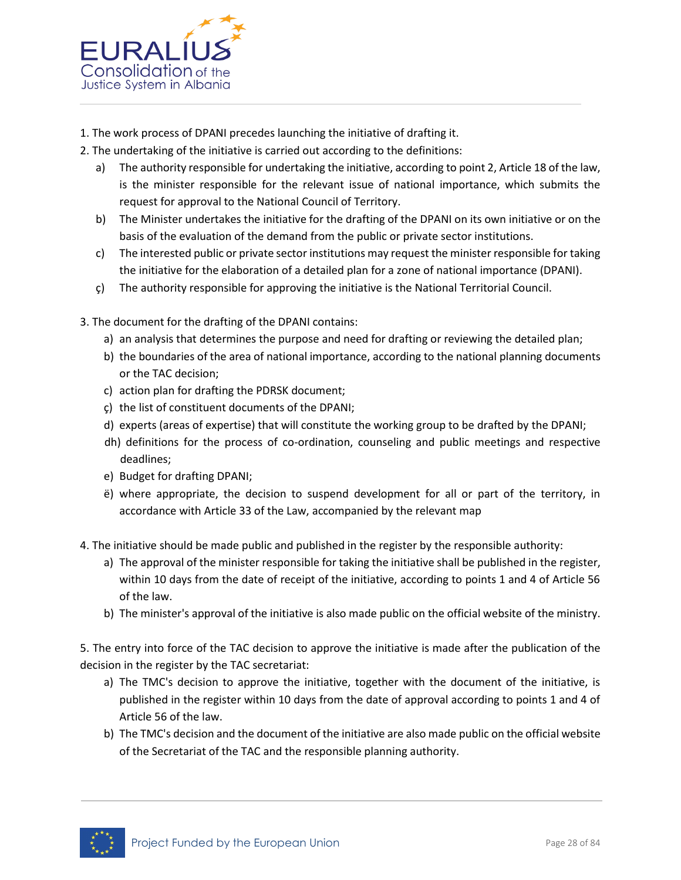

- 1. The work process of DPANI precedes launching the initiative of drafting it.
- 2. The undertaking of the initiative is carried out according to the definitions:
	- a) The authority responsible for undertaking the initiative, according to point 2, Article 18 of the law, is the minister responsible for the relevant issue of national importance, which submits the request for approval to the National Council of Territory.
	- b) The Minister undertakes the initiative for the drafting of the DPANI on its own initiative or on the basis of the evaluation of the demand from the public or private sector institutions.
	- c) The interested public or private sector institutions may request the minister responsible for taking the initiative for the elaboration of a detailed plan for a zone of national importance (DPANI).
	- ç) The authority responsible for approving the initiative is the National Territorial Council.
- 3. The document for the drafting of the DPANI contains:
	- a) an analysis that determines the purpose and need for drafting or reviewing the detailed plan;
	- b) the boundaries of the area of national importance, according to the national planning documents or the TAC decision;
	- c) action plan for drafting the PDRSK document;
	- ç) the list of constituent documents of the DPANI;
	- d) experts (areas of expertise) that will constitute the working group to be drafted by the DPANI;
	- dh) definitions for the process of co-ordination, counseling and public meetings and respective deadlines;
	- e) Budget for drafting DPANI;
	- ë) where appropriate, the decision to suspend development for all or part of the territory, in accordance with Article 33 of the Law, accompanied by the relevant map
- 4. The initiative should be made public and published in the register by the responsible authority:
	- a) The approval of the minister responsible for taking the initiative shall be published in the register, within 10 days from the date of receipt of the initiative, according to points 1 and 4 of Article 56 of the law.
	- b) The minister's approval of the initiative is also made public on the official website of the ministry.

5. The entry into force of the TAC decision to approve the initiative is made after the publication of the decision in the register by the TAC secretariat:

- a) The TMC's decision to approve the initiative, together with the document of the initiative, is published in the register within 10 days from the date of approval according to points 1 and 4 of Article 56 of the law.
- b) The TMC's decision and the document of the initiative are also made public on the official website of the Secretariat of the TAC and the responsible planning authority.

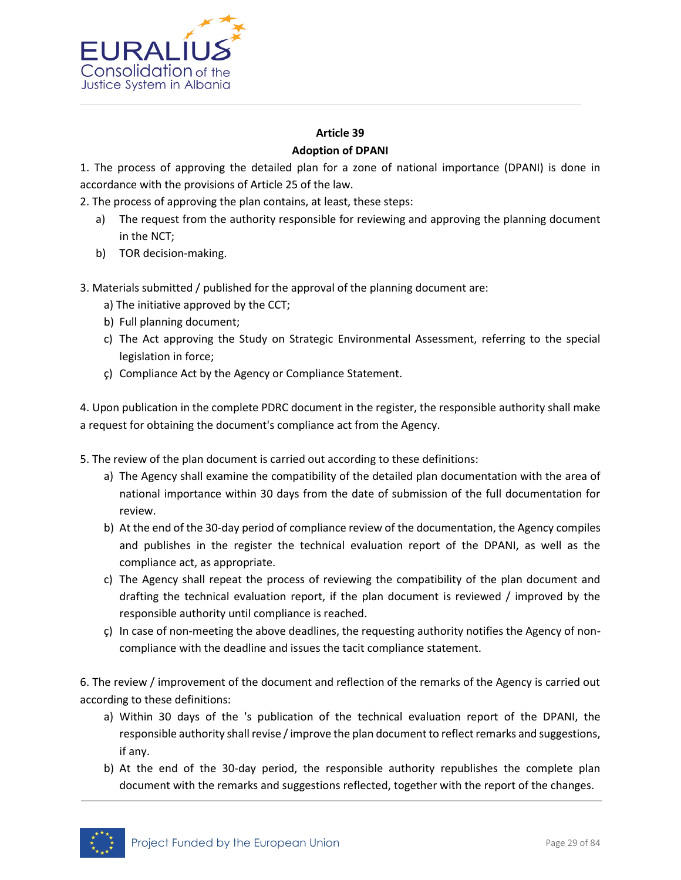

## **Article 39 Adoption of DPANI**

1. The process of approving the detailed plan for a zone of national importance (DPANI) is done in accordance with the provisions of Article 25 of the law.

2. The process of approving the plan contains, at least, these steps:

- a) The request from the authority responsible for reviewing and approving the planning document in the NCT;
- b) TOR decision-making.
- 3. Materials submitted / published for the approval of the planning document are:
	- a) The initiative approved by the CCT;
	- b) Full planning document;
	- c) The Act approving the Study on Strategic Environmental Assessment, referring to the special legislation in force;
	- ç) Compliance Act by the Agency or Compliance Statement.

4. Upon publication in the complete PDRC document in the register, the responsible authority shall make a request for obtaining the document's compliance act from the Agency.

- 5. The review of the plan document is carried out according to these definitions:
	- a) The Agency shall examine the compatibility of the detailed plan documentation with the area of national importance within 30 days from the date of submission of the full documentation for review.
	- b) At the end of the 30-day period of compliance review of the documentation, the Agency compiles and publishes in the register the technical evaluation report of the DPANI, as well as the compliance act, as appropriate.
	- c) The Agency shall repeat the process of reviewing the compatibility of the plan document and drafting the technical evaluation report, if the plan document is reviewed / improved by the responsible authority until compliance is reached.
	- ç) In case of non-meeting the above deadlines, the requesting authority notifies the Agency of noncompliance with the deadline and issues the tacit compliance statement.

6. The review / improvement of the document and reflection of the remarks of the Agency is carried out according to these definitions:

- a) Within 30 days of the 's publication of the technical evaluation report of the DPANI, the responsible authority shall revise / improve the plan document to reflect remarks and suggestions, if any.
- b) At the end of the 30-day period, the responsible authority republishes the complete plan document with the remarks and suggestions reflected, together with the report of the changes.

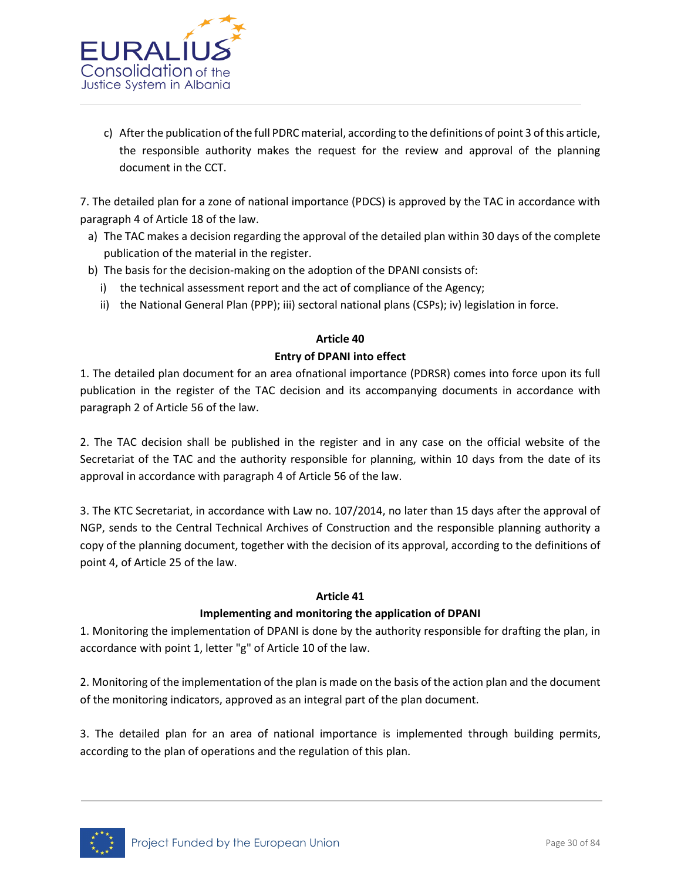

c) After the publication of the full PDRC material, according to the definitions of point 3 of this article, the responsible authority makes the request for the review and approval of the planning document in the CCT.

7. The detailed plan for a zone of national importance (PDCS) is approved by the TAC in accordance with paragraph 4 of Article 18 of the law.

- a) The TAC makes a decision regarding the approval of the detailed plan within 30 days of the complete publication of the material in the register.
- b) The basis for the decision-making on the adoption of the DPANI consists of:
	- i) the technical assessment report and the act of compliance of the Agency;
	- ii) the National General Plan (PPP); iii) sectoral national plans (CSPs); iv) legislation in force.

# **Article 40 Entry of DPANI into effect**

1. The detailed plan document for an area ofnational importance (PDRSR) comes into force upon its full publication in the register of the TAC decision and its accompanying documents in accordance with paragraph 2 of Article 56 of the law.

2. The TAC decision shall be published in the register and in any case on the official website of the Secretariat of the TAC and the authority responsible for planning, within 10 days from the date of its approval in accordance with paragraph 4 of Article 56 of the law.

3. The KTC Secretariat, in accordance with Law no. 107/2014, no later than 15 days after the approval of NGP, sends to the Central Technical Archives of Construction and the responsible planning authority a copy of the planning document, together with the decision of its approval, according to the definitions of point 4, of Article 25 of the law.

#### **Article 41**

# **Implementing and monitoring the application of DPANI**

1. Monitoring the implementation of DPANI is done by the authority responsible for drafting the plan, in accordance with point 1, letter "g" of Article 10 of the law.

2. Monitoring of the implementation of the plan is made on the basis of the action plan and the document of the monitoring indicators, approved as an integral part of the plan document.

3. The detailed plan for an area of national importance is implemented through building permits, according to the plan of operations and the regulation of this plan.

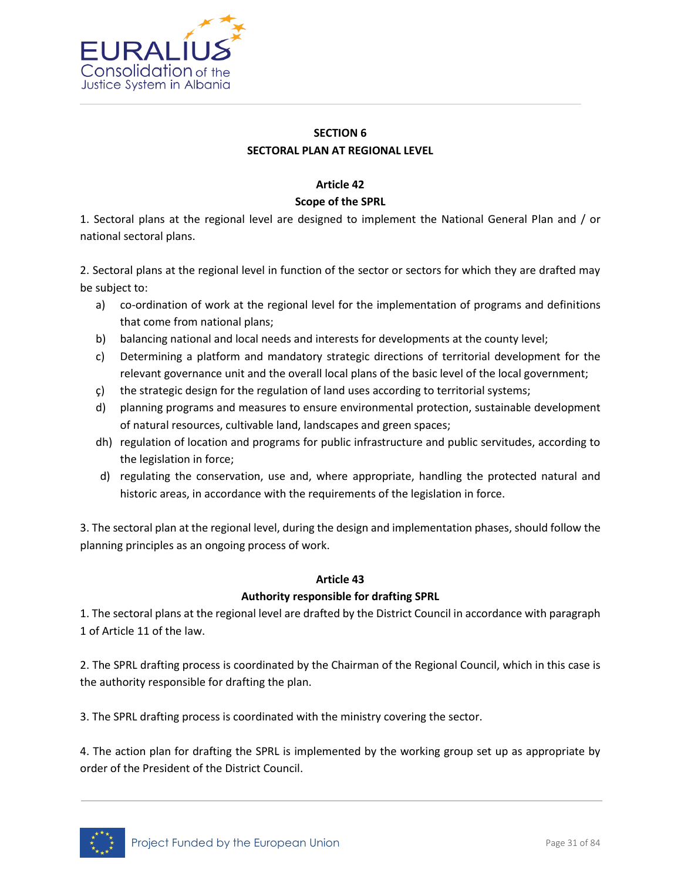

# **SECTION 6 SECTORAL PLAN AT REGIONAL LEVEL**

## **Article 42**

## **Scope of the SPRL**

1. Sectoral plans at the regional level are designed to implement the National General Plan and / or national sectoral plans.

2. Sectoral plans at the regional level in function of the sector or sectors for which they are drafted may be subject to:

- a) co-ordination of work at the regional level for the implementation of programs and definitions that come from national plans;
- b) balancing national and local needs and interests for developments at the county level;
- c) Determining a platform and mandatory strategic directions of territorial development for the relevant governance unit and the overall local plans of the basic level of the local government;
- ç) the strategic design for the regulation of land uses according to territorial systems;
- d) planning programs and measures to ensure environmental protection, sustainable development of natural resources, cultivable land, landscapes and green spaces;
- dh) regulation of location and programs for public infrastructure and public servitudes, according to the legislation in force;
- d) regulating the conservation, use and, where appropriate, handling the protected natural and historic areas, in accordance with the requirements of the legislation in force.

3. The sectoral plan at the regional level, during the design and implementation phases, should follow the planning principles as an ongoing process of work.

#### **Article 43**

# **Authority responsible for drafting SPRL**

1. The sectoral plans at the regional level are drafted by the District Council in accordance with paragraph 1 of Article 11 of the law.

2. The SPRL drafting process is coordinated by the Chairman of the Regional Council, which in this case is the authority responsible for drafting the plan.

3. The SPRL drafting process is coordinated with the ministry covering the sector.

4. The action plan for drafting the SPRL is implemented by the working group set up as appropriate by order of the President of the District Council.

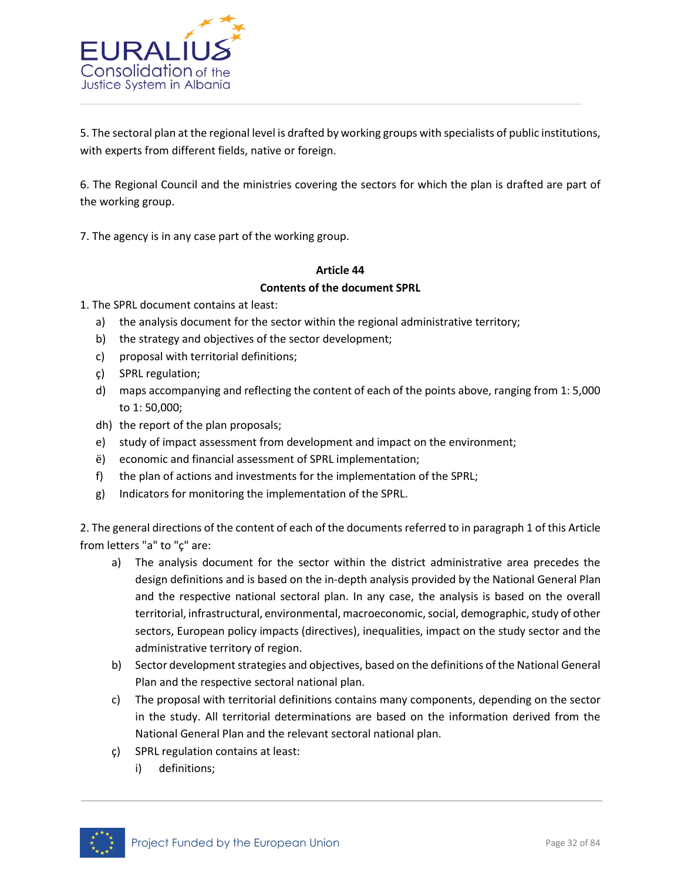

5. The sectoral plan at the regional level is drafted by working groups with specialists of public institutions, with experts from different fields, native or foreign.

6. The Regional Council and the ministries covering the sectors for which the plan is drafted are part of the working group.

7. The agency is in any case part of the working group.

# **Article 44 Contents of the document SPRL**

1. The SPRL document contains at least:

- a) the analysis document for the sector within the regional administrative territory;
- b) the strategy and objectives of the sector development;
- c) proposal with territorial definitions;
- ç) SPRL regulation;
- d) maps accompanying and reflecting the content of each of the points above, ranging from 1: 5,000 to 1: 50,000;
- dh) the report of the plan proposals;
- e) study of impact assessment from development and impact on the environment;
- ë) economic and financial assessment of SPRL implementation;
- f) the plan of actions and investments for the implementation of the SPRL;
- g) Indicators for monitoring the implementation of the SPRL.

2. The general directions of the content of each of the documents referred to in paragraph 1 of this Article from letters "a" to "ç" are:

- a) The analysis document for the sector within the district administrative area precedes the design definitions and is based on the in-depth analysis provided by the National General Plan and the respective national sectoral plan. In any case, the analysis is based on the overall territorial, infrastructural, environmental, macroeconomic, social, demographic, study of other sectors, European policy impacts (directives), inequalities, impact on the study sector and the administrative territory of region.
- b) Sector development strategies and objectives, based on the definitions of the National General Plan and the respective sectoral national plan.
- c) The proposal with territorial definitions contains many components, depending on the sector in the study. All territorial determinations are based on the information derived from the National General Plan and the relevant sectoral national plan.
- ç) SPRL regulation contains at least:
	- i) definitions;

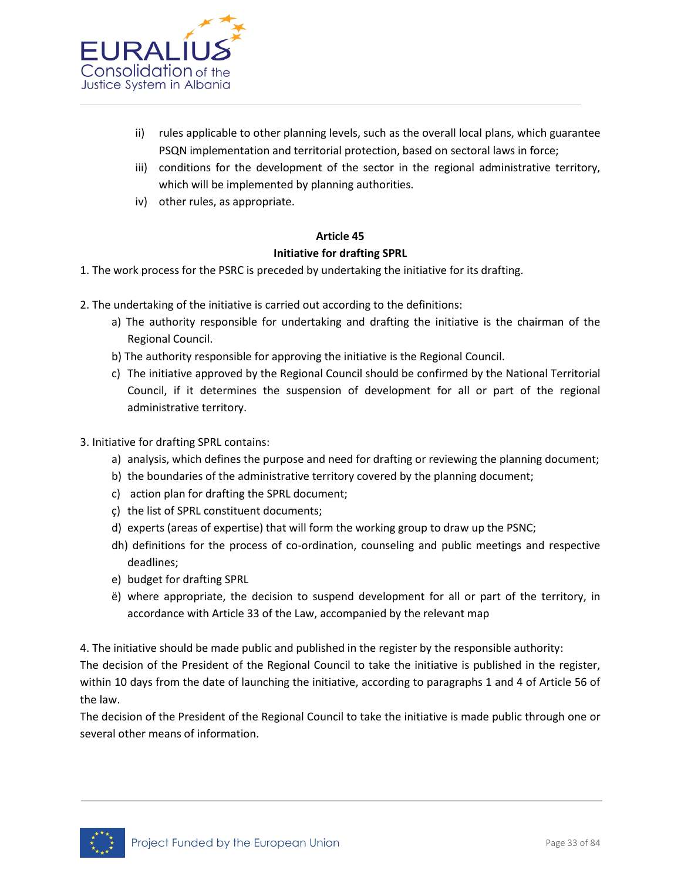

- ii) rules applicable to other planning levels, such as the overall local plans, which guarantee PSQN implementation and territorial protection, based on sectoral laws in force;
- iii) conditions for the development of the sector in the regional administrative territory, which will be implemented by planning authorities.
- iv) other rules, as appropriate.

## **Article 45**

## **Initiative for drafting SPRL**

- 1. The work process for the PSRC is preceded by undertaking the initiative for its drafting.
- 2. The undertaking of the initiative is carried out according to the definitions:
	- a) The authority responsible for undertaking and drafting the initiative is the chairman of the Regional Council.
	- b) The authority responsible for approving the initiative is the Regional Council.
	- c) The initiative approved by the Regional Council should be confirmed by the National Territorial Council, if it determines the suspension of development for all or part of the regional administrative territory.
- 3. Initiative for drafting SPRL contains:
	- a) analysis, which defines the purpose and need for drafting or reviewing the planning document;
	- b) the boundaries of the administrative territory covered by the planning document;
	- c) action plan for drafting the SPRL document;
	- ç) the list of SPRL constituent documents;
	- d) experts (areas of expertise) that will form the working group to draw up the PSNC;
	- dh) definitions for the process of co-ordination, counseling and public meetings and respective deadlines;
	- e) budget for drafting SPRL
	- ë) where appropriate, the decision to suspend development for all or part of the territory, in accordance with Article 33 of the Law, accompanied by the relevant map

4. The initiative should be made public and published in the register by the responsible authority:

The decision of the President of the Regional Council to take the initiative is published in the register, within 10 days from the date of launching the initiative, according to paragraphs 1 and 4 of Article 56 of the law.

The decision of the President of the Regional Council to take the initiative is made public through one or several other means of information.

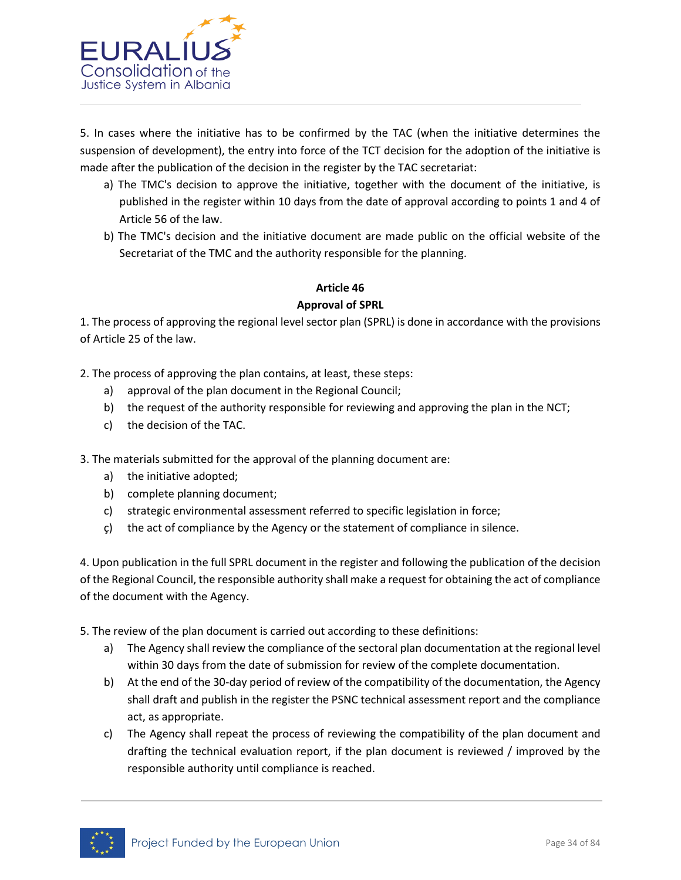

5. In cases where the initiative has to be confirmed by the TAC (when the initiative determines the suspension of development), the entry into force of the TCT decision for the adoption of the initiative is made after the publication of the decision in the register by the TAC secretariat:

- a) The TMC's decision to approve the initiative, together with the document of the initiative, is published in the register within 10 days from the date of approval according to points 1 and 4 of Article 56 of the law.
- b) The TMC's decision and the initiative document are made public on the official website of the Secretariat of the TMC and the authority responsible for the planning.

## **Article 46**

## **Approval of SPRL**

1. The process of approving the regional level sector plan (SPRL) is done in accordance with the provisions of Article 25 of the law.

2. The process of approving the plan contains, at least, these steps:

- a) approval of the plan document in the Regional Council;
- b) the request of the authority responsible for reviewing and approving the plan in the NCT;
- c) the decision of the TAC.

3. The materials submitted for the approval of the planning document are:

- a) the initiative adopted;
- b) complete planning document;
- c) strategic environmental assessment referred to specific legislation in force;
- ç) the act of compliance by the Agency or the statement of compliance in silence.

4. Upon publication in the full SPRL document in the register and following the publication of the decision of the Regional Council, the responsible authority shall make a request for obtaining the act of compliance of the document with the Agency.

5. The review of the plan document is carried out according to these definitions:

- a) The Agency shall review the compliance of the sectoral plan documentation at the regional level within 30 days from the date of submission for review of the complete documentation.
- b) At the end of the 30-day period of review of the compatibility of the documentation, the Agency shall draft and publish in the register the PSNC technical assessment report and the compliance act, as appropriate.
- c) The Agency shall repeat the process of reviewing the compatibility of the plan document and drafting the technical evaluation report, if the plan document is reviewed / improved by the responsible authority until compliance is reached.

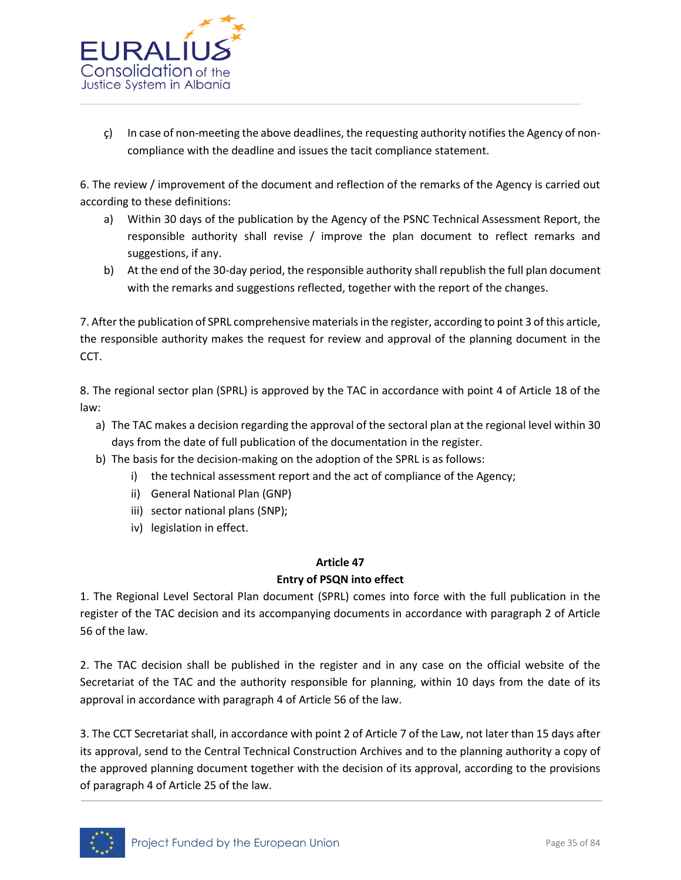

ç) In case of non-meeting the above deadlines, the requesting authority notifies the Agency of noncompliance with the deadline and issues the tacit compliance statement.

6. The review / improvement of the document and reflection of the remarks of the Agency is carried out according to these definitions:

- a) Within 30 days of the publication by the Agency of the PSNC Technical Assessment Report, the responsible authority shall revise / improve the plan document to reflect remarks and suggestions, if any.
- b) At the end of the 30-day period, the responsible authority shall republish the full plan document with the remarks and suggestions reflected, together with the report of the changes.

7. After the publication of SPRL comprehensive materials in the register, according to point 3 of this article, the responsible authority makes the request for review and approval of the planning document in the CCT.

8. The regional sector plan (SPRL) is approved by the TAC in accordance with point 4 of Article 18 of the law:

- a) The TAC makes a decision regarding the approval of the sectoral plan at the regional level within 30 days from the date of full publication of the documentation in the register.
- b) The basis for the decision-making on the adoption of the SPRL is as follows:
	- i) the technical assessment report and the act of compliance of the Agency;
	- ii) General National Plan (GNP)
	- iii) sector national plans (SNP);
	- iv) legislation in effect.

# **Article 47**

# **Entry of PSQN into effect**

1. The Regional Level Sectoral Plan document (SPRL) comes into force with the full publication in the register of the TAC decision and its accompanying documents in accordance with paragraph 2 of Article 56 of the law.

2. The TAC decision shall be published in the register and in any case on the official website of the Secretariat of the TAC and the authority responsible for planning, within 10 days from the date of its approval in accordance with paragraph 4 of Article 56 of the law.

3. The CCT Secretariat shall, in accordance with point 2 of Article 7 of the Law, not later than 15 days after its approval, send to the Central Technical Construction Archives and to the planning authority a copy of the approved planning document together with the decision of its approval, according to the provisions of paragraph 4 of Article 25 of the law.

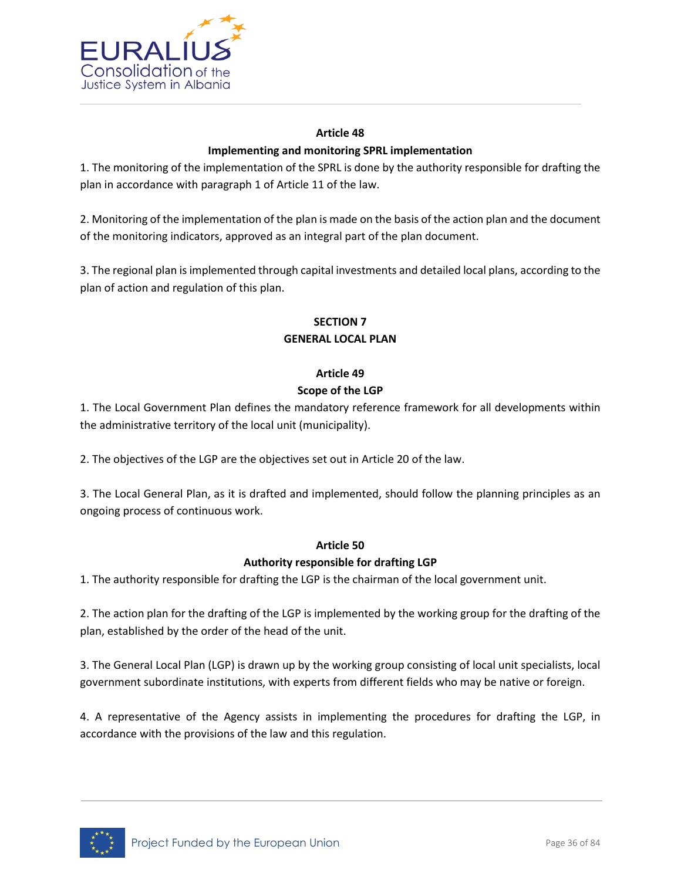

# **Article 48 Implementing and monitoring SPRL implementation**

1. The monitoring of the implementation of the SPRL is done by the authority responsible for drafting the plan in accordance with paragraph 1 of Article 11 of the law.

2. Monitoring of the implementation of the plan is made on the basis of the action plan and the document of the monitoring indicators, approved as an integral part of the plan document.

3. The regional plan is implemented through capital investments and detailed local plans, according to the plan of action and regulation of this plan.

# **SECTION 7 GENERAL LOCAL PLAN**

# **Article 49**

# **Scope of the LGP**

1. The Local Government Plan defines the mandatory reference framework for all developments within the administrative territory of the local unit (municipality).

2. The objectives of the LGP are the objectives set out in Article 20 of the law.

3. The Local General Plan, as it is drafted and implemented, should follow the planning principles as an ongoing process of continuous work.

# **Article 50**

# **Authority responsible for drafting LGP**

1. The authority responsible for drafting the LGP is the chairman of the local government unit.

2. The action plan for the drafting of the LGP is implemented by the working group for the drafting of the plan, established by the order of the head of the unit.

3. The General Local Plan (LGP) is drawn up by the working group consisting of local unit specialists, local government subordinate institutions, with experts from different fields who may be native or foreign.

4. A representative of the Agency assists in implementing the procedures for drafting the LGP, in accordance with the provisions of the law and this regulation.

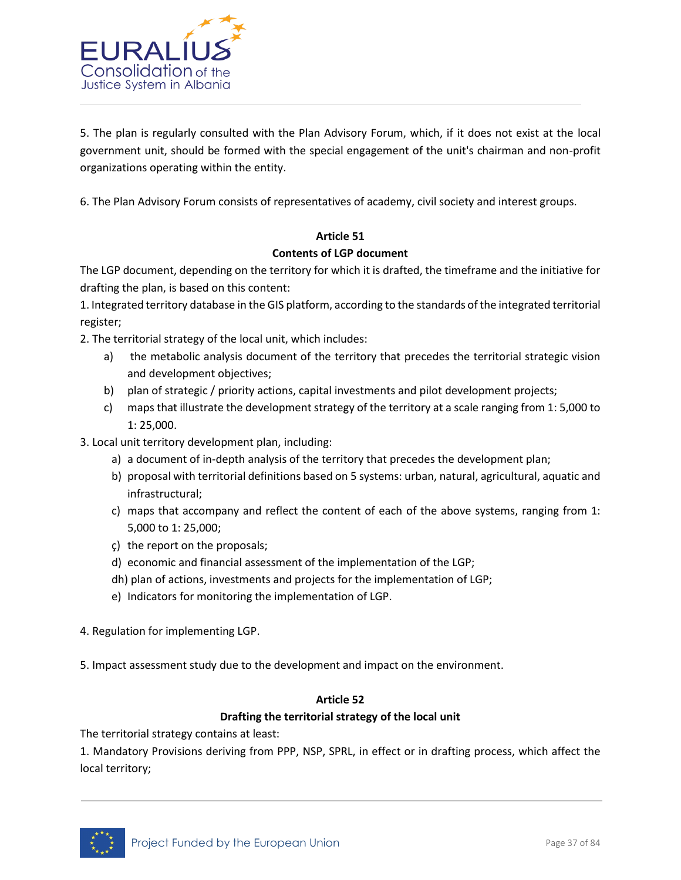

5. The plan is regularly consulted with the Plan Advisory Forum, which, if it does not exist at the local government unit, should be formed with the special engagement of the unit's chairman and non-profit organizations operating within the entity.

6. The Plan Advisory Forum consists of representatives of academy, civil society and interest groups.

#### **Article 51**

#### **Contents of LGP document**

The LGP document, depending on the territory for which it is drafted, the timeframe and the initiative for drafting the plan, is based on this content:

1. Integrated territory database in the GIS platform, according to the standards of the integrated territorial register;

2. The territorial strategy of the local unit, which includes:

- a) the metabolic analysis document of the territory that precedes the territorial strategic vision and development objectives;
- b) plan of strategic / priority actions, capital investments and pilot development projects;
- c) maps that illustrate the development strategy of the territory at a scale ranging from 1: 5,000 to 1: 25,000.
- 3. Local unit territory development plan, including:
	- a) a document of in-depth analysis of the territory that precedes the development plan;
	- b) proposal with territorial definitions based on 5 systems: urban, natural, agricultural, aquatic and infrastructural;
	- c) maps that accompany and reflect the content of each of the above systems, ranging from 1: 5,000 to 1: 25,000;
	- ç) the report on the proposals;
	- d) economic and financial assessment of the implementation of the LGP;
	- dh) plan of actions, investments and projects for the implementation of LGP;
	- e) Indicators for monitoring the implementation of LGP.
- 4. Regulation for implementing LGP.
- 5. Impact assessment study due to the development and impact on the environment.

#### **Article 52**

#### **Drafting the territorial strategy of the local unit**

The territorial strategy contains at least:

1. Mandatory Provisions deriving from PPP, NSP, SPRL, in effect or in drafting process, which affect the local territory;

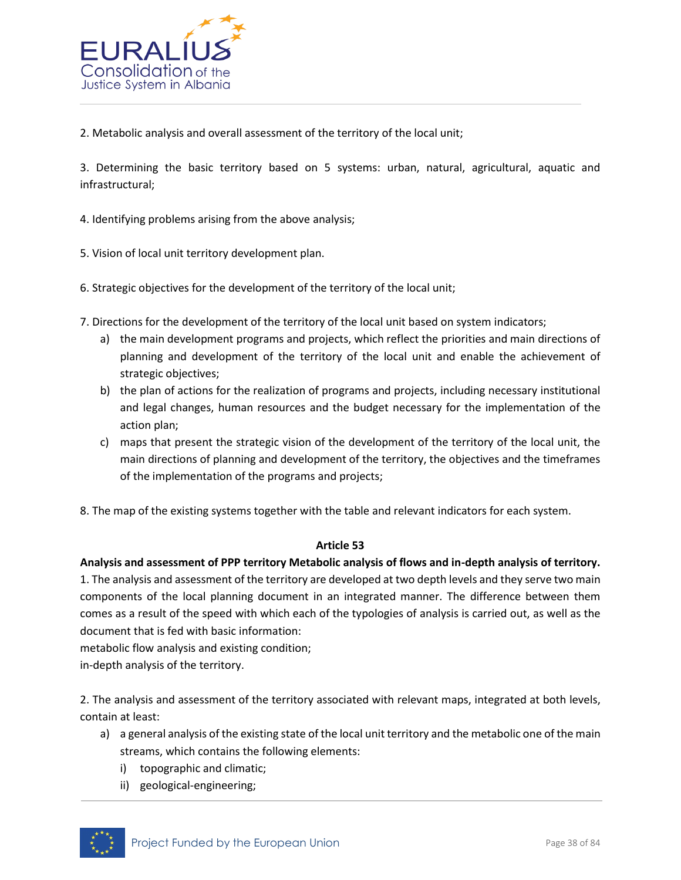

2. Metabolic analysis and overall assessment of the territory of the local unit;

3. Determining the basic territory based on 5 systems: urban, natural, agricultural, aquatic and infrastructural;

4. Identifying problems arising from the above analysis;

5. Vision of local unit territory development plan.

- 6. Strategic objectives for the development of the territory of the local unit;
- 7. Directions for the development of the territory of the local unit based on system indicators;
	- a) the main development programs and projects, which reflect the priorities and main directions of planning and development of the territory of the local unit and enable the achievement of strategic objectives;
	- b) the plan of actions for the realization of programs and projects, including necessary institutional and legal changes, human resources and the budget necessary for the implementation of the action plan;
	- c) maps that present the strategic vision of the development of the territory of the local unit, the main directions of planning and development of the territory, the objectives and the timeframes of the implementation of the programs and projects;
- 8. The map of the existing systems together with the table and relevant indicators for each system.

#### **Article 53**

#### **Analysis and assessment of PPP territory Metabolic analysis of flows and in-depth analysis of territory.**

1. The analysis and assessment of the territory are developed at two depth levels and they serve two main components of the local planning document in an integrated manner. The difference between them comes as a result of the speed with which each of the typologies of analysis is carried out, as well as the document that is fed with basic information:

metabolic flow analysis and existing condition;

in-depth analysis of the territory.

2. The analysis and assessment of the territory associated with relevant maps, integrated at both levels, contain at least:

- a) a general analysis of the existing state of the local unit territory and the metabolic one of the main streams, which contains the following elements:
	- i) topographic and climatic;
	- ii) geological-engineering;

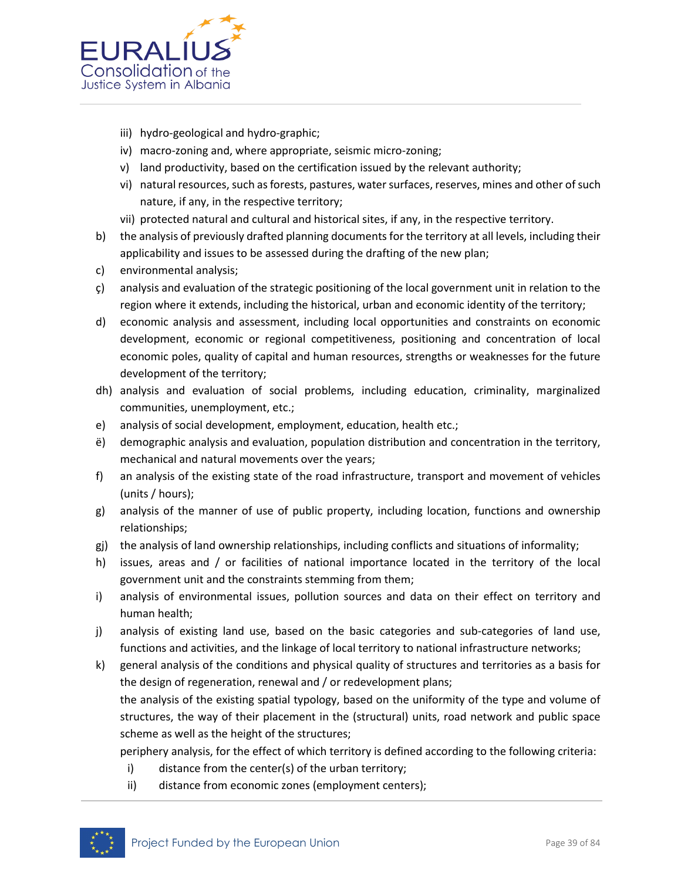

- iii) hydro-geological and hydro-graphic;
- iv) macro-zoning and, where appropriate, seismic micro-zoning;
- v) land productivity, based on the certification issued by the relevant authority;
- vi) natural resources, such as forests, pastures, water surfaces, reserves, mines and other of such nature, if any, in the respective territory;
- vii) protected natural and cultural and historical sites, if any, in the respective territory.
- b) the analysis of previously drafted planning documents for the territory at all levels, including their applicability and issues to be assessed during the drafting of the new plan;
- c) environmental analysis;
- ç) analysis and evaluation of the strategic positioning of the local government unit in relation to the region where it extends, including the historical, urban and economic identity of the territory;
- d) economic analysis and assessment, including local opportunities and constraints on economic development, economic or regional competitiveness, positioning and concentration of local economic poles, quality of capital and human resources, strengths or weaknesses for the future development of the territory;
- dh) analysis and evaluation of social problems, including education, criminality, marginalized communities, unemployment, etc.;
- e) analysis of social development, employment, education, health etc.;
- ë) demographic analysis and evaluation, population distribution and concentration in the territory, mechanical and natural movements over the years;
- f) an analysis of the existing state of the road infrastructure, transport and movement of vehicles (units / hours);
- g) analysis of the manner of use of public property, including location, functions and ownership relationships;
- gj) the analysis of land ownership relationships, including conflicts and situations of informality;
- h) issues, areas and / or facilities of national importance located in the territory of the local government unit and the constraints stemming from them;
- i) analysis of environmental issues, pollution sources and data on their effect on territory and human health;
- j) analysis of existing land use, based on the basic categories and sub-categories of land use, functions and activities, and the linkage of local territory to national infrastructure networks;
- k) general analysis of the conditions and physical quality of structures and territories as a basis for the design of regeneration, renewal and / or redevelopment plans;

the analysis of the existing spatial typology, based on the uniformity of the type and volume of structures, the way of their placement in the (structural) units, road network and public space scheme as well as the height of the structures;

periphery analysis, for the effect of which territory is defined according to the following criteria:

- i) distance from the center(s) of the urban territory;
- ii) distance from economic zones (employment centers);

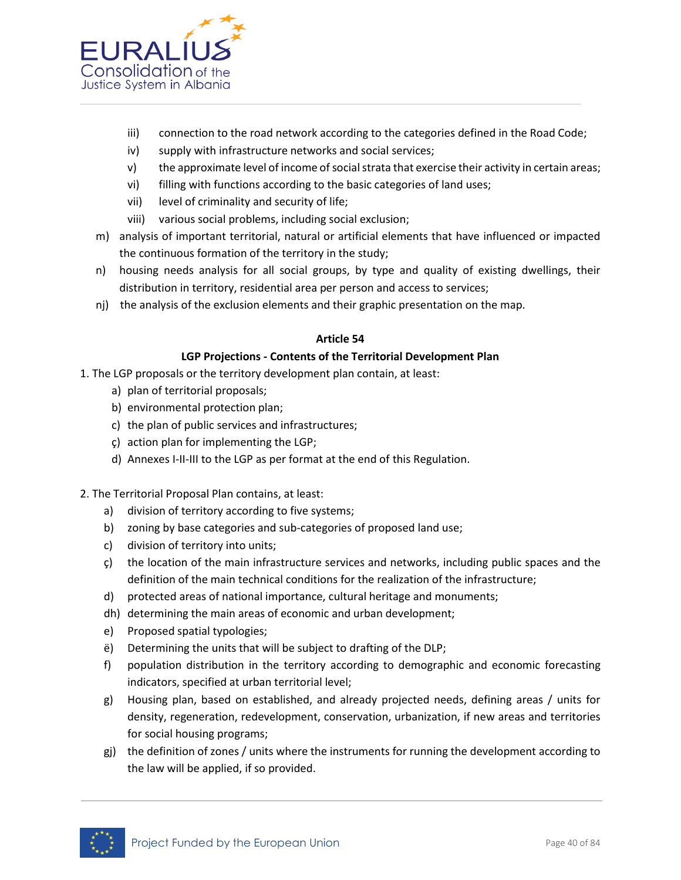

- iii) connection to the road network according to the categories defined in the Road Code;
- iv) supply with infrastructure networks and social services;
- v) the approximate level of income of social strata that exercise their activity in certain areas;
- vi) filling with functions according to the basic categories of land uses;
- vii) level of criminality and security of life;
- viii) various social problems, including social exclusion;
- m) analysis of important territorial, natural or artificial elements that have influenced or impacted the continuous formation of the territory in the study;
- n) housing needs analysis for all social groups, by type and quality of existing dwellings, their distribution in territory, residential area per person and access to services;
- nj) the analysis of the exclusion elements and their graphic presentation on the map.

#### **Article 54**

#### **LGP Projections - Contents of the Territorial Development Plan**

- 1. The LGP proposals or the territory development plan contain, at least:
	- a) plan of territorial proposals;
	- b) environmental protection plan;
	- c) the plan of public services and infrastructures;
	- ç) action plan for implementing the LGP;
	- d) Annexes I-II-III to the LGP as per format at the end of this Regulation.
- 2. The Territorial Proposal Plan contains, at least:
	- a) division of territory according to five systems;
	- b) zoning by base categories and sub-categories of proposed land use;
	- c) division of territory into units;
	- ç) the location of the main infrastructure services and networks, including public spaces and the definition of the main technical conditions for the realization of the infrastructure;
	- d) protected areas of national importance, cultural heritage and monuments;
	- dh) determining the main areas of economic and urban development;
	- e) Proposed spatial typologies;
	- ë) Determining the units that will be subject to drafting of the DLP;
	- f) population distribution in the territory according to demographic and economic forecasting indicators, specified at urban territorial level;
	- g) Housing plan, based on established, and already projected needs, defining areas / units for density, regeneration, redevelopment, conservation, urbanization, if new areas and territories for social housing programs;
	- gj) the definition of zones / units where the instruments for running the development according to the law will be applied, if so provided.

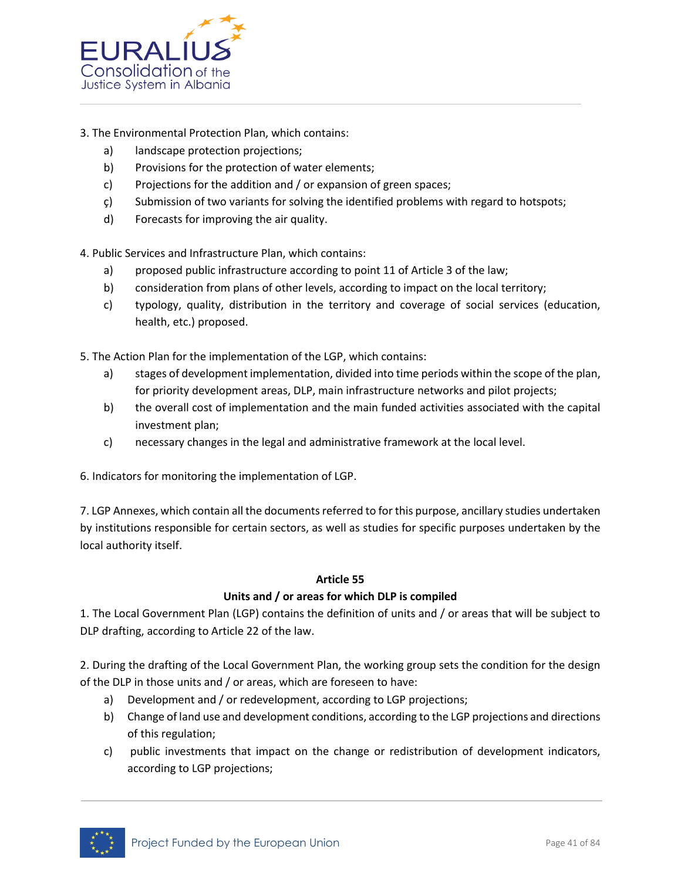

- 3. The Environmental Protection Plan, which contains:
	- a) landscape protection projections;
	- b) Provisions for the protection of water elements;
	- c) Projections for the addition and / or expansion of green spaces;
	- ç) Submission of two variants for solving the identified problems with regard to hotspots;
	- d) Forecasts for improving the air quality.

4. Public Services and Infrastructure Plan, which contains:

- a) proposed public infrastructure according to point 11 of Article 3 of the law;
- b) consideration from plans of other levels, according to impact on the local territory;
- c) typology, quality, distribution in the territory and coverage of social services (education, health, etc.) proposed.
- 5. The Action Plan for the implementation of the LGP, which contains:
	- a) stages of development implementation, divided into time periods within the scope of the plan, for priority development areas, DLP, main infrastructure networks and pilot projects;
	- b) the overall cost of implementation and the main funded activities associated with the capital investment plan;
	- c) necessary changes in the legal and administrative framework at the local level.

6. Indicators for monitoring the implementation of LGP.

7. LGP Annexes, which contain all the documents referred to for this purpose, ancillary studies undertaken by institutions responsible for certain sectors, as well as studies for specific purposes undertaken by the local authority itself.

#### **Article 55**

#### **Units and / or areas for which DLP is compiled**

1. The Local Government Plan (LGP) contains the definition of units and / or areas that will be subject to DLP drafting, according to Article 22 of the law.

2. During the drafting of the Local Government Plan, the working group sets the condition for the design of the DLP in those units and / or areas, which are foreseen to have:

- a) Development and / or redevelopment, according to LGP projections;
- b) Change of land use and development conditions, according to the LGP projections and directions of this regulation;
- c) public investments that impact on the change or redistribution of development indicators, according to LGP projections;

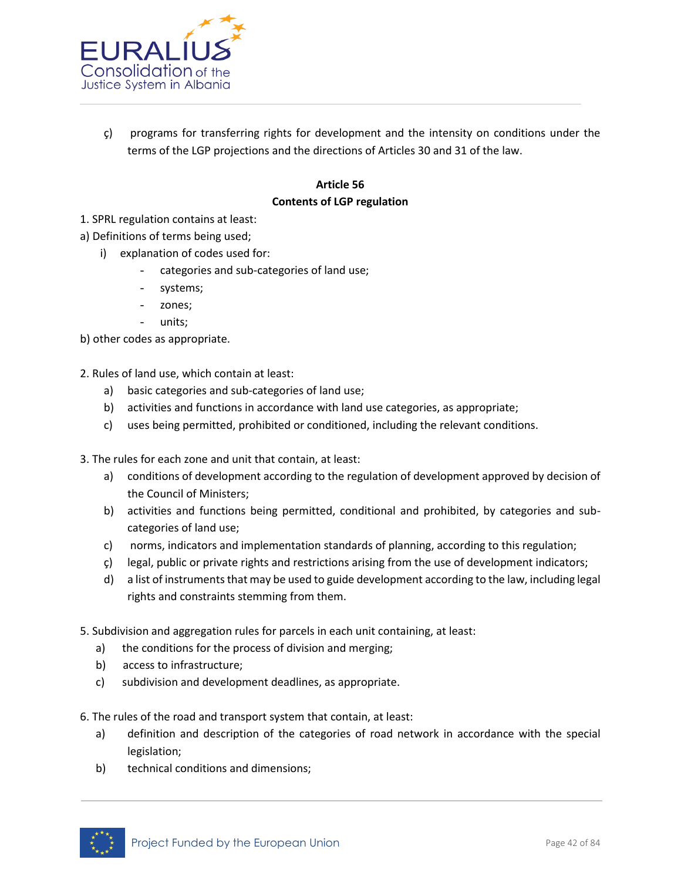

 $\zeta$ ) programs for transferring rights for development and the intensity on conditions under the terms of the LGP projections and the directions of Articles 30 and 31 of the law.

# **Article 56 Contents of LGP regulation**

- 1. SPRL regulation contains at least:
- a) Definitions of terms being used;
	- i) explanation of codes used for:
		- categories and sub-categories of land use;
		- systems;
		- zones;
		- units;

b) other codes as appropriate.

- 2. Rules of land use, which contain at least:
	- a) basic categories and sub-categories of land use;
	- b) activities and functions in accordance with land use categories, as appropriate;
	- c) uses being permitted, prohibited or conditioned, including the relevant conditions.
- 3. The rules for each zone and unit that contain, at least:
	- a) conditions of development according to the regulation of development approved by decision of the Council of Ministers;
	- b) activities and functions being permitted, conditional and prohibited, by categories and subcategories of land use;
	- c) norms, indicators and implementation standards of planning, according to this regulation;
	- ç) legal, public or private rights and restrictions arising from the use of development indicators;
	- d) a list of instruments that may be used to guide development according to the law, including legal rights and constraints stemming from them.
- 5. Subdivision and aggregation rules for parcels in each unit containing, at least:
	- a) the conditions for the process of division and merging;
	- b) access to infrastructure;
	- c) subdivision and development deadlines, as appropriate.
- 6. The rules of the road and transport system that contain, at least:
	- a) definition and description of the categories of road network in accordance with the special legislation;
	- b) technical conditions and dimensions;

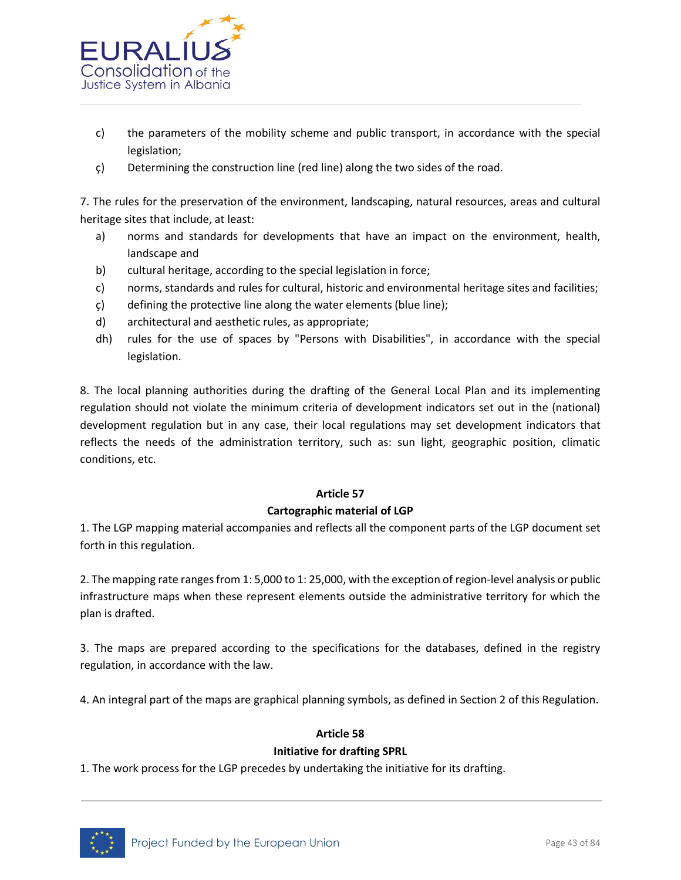

- c) the parameters of the mobility scheme and public transport, in accordance with the special legislation;
- ç) Determining the construction line (red line) along the two sides of the road.

7. The rules for the preservation of the environment, landscaping, natural resources, areas and cultural heritage sites that include, at least:

- a) norms and standards for developments that have an impact on the environment, health, landscape and
- b) cultural heritage, according to the special legislation in force;
- c) norms, standards and rules for cultural, historic and environmental heritage sites and facilities;
- ç) defining the protective line along the water elements (blue line);
- d) architectural and aesthetic rules, as appropriate;
- dh) rules for the use of spaces by "Persons with Disabilities", in accordance with the special legislation.

8. The local planning authorities during the drafting of the General Local Plan and its implementing regulation should not violate the minimum criteria of development indicators set out in the (national) development regulation but in any case, their local regulations may set development indicators that reflects the needs of the administration territory, such as: sun light, geographic position, climatic conditions, etc.

#### **Article 57**

#### **Cartographic material of LGP**

1. The LGP mapping material accompanies and reflects all the component parts of the LGP document set forth in this regulation.

2. The mapping rate ranges from 1: 5,000 to 1: 25,000, with the exception of region-level analysis or public infrastructure maps when these represent elements outside the administrative territory for which the plan is drafted.

3. The maps are prepared according to the specifications for the databases, defined in the registry regulation, in accordance with the law.

4. An integral part of the maps are graphical planning symbols, as defined in Section 2 of this Regulation.

#### **Article 58**

#### **Initiative for drafting SPRL**

1. The work process for the LGP precedes by undertaking the initiative for its drafting.

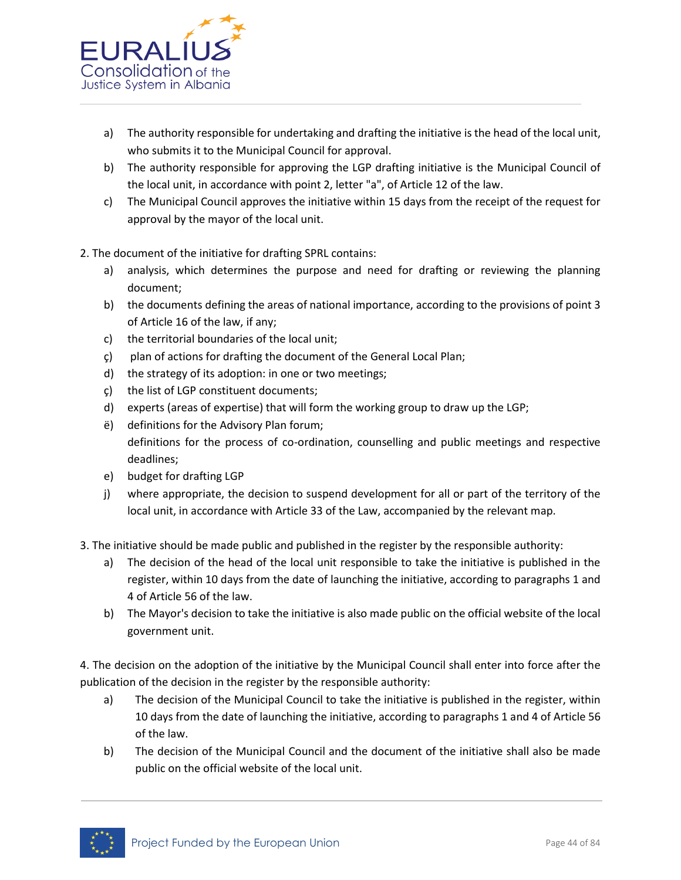

- a) The authority responsible for undertaking and drafting the initiative is the head of the local unit, who submits it to the Municipal Council for approval.
- b) The authority responsible for approving the LGP drafting initiative is the Municipal Council of the local unit, in accordance with point 2, letter "a", of Article 12 of the law.
- c) The Municipal Council approves the initiative within 15 days from the receipt of the request for approval by the mayor of the local unit.
- 2. The document of the initiative for drafting SPRL contains:
	- a) analysis, which determines the purpose and need for drafting or reviewing the planning document;
	- b) the documents defining the areas of national importance, according to the provisions of point 3 of Article 16 of the law, if any;
	- c) the territorial boundaries of the local unit;
	- ç) plan of actions for drafting the document of the General Local Plan;
	- d) the strategy of its adoption: in one or two meetings;
	- ç) the list of LGP constituent documents;
	- d) experts (areas of expertise) that will form the working group to draw up the LGP;
	- ë) definitions for the Advisory Plan forum; definitions for the process of co-ordination, counselling and public meetings and respective deadlines;
	- e) budget for drafting LGP
	- j) where appropriate, the decision to suspend development for all or part of the territory of the local unit, in accordance with Article 33 of the Law, accompanied by the relevant map.
- 3. The initiative should be made public and published in the register by the responsible authority:
	- a) The decision of the head of the local unit responsible to take the initiative is published in the register, within 10 days from the date of launching the initiative, according to paragraphs 1 and 4 of Article 56 of the law.
	- b) The Mayor's decision to take the initiative is also made public on the official website of the local government unit.

4. The decision on the adoption of the initiative by the Municipal Council shall enter into force after the publication of the decision in the register by the responsible authority:

- a) The decision of the Municipal Council to take the initiative is published in the register, within 10 days from the date of launching the initiative, according to paragraphs 1 and 4 of Article 56 of the law.
- b) The decision of the Municipal Council and the document of the initiative shall also be made public on the official website of the local unit.

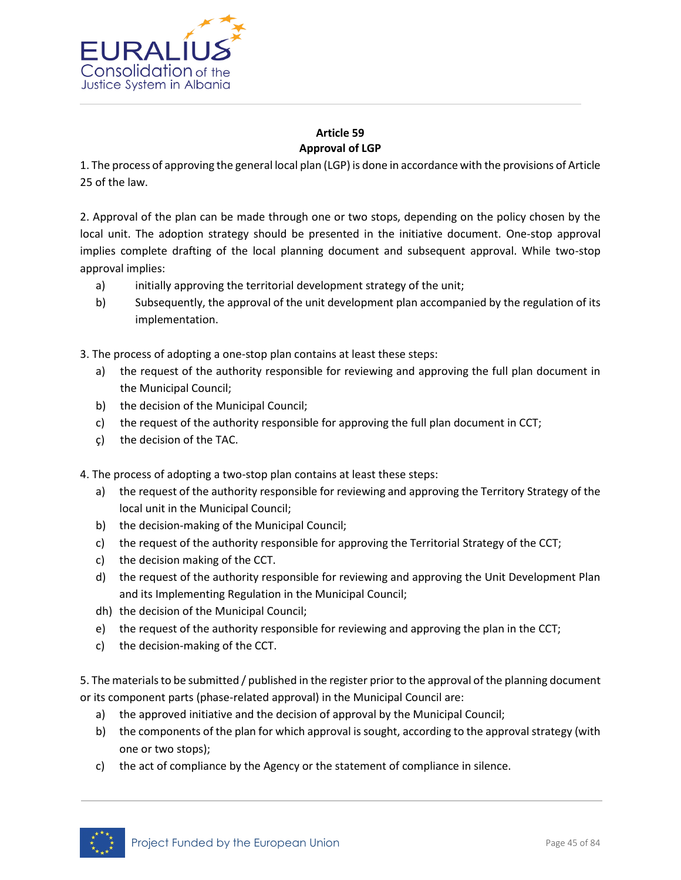

# **Article 59 Approval of LGP**

1. The process of approving the general local plan (LGP) is done in accordance with the provisions of Article 25 of the law.

2. Approval of the plan can be made through one or two stops, depending on the policy chosen by the local unit. The adoption strategy should be presented in the initiative document. One-stop approval implies complete drafting of the local planning document and subsequent approval. While two-stop approval implies:

- a) initially approving the territorial development strategy of the unit;
- b) Subsequently, the approval of the unit development plan accompanied by the regulation of its implementation.

3. The process of adopting a one-stop plan contains at least these steps:

- a) the request of the authority responsible for reviewing and approving the full plan document in the Municipal Council;
- b) the decision of the Municipal Council;
- c) the request of the authority responsible for approving the full plan document in CCT;
- ç) the decision of the TAC.

4. The process of adopting a two-stop plan contains at least these steps:

- a) the request of the authority responsible for reviewing and approving the Territory Strategy of the local unit in the Municipal Council;
- b) the decision-making of the Municipal Council;
- c) the request of the authority responsible for approving the Territorial Strategy of the CCT;
- c) the decision making of the CCT.
- d) the request of the authority responsible for reviewing and approving the Unit Development Plan and its Implementing Regulation in the Municipal Council;
- dh) the decision of the Municipal Council;
- e) the request of the authority responsible for reviewing and approving the plan in the CCT;
- c) the decision-making of the CCT.

5. The materials to be submitted / published in the register prior to the approval of the planning document or its component parts (phase-related approval) in the Municipal Council are:

- a) the approved initiative and the decision of approval by the Municipal Council;
- b) the components of the plan for which approval is sought, according to the approval strategy (with one or two stops);
- c) the act of compliance by the Agency or the statement of compliance in silence.

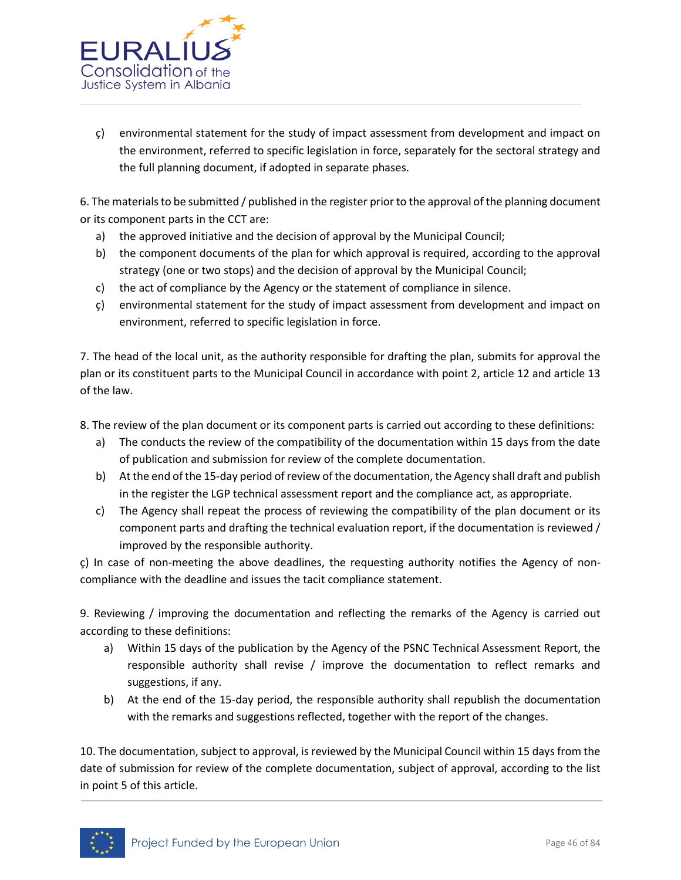

 $\zeta$ ) environmental statement for the study of impact assessment from development and impact on the environment, referred to specific legislation in force, separately for the sectoral strategy and the full planning document, if adopted in separate phases.

6. The materials to be submitted / published in the register prior to the approval of the planning document or its component parts in the CCT are:

- a) the approved initiative and the decision of approval by the Municipal Council;
- b) the component documents of the plan for which approval is required, according to the approval strategy (one or two stops) and the decision of approval by the Municipal Council;
- c) the act of compliance by the Agency or the statement of compliance in silence.
- ç) environmental statement for the study of impact assessment from development and impact on environment, referred to specific legislation in force.

7. The head of the local unit, as the authority responsible for drafting the plan, submits for approval the plan or its constituent parts to the Municipal Council in accordance with point 2, article 12 and article 13 of the law.

8. The review of the plan document or its component parts is carried out according to these definitions:

- a) The conducts the review of the compatibility of the documentation within 15 days from the date of publication and submission for review of the complete documentation.
- b) At the end of the 15-day period of review of the documentation, the Agency shall draft and publish in the register the LGP technical assessment report and the compliance act, as appropriate.
- c) The Agency shall repeat the process of reviewing the compatibility of the plan document or its component parts and drafting the technical evaluation report, if the documentation is reviewed / improved by the responsible authority.

ç) In case of non-meeting the above deadlines, the requesting authority notifies the Agency of noncompliance with the deadline and issues the tacit compliance statement.

9. Reviewing / improving the documentation and reflecting the remarks of the Agency is carried out according to these definitions:

- a) Within 15 days of the publication by the Agency of the PSNC Technical Assessment Report, the responsible authority shall revise / improve the documentation to reflect remarks and suggestions, if any.
- b) At the end of the 15-day period, the responsible authority shall republish the documentation with the remarks and suggestions reflected, together with the report of the changes.

10. The documentation, subject to approval, is reviewed by the Municipal Council within 15 days from the date of submission for review of the complete documentation, subject of approval, according to the list in point 5 of this article.

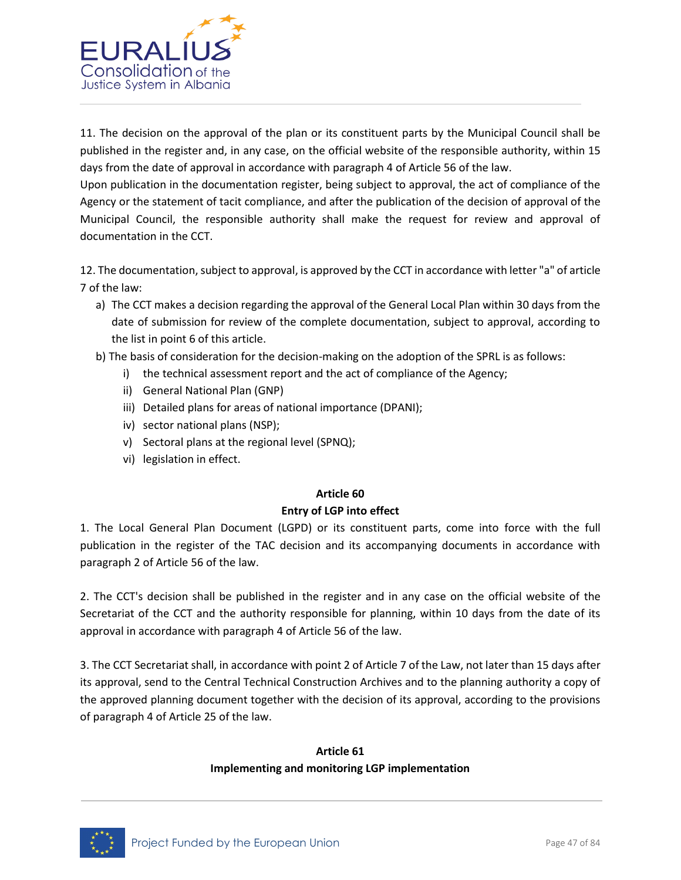

11. The decision on the approval of the plan or its constituent parts by the Municipal Council shall be published in the register and, in any case, on the official website of the responsible authority, within 15 days from the date of approval in accordance with paragraph 4 of Article 56 of the law.

Upon publication in the documentation register, being subject to approval, the act of compliance of the Agency or the statement of tacit compliance, and after the publication of the decision of approval of the Municipal Council, the responsible authority shall make the request for review and approval of documentation in the CCT.

12. The documentation, subject to approval, is approved by the CCT in accordance with letter "a" of article 7 of the law:

- a) The CCT makes a decision regarding the approval of the General Local Plan within 30 days from the date of submission for review of the complete documentation, subject to approval, according to the list in point 6 of this article.
- b) The basis of consideration for the decision-making on the adoption of the SPRL is as follows:
	- i) the technical assessment report and the act of compliance of the Agency;
	- ii) General National Plan (GNP)
	- iii) Detailed plans for areas of national importance (DPANI);
	- iv) sector national plans (NSP);
	- v) Sectoral plans at the regional level (SPNQ);
	- vi) legislation in effect.

#### **Article 60**

#### **Entry of LGP into effect**

1. The Local General Plan Document (LGPD) or its constituent parts, come into force with the full publication in the register of the TAC decision and its accompanying documents in accordance with paragraph 2 of Article 56 of the law.

2. The CCT's decision shall be published in the register and in any case on the official website of the Secretariat of the CCT and the authority responsible for planning, within 10 days from the date of its approval in accordance with paragraph 4 of Article 56 of the law.

3. The CCT Secretariat shall, in accordance with point 2 of Article 7 of the Law, not later than 15 days after its approval, send to the Central Technical Construction Archives and to the planning authority a copy of the approved planning document together with the decision of its approval, according to the provisions of paragraph 4 of Article 25 of the law.

# **Article 61 Implementing and monitoring LGP implementation**

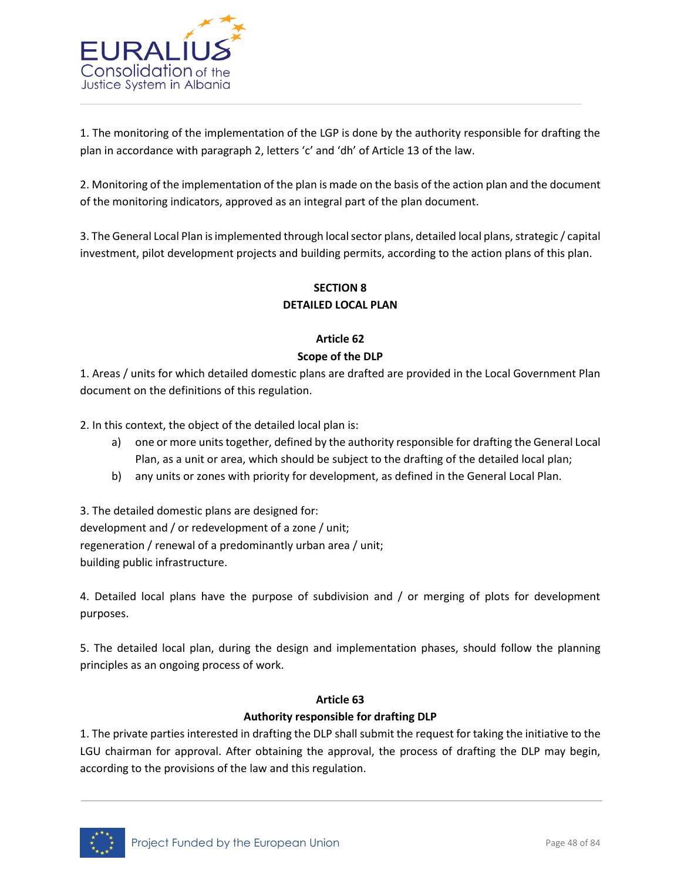

1. The monitoring of the implementation of the LGP is done by the authority responsible for drafting the plan in accordance with paragraph 2, letters 'c' and 'dh' of Article 13 of the law.

2. Monitoring of the implementation of the plan is made on the basis of the action plan and the document of the monitoring indicators, approved as an integral part of the plan document.

3. The General Local Plan is implemented through local sector plans, detailed local plans, strategic / capital investment, pilot development projects and building permits, according to the action plans of this plan.

# **SECTION 8 DETAILED LOCAL PLAN**

# **Article 62 Scope of the DLP**

1. Areas / units for which detailed domestic plans are drafted are provided in the Local Government Plan document on the definitions of this regulation.

2. In this context, the object of the detailed local plan is:

- a) one or more units together, defined by the authority responsible for drafting the General Local Plan, as a unit or area, which should be subject to the drafting of the detailed local plan;
- b) any units or zones with priority for development, as defined in the General Local Plan.

3. The detailed domestic plans are designed for: development and / or redevelopment of a zone / unit; regeneration / renewal of a predominantly urban area / unit; building public infrastructure.

4. Detailed local plans have the purpose of subdivision and / or merging of plots for development purposes.

5. The detailed local plan, during the design and implementation phases, should follow the planning principles as an ongoing process of work.

# **Article 63**

# **Authority responsible for drafting DLP**

1. The private parties interested in drafting the DLP shall submit the request for taking the initiative to the LGU chairman for approval. After obtaining the approval, the process of drafting the DLP may begin, according to the provisions of the law and this regulation.

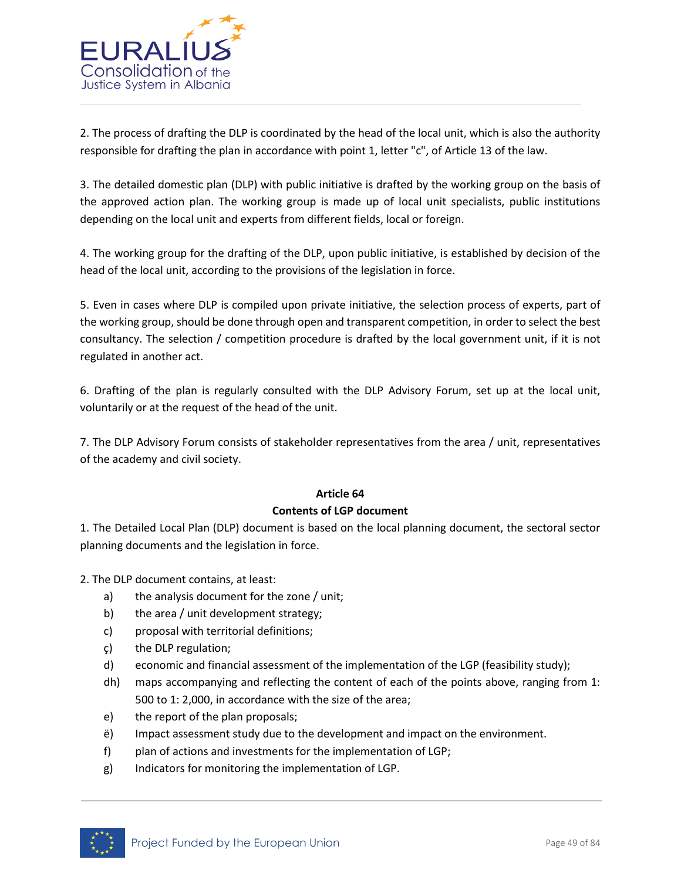

2. The process of drafting the DLP is coordinated by the head of the local unit, which is also the authority responsible for drafting the plan in accordance with point 1, letter "c", of Article 13 of the law.

3. The detailed domestic plan (DLP) with public initiative is drafted by the working group on the basis of the approved action plan. The working group is made up of local unit specialists, public institutions depending on the local unit and experts from different fields, local or foreign.

4. The working group for the drafting of the DLP, upon public initiative, is established by decision of the head of the local unit, according to the provisions of the legislation in force.

5. Even in cases where DLP is compiled upon private initiative, the selection process of experts, part of the working group, should be done through open and transparent competition, in order to select the best consultancy. The selection / competition procedure is drafted by the local government unit, if it is not regulated in another act.

6. Drafting of the plan is regularly consulted with the DLP Advisory Forum, set up at the local unit, voluntarily or at the request of the head of the unit.

7. The DLP Advisory Forum consists of stakeholder representatives from the area / unit, representatives of the academy and civil society.

# **Article 64**

# **Contents of LGP document**

1. The Detailed Local Plan (DLP) document is based on the local planning document, the sectoral sector planning documents and the legislation in force.

2. The DLP document contains, at least:

- a) the analysis document for the zone / unit;
- b) the area / unit development strategy;
- c) proposal with territorial definitions;
- ç) the DLP regulation;
- d) economic and financial assessment of the implementation of the LGP (feasibility study);
- dh) maps accompanying and reflecting the content of each of the points above, ranging from 1: 500 to 1: 2,000, in accordance with the size of the area;
- e) the report of the plan proposals;
- ë) Impact assessment study due to the development and impact on the environment.
- f) plan of actions and investments for the implementation of LGP;
- g) Indicators for monitoring the implementation of LGP.

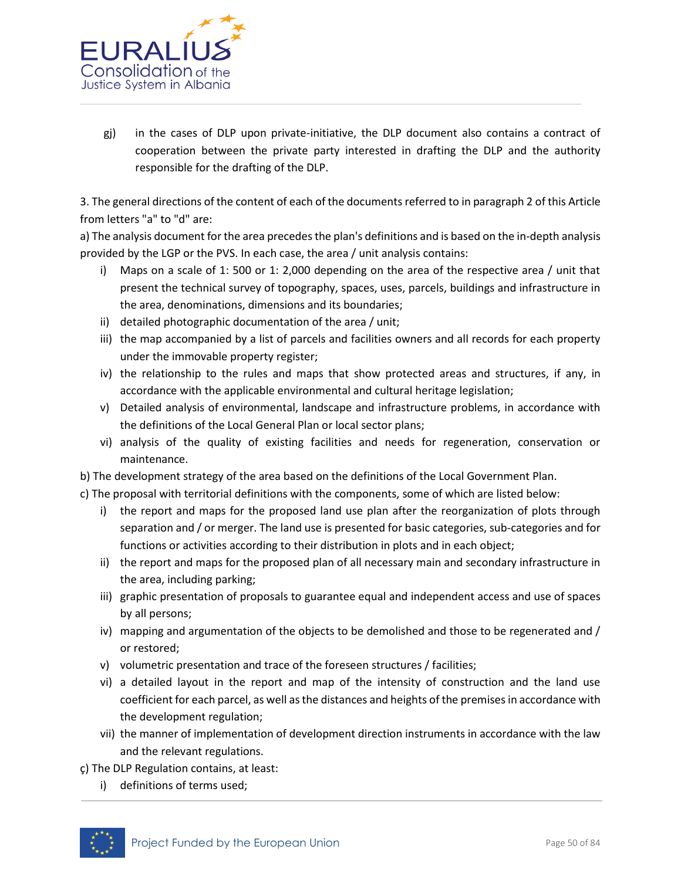

gj) in the cases of DLP upon private-initiative, the DLP document also contains a contract of cooperation between the private party interested in drafting the DLP and the authority responsible for the drafting of the DLP.

3. The general directions of the content of each of the documents referred to in paragraph 2 of this Article from letters "a" to "d" are:

a) The analysis document for the area precedes the plan's definitions and is based on the in-depth analysis provided by the LGP or the PVS. In each case, the area / unit analysis contains:

- i) Maps on a scale of 1: 500 or 1: 2,000 depending on the area of the respective area / unit that present the technical survey of topography, spaces, uses, parcels, buildings and infrastructure in the area, denominations, dimensions and its boundaries;
- ii) detailed photographic documentation of the area / unit;
- iii) the map accompanied by a list of parcels and facilities owners and all records for each property under the immovable property register;
- iv) the relationship to the rules and maps that show protected areas and structures, if any, in accordance with the applicable environmental and cultural heritage legislation;
- v) Detailed analysis of environmental, landscape and infrastructure problems, in accordance with the definitions of the Local General Plan or local sector plans;
- vi) analysis of the quality of existing facilities and needs for regeneration, conservation or maintenance.
- b) The development strategy of the area based on the definitions of the Local Government Plan.
- c) The proposal with territorial definitions with the components, some of which are listed below:
	- i) the report and maps for the proposed land use plan after the reorganization of plots through separation and / or merger. The land use is presented for basic categories, sub-categories and for functions or activities according to their distribution in plots and in each object;
	- ii) the report and maps for the proposed plan of all necessary main and secondary infrastructure in the area, including parking;
	- iii) graphic presentation of proposals to guarantee equal and independent access and use of spaces by all persons;
	- iv) mapping and argumentation of the objects to be demolished and those to be regenerated and / or restored;
	- v) volumetric presentation and trace of the foreseen structures / facilities;
	- vi) a detailed layout in the report and map of the intensity of construction and the land use coefficient for each parcel, as well as the distances and heights of the premises in accordance with the development regulation;
	- vii) the manner of implementation of development direction instruments in accordance with the law and the relevant regulations.
- ç) The DLP Regulation contains, at least:
	- i) definitions of terms used;

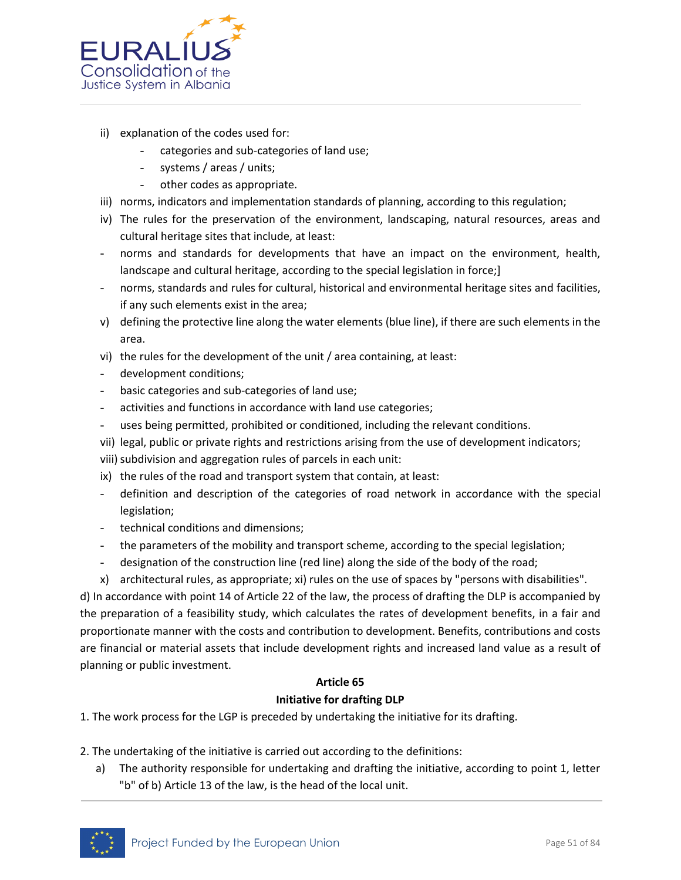

- ii) explanation of the codes used for:
	- categories and sub-categories of land use;
	- systems / areas / units;
	- other codes as appropriate.
- iii) norms, indicators and implementation standards of planning, according to this regulation;
- iv) The rules for the preservation of the environment, landscaping, natural resources, areas and cultural heritage sites that include, at least:
- norms and standards for developments that have an impact on the environment, health, landscape and cultural heritage, according to the special legislation in force;]
- norms, standards and rules for cultural, historical and environmental heritage sites and facilities, if any such elements exist in the area;
- v) defining the protective line along the water elements (blue line), if there are such elements in the area.
- vi) the rules for the development of the unit / area containing, at least:
- development conditions;
- basic categories and sub-categories of land use;
- activities and functions in accordance with land use categories;
- uses being permitted, prohibited or conditioned, including the relevant conditions.
- vii) legal, public or private rights and restrictions arising from the use of development indicators;
- viii) subdivision and aggregation rules of parcels in each unit:
- ix) the rules of the road and transport system that contain, at least:
- definition and description of the categories of road network in accordance with the special legislation;
- technical conditions and dimensions;
- the parameters of the mobility and transport scheme, according to the special legislation;
- designation of the construction line (red line) along the side of the body of the road;
- x) architectural rules, as appropriate; xi) rules on the use of spaces by "persons with disabilities".

d) In accordance with point 14 of Article 22 of the law, the process of drafting the DLP is accompanied by the preparation of a feasibility study, which calculates the rates of development benefits, in a fair and proportionate manner with the costs and contribution to development. Benefits, contributions and costs are financial or material assets that include development rights and increased land value as a result of planning or public investment.

# **Article 65 Initiative for drafting DLP**

1. The work process for the LGP is preceded by undertaking the initiative for its drafting.

- 2. The undertaking of the initiative is carried out according to the definitions:
	- a) The authority responsible for undertaking and drafting the initiative, according to point 1, letter "b" of b) Article 13 of the law, is the head of the local unit.

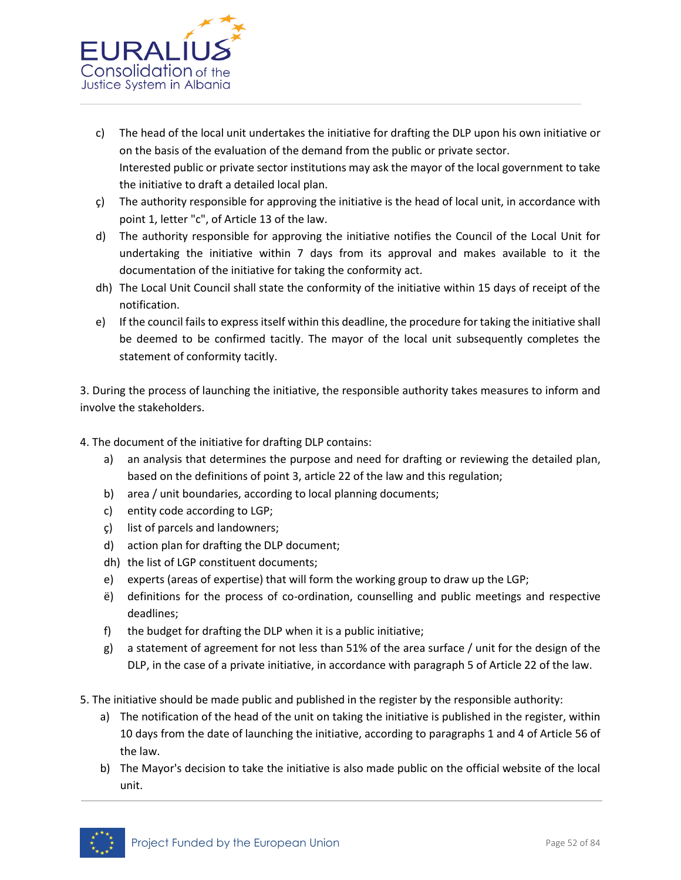

- c) The head of the local unit undertakes the initiative for drafting the DLP upon his own initiative or on the basis of the evaluation of the demand from the public or private sector. Interested public or private sector institutions may ask the mayor of the local government to take the initiative to draft a detailed local plan.
- ç) The authority responsible for approving the initiative is the head of local unit, in accordance with point 1, letter "c", of Article 13 of the law.
- d) The authority responsible for approving the initiative notifies the Council of the Local Unit for undertaking the initiative within 7 days from its approval and makes available to it the documentation of the initiative for taking the conformity act.
- dh) The Local Unit Council shall state the conformity of the initiative within 15 days of receipt of the notification.
- e) If the council fails to express itself within this deadline, the procedure for taking the initiative shall be deemed to be confirmed tacitly. The mayor of the local unit subsequently completes the statement of conformity tacitly.

3. During the process of launching the initiative, the responsible authority takes measures to inform and involve the stakeholders.

4. The document of the initiative for drafting DLP contains:

- a) an analysis that determines the purpose and need for drafting or reviewing the detailed plan, based on the definitions of point 3, article 22 of the law and this regulation;
- b) area / unit boundaries, according to local planning documents;
- c) entity code according to LGP;
- ç) list of parcels and landowners;
- d) action plan for drafting the DLP document;
- dh) the list of LGP constituent documents;
- e) experts (areas of expertise) that will form the working group to draw up the LGP;
- ë) definitions for the process of co-ordination, counselling and public meetings and respective deadlines;
- f) the budget for drafting the DLP when it is a public initiative;
- g) a statement of agreement for not less than 51% of the area surface / unit for the design of the DLP, in the case of a private initiative, in accordance with paragraph 5 of Article 22 of the law.
- 5. The initiative should be made public and published in the register by the responsible authority:
	- a) The notification of the head of the unit on taking the initiative is published in the register, within 10 days from the date of launching the initiative, according to paragraphs 1 and 4 of Article 56 of the law.
	- b) The Mayor's decision to take the initiative is also made public on the official website of the local unit.

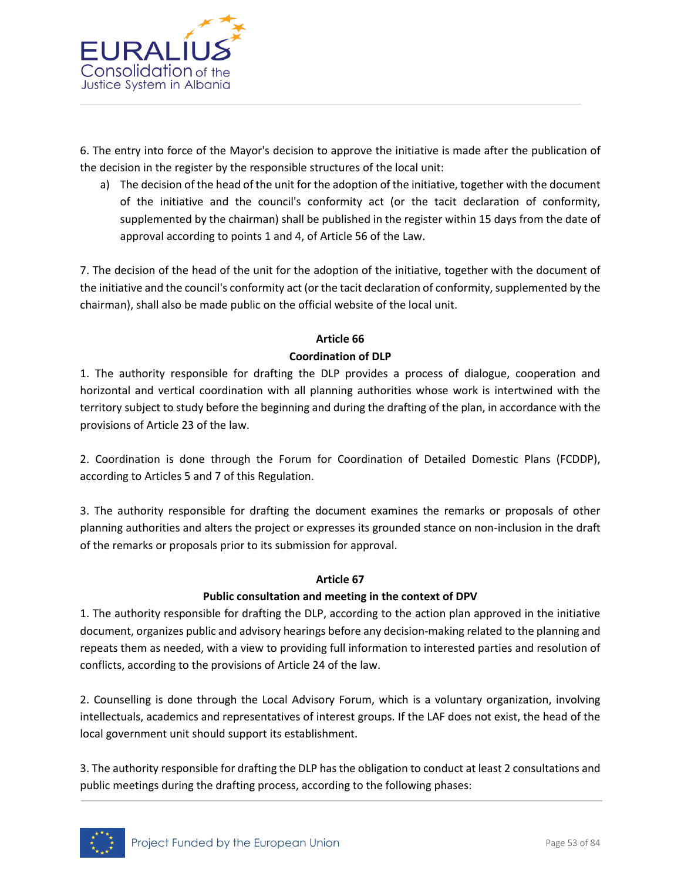

6. The entry into force of the Mayor's decision to approve the initiative is made after the publication of the decision in the register by the responsible structures of the local unit:

a) The decision of the head of the unit for the adoption of the initiative, together with the document of the initiative and the council's conformity act (or the tacit declaration of conformity, supplemented by the chairman) shall be published in the register within 15 days from the date of approval according to points 1 and 4, of Article 56 of the Law.

7. The decision of the head of the unit for the adoption of the initiative, together with the document of the initiative and the council's conformity act (or the tacit declaration of conformity, supplemented by the chairman), shall also be made public on the official website of the local unit.

# **Article 66 Coordination of DLP**

1. The authority responsible for drafting the DLP provides a process of dialogue, cooperation and horizontal and vertical coordination with all planning authorities whose work is intertwined with the territory subject to study before the beginning and during the drafting of the plan, in accordance with the provisions of Article 23 of the law.

2. Coordination is done through the Forum for Coordination of Detailed Domestic Plans (FCDDP), according to Articles 5 and 7 of this Regulation.

3. The authority responsible for drafting the document examines the remarks or proposals of other planning authorities and alters the project or expresses its grounded stance on non-inclusion in the draft of the remarks or proposals prior to its submission for approval.

# **Article 67**

# **Public consultation and meeting in the context of DPV**

1. The authority responsible for drafting the DLP, according to the action plan approved in the initiative document, organizes public and advisory hearings before any decision-making related to the planning and repeats them as needed, with a view to providing full information to interested parties and resolution of conflicts, according to the provisions of Article 24 of the law.

2. Counselling is done through the Local Advisory Forum, which is a voluntary organization, involving intellectuals, academics and representatives of interest groups. If the LAF does not exist, the head of the local government unit should support its establishment.

3. The authority responsible for drafting the DLP has the obligation to conduct at least 2 consultations and public meetings during the drafting process, according to the following phases:

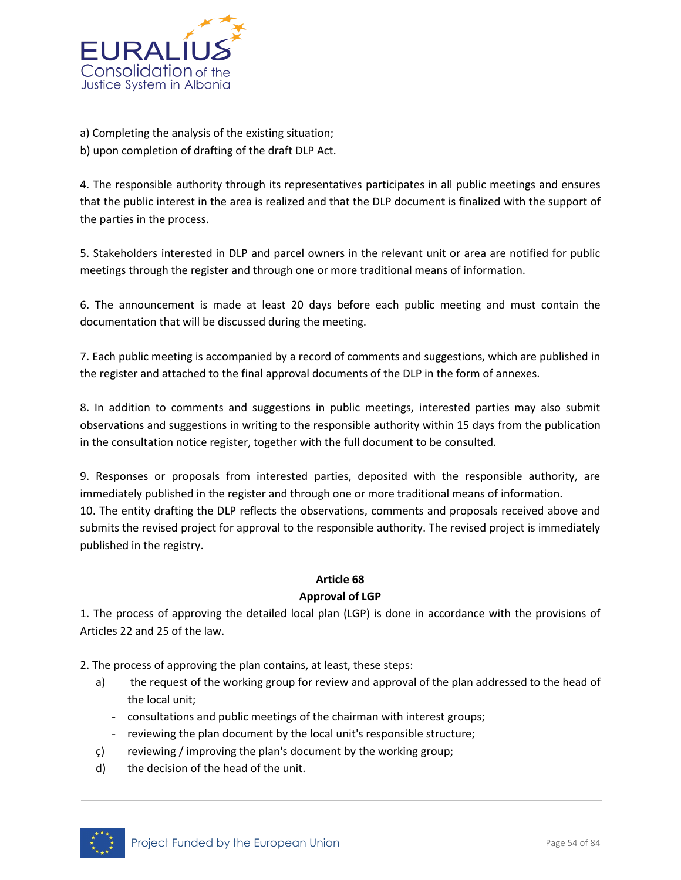

a) Completing the analysis of the existing situation; b) upon completion of drafting of the draft DLP Act.

4. The responsible authority through its representatives participates in all public meetings and ensures that the public interest in the area is realized and that the DLP document is finalized with the support of the parties in the process.

5. Stakeholders interested in DLP and parcel owners in the relevant unit or area are notified for public meetings through the register and through one or more traditional means of information.

6. The announcement is made at least 20 days before each public meeting and must contain the documentation that will be discussed during the meeting.

7. Each public meeting is accompanied by a record of comments and suggestions, which are published in the register and attached to the final approval documents of the DLP in the form of annexes.

8. In addition to comments and suggestions in public meetings, interested parties may also submit observations and suggestions in writing to the responsible authority within 15 days from the publication in the consultation notice register, together with the full document to be consulted.

9. Responses or proposals from interested parties, deposited with the responsible authority, are immediately published in the register and through one or more traditional means of information. 10. The entity drafting the DLP reflects the observations, comments and proposals received above and submits the revised project for approval to the responsible authority. The revised project is immediately published in the registry.

## **Article 68**

#### **Approval of LGP**

1. The process of approving the detailed local plan (LGP) is done in accordance with the provisions of Articles 22 and 25 of the law.

2. The process of approving the plan contains, at least, these steps:

- a) the request of the working group for review and approval of the plan addressed to the head of the local unit;
	- consultations and public meetings of the chairman with interest groups;
	- reviewing the plan document by the local unit's responsible structure;
- ç) reviewing / improving the plan's document by the working group;
- d) the decision of the head of the unit.

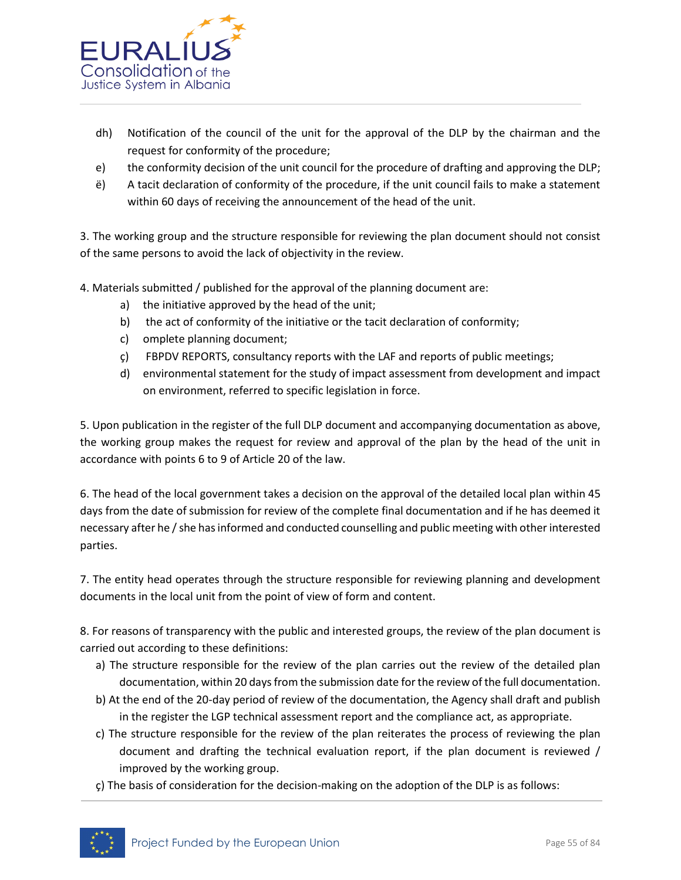

- dh) Notification of the council of the unit for the approval of the DLP by the chairman and the request for conformity of the procedure;
- e) the conformity decision of the unit council for the procedure of drafting and approving the DLP;
- ë) A tacit declaration of conformity of the procedure, if the unit council fails to make a statement within 60 days of receiving the announcement of the head of the unit.

3. The working group and the structure responsible for reviewing the plan document should not consist of the same persons to avoid the lack of objectivity in the review.

4. Materials submitted / published for the approval of the planning document are:

- a) the initiative approved by the head of the unit;
- b) the act of conformity of the initiative or the tacit declaration of conformity;
- c) omplete planning document;
- ç) FBPDV REPORTS, consultancy reports with the LAF and reports of public meetings;
- d) environmental statement for the study of impact assessment from development and impact on environment, referred to specific legislation in force.

5. Upon publication in the register of the full DLP document and accompanying documentation as above, the working group makes the request for review and approval of the plan by the head of the unit in accordance with points 6 to 9 of Article 20 of the law.

6. The head of the local government takes a decision on the approval of the detailed local plan within 45 days from the date of submission for review of the complete final documentation and if he has deemed it necessary after he / she has informed and conducted counselling and public meeting with other interested parties.

7. The entity head operates through the structure responsible for reviewing planning and development documents in the local unit from the point of view of form and content.

8. For reasons of transparency with the public and interested groups, the review of the plan document is carried out according to these definitions:

- a) The structure responsible for the review of the plan carries out the review of the detailed plan documentation, within 20 days from the submission date for the review of the full documentation.
- b) At the end of the 20-day period of review of the documentation, the Agency shall draft and publish in the register the LGP technical assessment report and the compliance act, as appropriate.
- c) The structure responsible for the review of the plan reiterates the process of reviewing the plan document and drafting the technical evaluation report, if the plan document is reviewed / improved by the working group.
- ç) The basis of consideration for the decision-making on the adoption of the DLP is as follows:

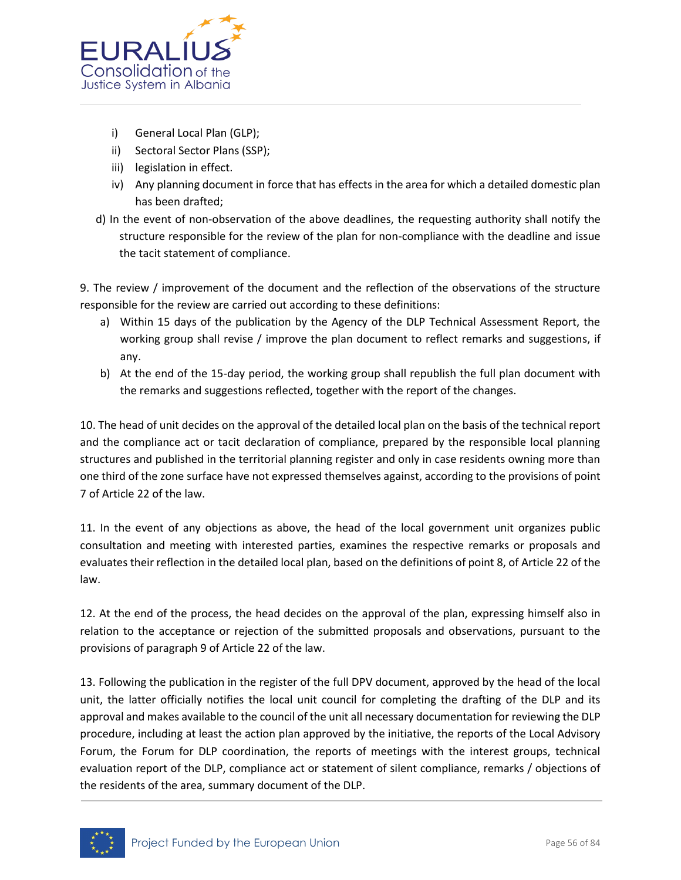

- i) General Local Plan (GLP);
- ii) Sectoral Sector Plans (SSP);
- iii) legislation in effect.
- iv) Any planning document in force that has effects in the area for which a detailed domestic plan has been drafted;
- d) In the event of non-observation of the above deadlines, the requesting authority shall notify the structure responsible for the review of the plan for non-compliance with the deadline and issue the tacit statement of compliance.

9. The review / improvement of the document and the reflection of the observations of the structure responsible for the review are carried out according to these definitions:

- a) Within 15 days of the publication by the Agency of the DLP Technical Assessment Report, the working group shall revise / improve the plan document to reflect remarks and suggestions, if any.
- b) At the end of the 15-day period, the working group shall republish the full plan document with the remarks and suggestions reflected, together with the report of the changes.

10. The head of unit decides on the approval of the detailed local plan on the basis of the technical report and the compliance act or tacit declaration of compliance, prepared by the responsible local planning structures and published in the territorial planning register and only in case residents owning more than one third of the zone surface have not expressed themselves against, according to the provisions of point 7 of Article 22 of the law.

11. In the event of any objections as above, the head of the local government unit organizes public consultation and meeting with interested parties, examines the respective remarks or proposals and evaluates their reflection in the detailed local plan, based on the definitions of point 8, of Article 22 of the law.

12. At the end of the process, the head decides on the approval of the plan, expressing himself also in relation to the acceptance or rejection of the submitted proposals and observations, pursuant to the provisions of paragraph 9 of Article 22 of the law.

13. Following the publication in the register of the full DPV document, approved by the head of the local unit, the latter officially notifies the local unit council for completing the drafting of the DLP and its approval and makes available to the council of the unit all necessary documentation for reviewing the DLP procedure, including at least the action plan approved by the initiative, the reports of the Local Advisory Forum, the Forum for DLP coordination, the reports of meetings with the interest groups, technical evaluation report of the DLP, compliance act or statement of silent compliance, remarks / objections of the residents of the area, summary document of the DLP.

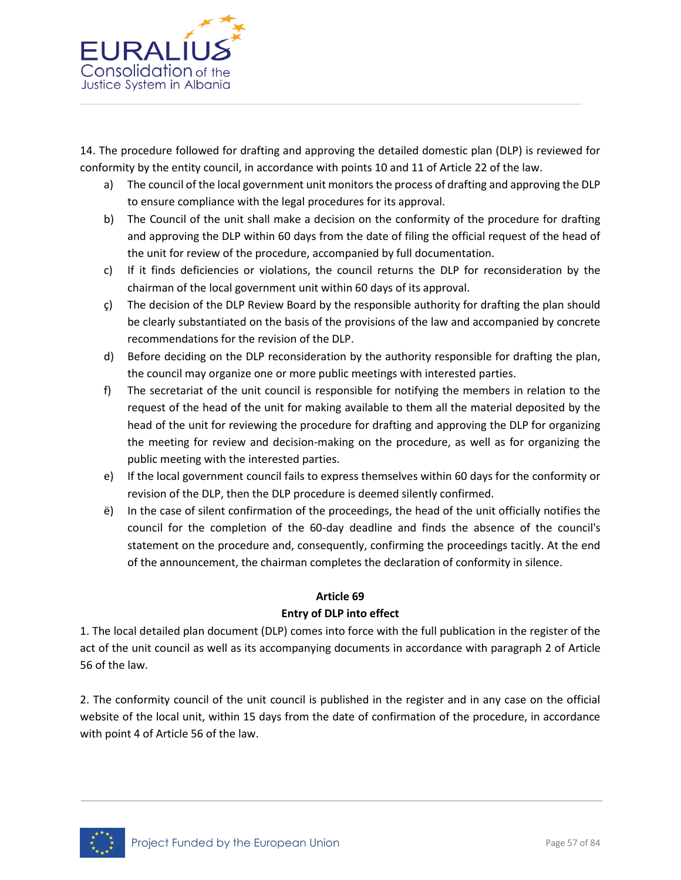

14. The procedure followed for drafting and approving the detailed domestic plan (DLP) is reviewed for conformity by the entity council, in accordance with points 10 and 11 of Article 22 of the law.

- a) The council of the local government unit monitors the process of drafting and approving the DLP to ensure compliance with the legal procedures for its approval.
- b) The Council of the unit shall make a decision on the conformity of the procedure for drafting and approving the DLP within 60 days from the date of filing the official request of the head of the unit for review of the procedure, accompanied by full documentation.
- c) If it finds deficiencies or violations, the council returns the DLP for reconsideration by the chairman of the local government unit within 60 days of its approval.
- ç) The decision of the DLP Review Board by the responsible authority for drafting the plan should be clearly substantiated on the basis of the provisions of the law and accompanied by concrete recommendations for the revision of the DLP.
- d) Before deciding on the DLP reconsideration by the authority responsible for drafting the plan, the council may organize one or more public meetings with interested parties.
- f) The secretariat of the unit council is responsible for notifying the members in relation to the request of the head of the unit for making available to them all the material deposited by the head of the unit for reviewing the procedure for drafting and approving the DLP for organizing the meeting for review and decision-making on the procedure, as well as for organizing the public meeting with the interested parties.
- e) If the local government council fails to express themselves within 60 days for the conformity or revision of the DLP, then the DLP procedure is deemed silently confirmed.
- ë) In the case of silent confirmation of the proceedings, the head of the unit officially notifies the council for the completion of the 60-day deadline and finds the absence of the council's statement on the procedure and, consequently, confirming the proceedings tacitly. At the end of the announcement, the chairman completes the declaration of conformity in silence.

# **Article 69**

# **Entry of DLP into effect**

1. The local detailed plan document (DLP) comes into force with the full publication in the register of the act of the unit council as well as its accompanying documents in accordance with paragraph 2 of Article 56 of the law.

2. The conformity council of the unit council is published in the register and in any case on the official website of the local unit, within 15 days from the date of confirmation of the procedure, in accordance with point 4 of Article 56 of the law.

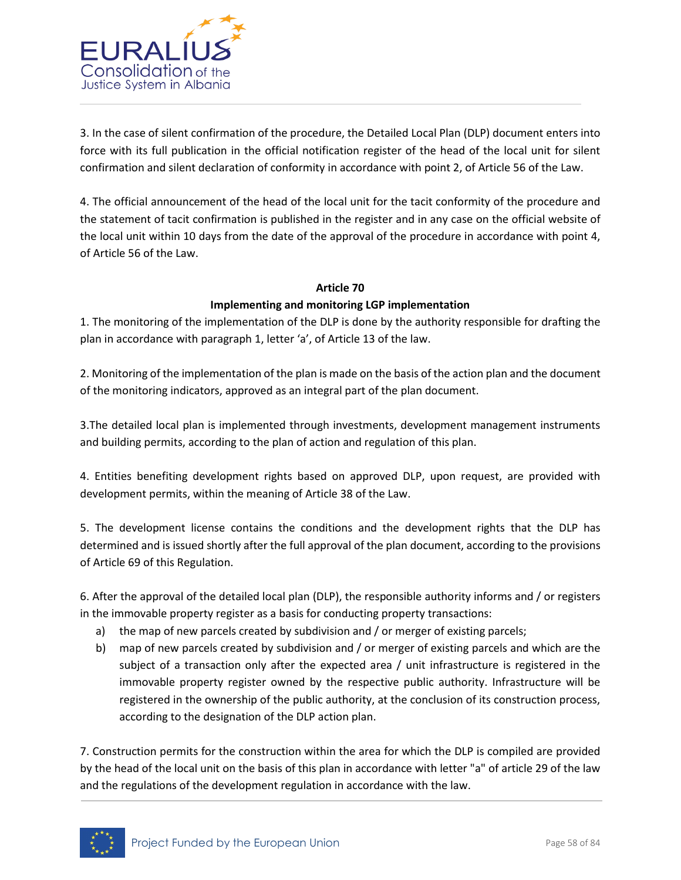

3. In the case of silent confirmation of the procedure, the Detailed Local Plan (DLP) document enters into force with its full publication in the official notification register of the head of the local unit for silent confirmation and silent declaration of conformity in accordance with point 2, of Article 56 of the Law.

4. The official announcement of the head of the local unit for the tacit conformity of the procedure and the statement of tacit confirmation is published in the register and in any case on the official website of the local unit within 10 days from the date of the approval of the procedure in accordance with point 4, of Article 56 of the Law.

# **Article 70**

# **Implementing and monitoring LGP implementation**

1. The monitoring of the implementation of the DLP is done by the authority responsible for drafting the plan in accordance with paragraph 1, letter 'a', of Article 13 of the law.

2. Monitoring of the implementation of the plan is made on the basis of the action plan and the document of the monitoring indicators, approved as an integral part of the plan document.

3.The detailed local plan is implemented through investments, development management instruments and building permits, according to the plan of action and regulation of this plan.

4. Entities benefiting development rights based on approved DLP, upon request, are provided with development permits, within the meaning of Article 38 of the Law.

5. The development license contains the conditions and the development rights that the DLP has determined and is issued shortly after the full approval of the plan document, according to the provisions of Article 69 of this Regulation.

6. After the approval of the detailed local plan (DLP), the responsible authority informs and / or registers in the immovable property register as a basis for conducting property transactions:

- a) the map of new parcels created by subdivision and / or merger of existing parcels;
- b) map of new parcels created by subdivision and / or merger of existing parcels and which are the subject of a transaction only after the expected area / unit infrastructure is registered in the immovable property register owned by the respective public authority. Infrastructure will be registered in the ownership of the public authority, at the conclusion of its construction process, according to the designation of the DLP action plan.

7. Construction permits for the construction within the area for which the DLP is compiled are provided by the head of the local unit on the basis of this plan in accordance with letter "a" of article 29 of the law and the regulations of the development regulation in accordance with the law.

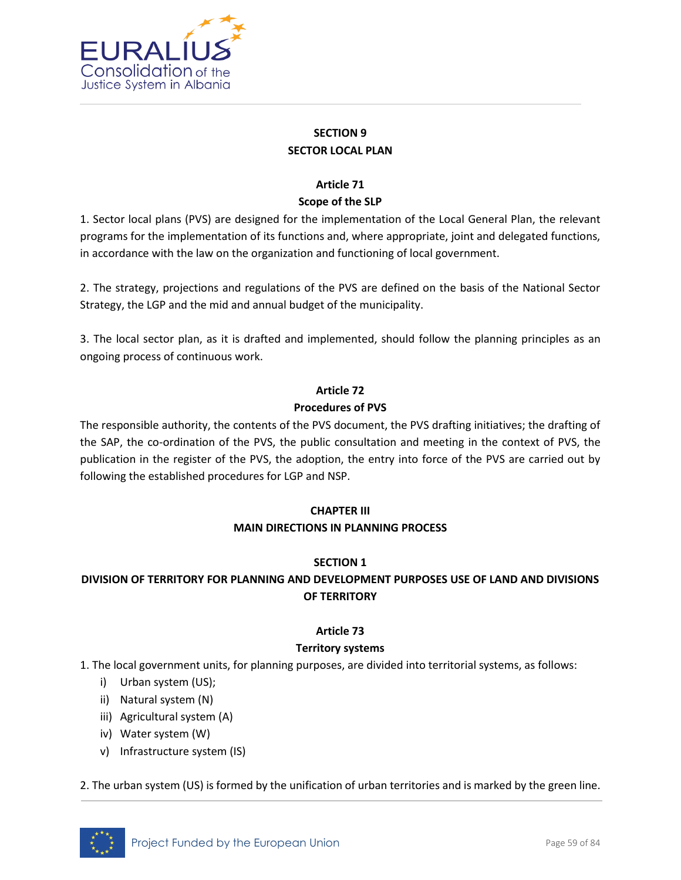

# **SECTION 9 SECTOR LOCAL PLAN**

# **Article 71**

# **Scope of the SLP**

1. Sector local plans (PVS) are designed for the implementation of the Local General Plan, the relevant programs for the implementation of its functions and, where appropriate, joint and delegated functions, in accordance with the law on the organization and functioning of local government.

2. The strategy, projections and regulations of the PVS are defined on the basis of the National Sector Strategy, the LGP and the mid and annual budget of the municipality.

3. The local sector plan, as it is drafted and implemented, should follow the planning principles as an ongoing process of continuous work.

# **Article 72 Procedures of PVS**

The responsible authority, the contents of the PVS document, the PVS drafting initiatives; the drafting of the SAP, the co-ordination of the PVS, the public consultation and meeting in the context of PVS, the publication in the register of the PVS, the adoption, the entry into force of the PVS are carried out by following the established procedures for LGP and NSP.

# **CHAPTER III MAIN DIRECTIONS IN PLANNING PROCESS**

# **SECTION 1**

# **DIVISION OF TERRITORY FOR PLANNING AND DEVELOPMENT PURPOSES USE OF LAND AND DIVISIONS OF TERRITORY**

# **Article 73**

# **Territory systems**

1. The local government units, for planning purposes, are divided into territorial systems, as follows:

- i) Urban system (US);
- ii) Natural system (N)
- iii) Agricultural system (A)
- iv) Water system (W)
- v) Infrastructure system (IS)

2. The urban system (US) is formed by the unification of urban territories and is marked by the green line.

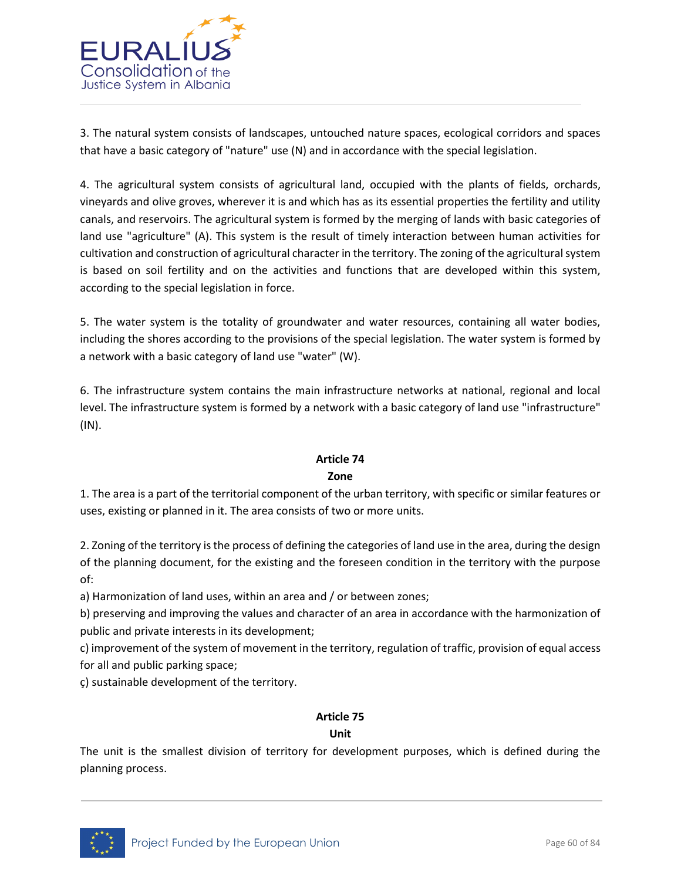

3. The natural system consists of landscapes, untouched nature spaces, ecological corridors and spaces that have a basic category of "nature" use (N) and in accordance with the special legislation.

4. The agricultural system consists of agricultural land, occupied with the plants of fields, orchards, vineyards and olive groves, wherever it is and which has as its essential properties the fertility and utility canals, and reservoirs. The agricultural system is formed by the merging of lands with basic categories of land use "agriculture" (A). This system is the result of timely interaction between human activities for cultivation and construction of agricultural character in the territory. The zoning of the agricultural system is based on soil fertility and on the activities and functions that are developed within this system, according to the special legislation in force.

5. The water system is the totality of groundwater and water resources, containing all water bodies, including the shores according to the provisions of the special legislation. The water system is formed by a network with a basic category of land use "water" (W).

6. The infrastructure system contains the main infrastructure networks at national, regional and local level. The infrastructure system is formed by a network with a basic category of land use "infrastructure" (IN).

# **Article 74**

# **Zone**

1. The area is a part of the territorial component of the urban territory, with specific or similar features or uses, existing or planned in it. The area consists of two or more units.

2. Zoning of the territory is the process of defining the categories of land use in the area, during the design of the planning document, for the existing and the foreseen condition in the territory with the purpose of:

a) Harmonization of land uses, within an area and / or between zones;

b) preserving and improving the values and character of an area in accordance with the harmonization of public and private interests in its development;

c) improvement of the system of movement in the territory, regulation of traffic, provision of equal access for all and public parking space;

ç) sustainable development of the territory.

# **Article 75**

**Unit**

The unit is the smallest division of territory for development purposes, which is defined during the planning process.

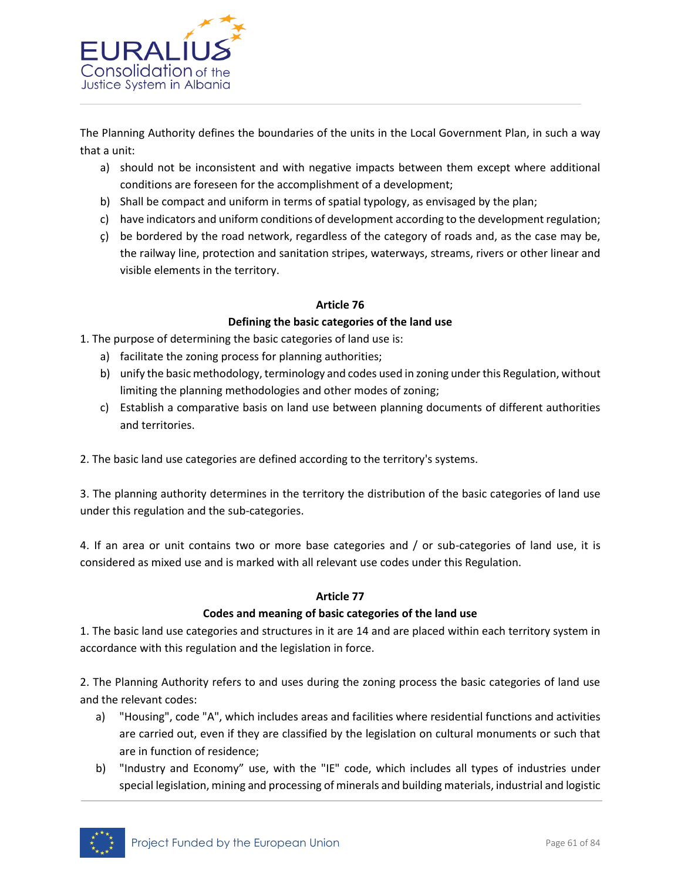

The Planning Authority defines the boundaries of the units in the Local Government Plan, in such a way that a unit:

- a) should not be inconsistent and with negative impacts between them except where additional conditions are foreseen for the accomplishment of a development;
- b) Shall be compact and uniform in terms of spatial typology, as envisaged by the plan;
- c) have indicators and uniform conditions of development according to the development regulation;
- ç) be bordered by the road network, regardless of the category of roads and, as the case may be, the railway line, protection and sanitation stripes, waterways, streams, rivers or other linear and visible elements in the territory.

#### **Article 76**

# **Defining the basic categories of the land use**

1. The purpose of determining the basic categories of land use is:

- a) facilitate the zoning process for planning authorities;
- b) unify the basic methodology, terminology and codes used in zoning under this Regulation, without limiting the planning methodologies and other modes of zoning;
- c) Establish a comparative basis on land use between planning documents of different authorities and territories.

2. The basic land use categories are defined according to the territory's systems.

3. The planning authority determines in the territory the distribution of the basic categories of land use under this regulation and the sub-categories.

4. If an area or unit contains two or more base categories and / or sub-categories of land use, it is considered as mixed use and is marked with all relevant use codes under this Regulation.

#### **Article 77**

#### **Codes and meaning of basic categories of the land use**

1. The basic land use categories and structures in it are 14 and are placed within each territory system in accordance with this regulation and the legislation in force.

2. The Planning Authority refers to and uses during the zoning process the basic categories of land use and the relevant codes:

- a) "Housing", code "A", which includes areas and facilities where residential functions and activities are carried out, even if they are classified by the legislation on cultural monuments or such that are in function of residence;
- b) "Industry and Economy" use, with the "IE" code, which includes all types of industries under special legislation, mining and processing of minerals and building materials, industrial and logistic

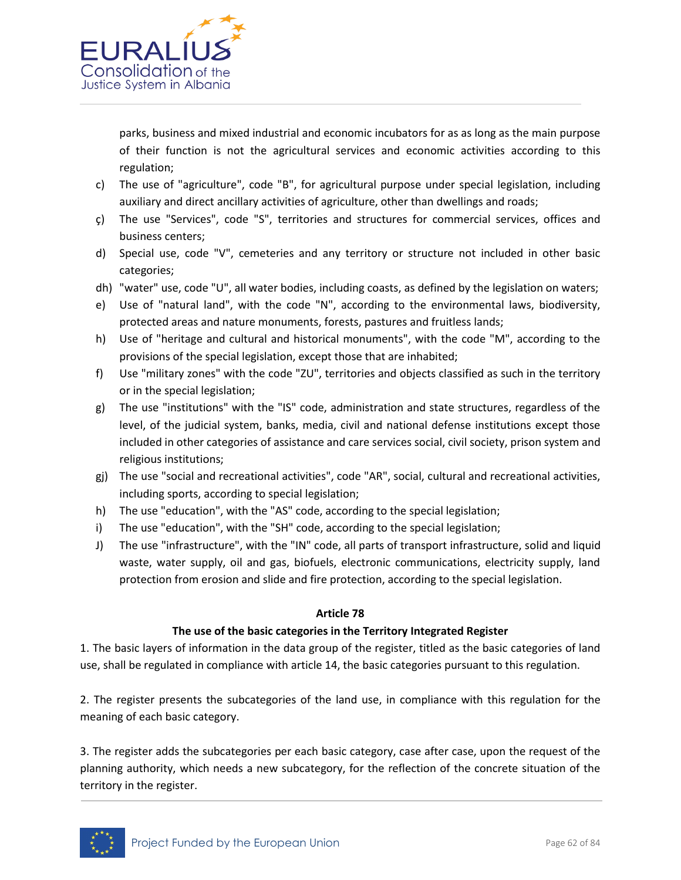

parks, business and mixed industrial and economic incubators for as as long as the main purpose of their function is not the agricultural services and economic activities according to this regulation;

- c) The use of "agriculture", code "B", for agricultural purpose under special legislation, including auxiliary and direct ancillary activities of agriculture, other than dwellings and roads;
- ç) The use "Services", code "S", territories and structures for commercial services, offices and business centers;
- d) Special use, code "V", cemeteries and any territory or structure not included in other basic categories;
- dh) "water" use, code "U", all water bodies, including coasts, as defined by the legislation on waters;
- e) Use of "natural land", with the code "N", according to the environmental laws, biodiversity, protected areas and nature monuments, forests, pastures and fruitless lands;
- h) Use of "heritage and cultural and historical monuments", with the code "M", according to the provisions of the special legislation, except those that are inhabited;
- f) Use "military zones" with the code "ZU", territories and objects classified as such in the territory or in the special legislation;
- g) The use "institutions" with the "IS" code, administration and state structures, regardless of the level, of the judicial system, banks, media, civil and national defense institutions except those included in other categories of assistance and care services social, civil society, prison system and religious institutions;
- gj) The use "social and recreational activities", code "AR", social, cultural and recreational activities, including sports, according to special legislation;
- h) The use "education", with the "AS" code, according to the special legislation;
- i) The use "education", with the "SH" code, according to the special legislation;
- J) The use "infrastructure", with the "IN" code, all parts of transport infrastructure, solid and liquid waste, water supply, oil and gas, biofuels, electronic communications, electricity supply, land protection from erosion and slide and fire protection, according to the special legislation.

#### **Article 78**

#### **The use of the basic categories in the Territory Integrated Register**

1. The basic layers of information in the data group of the register, titled as the basic categories of land use, shall be regulated in compliance with article 14, the basic categories pursuant to this regulation.

2. The register presents the subcategories of the land use, in compliance with this regulation for the meaning of each basic category.

3. The register adds the subcategories per each basic category, case after case, upon the request of the planning authority, which needs a new subcategory, for the reflection of the concrete situation of the territory in the register.

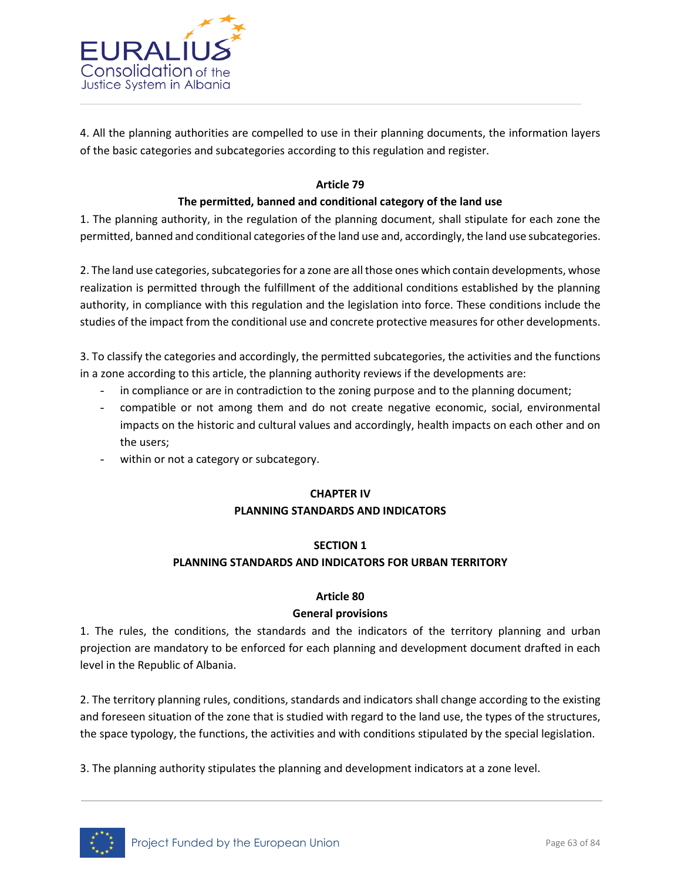

4. All the planning authorities are compelled to use in their planning documents, the information layers of the basic categories and subcategories according to this regulation and register.

## **Article 79**

## **The permitted, banned and conditional category of the land use**

1. The planning authority, in the regulation of the planning document, shall stipulate for each zone the permitted, banned and conditional categories of the land use and, accordingly, the land use subcategories.

2. The land use categories, subcategories for a zone are all those ones which contain developments, whose realization is permitted through the fulfillment of the additional conditions established by the planning authority, in compliance with this regulation and the legislation into force. These conditions include the studies of the impact from the conditional use and concrete protective measures for other developments.

3. To classify the categories and accordingly, the permitted subcategories, the activities and the functions in a zone according to this article, the planning authority reviews if the developments are:

- in compliance or are in contradiction to the zoning purpose and to the planning document;
- compatible or not among them and do not create negative economic, social, environmental impacts on the historic and cultural values and accordingly, health impacts on each other and on the users;
- within or not a category or subcategory.

# **CHAPTER IV**

#### **PLANNING STANDARDS AND INDICATORS**

# **SECTION 1**

# **PLANNING STANDARDS AND INDICATORS FOR URBAN TERRITORY**

#### **Article 80**

#### **General provisions**

1. The rules, the conditions, the standards and the indicators of the territory planning and urban projection are mandatory to be enforced for each planning and development document drafted in each level in the Republic of Albania.

2. The territory planning rules, conditions, standards and indicators shall change according to the existing and foreseen situation of the zone that is studied with regard to the land use, the types of the structures, the space typology, the functions, the activities and with conditions stipulated by the special legislation.

3. The planning authority stipulates the planning and development indicators at a zone level.

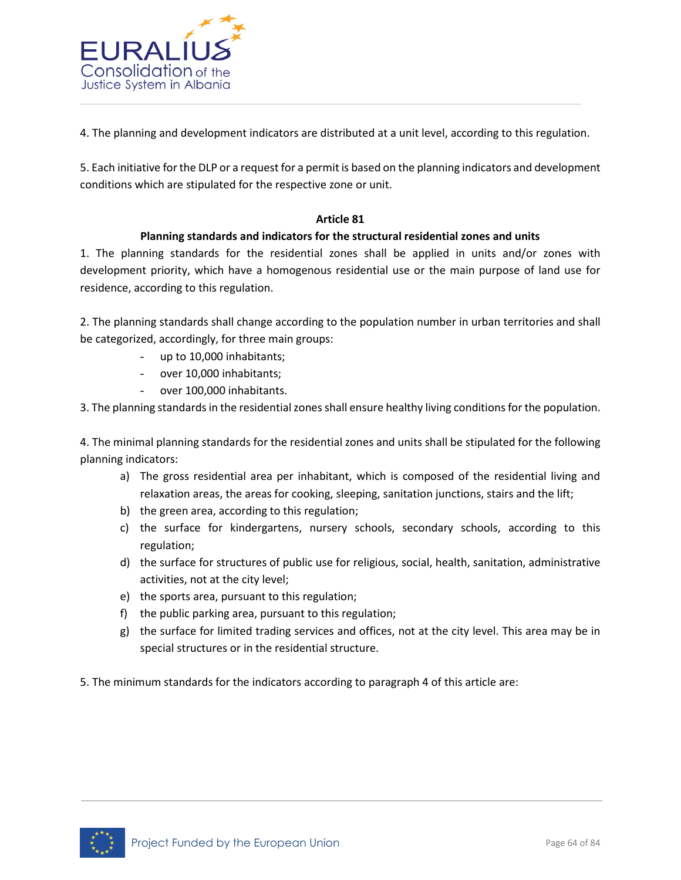

4. The planning and development indicators are distributed at a unit level, according to this regulation.

5. Each initiative for the DLP or a request for a permit is based on the planning indicators and development conditions which are stipulated for the respective zone or unit.

# **Article 81**

# **Planning standards and indicators for the structural residential zones and units**

1. The planning standards for the residential zones shall be applied in units and/or zones with development priority, which have a homogenous residential use or the main purpose of land use for residence, according to this regulation.

2. The planning standards shall change according to the population number in urban territories and shall be categorized, accordingly, for three main groups:

- up to 10,000 inhabitants;
- over 10,000 inhabitants;
- over 100,000 inhabitants.

3. The planning standards in the residential zones shall ensure healthy living conditions for the population.

4. The minimal planning standards for the residential zones and units shall be stipulated for the following planning indicators:

- a) The gross residential area per inhabitant, which is composed of the residential living and relaxation areas, the areas for cooking, sleeping, sanitation junctions, stairs and the lift;
- b) the green area, according to this regulation;
- c) the surface for kindergartens, nursery schools, secondary schools, according to this regulation;
- d) the surface for structures of public use for religious, social, health, sanitation, administrative activities, not at the city level;
- e) the sports area, pursuant to this regulation;
- f) the public parking area, pursuant to this regulation;
- g) the surface for limited trading services and offices, not at the city level. This area may be in special structures or in the residential structure.
- 5. The minimum standards for the indicators according to paragraph 4 of this article are:

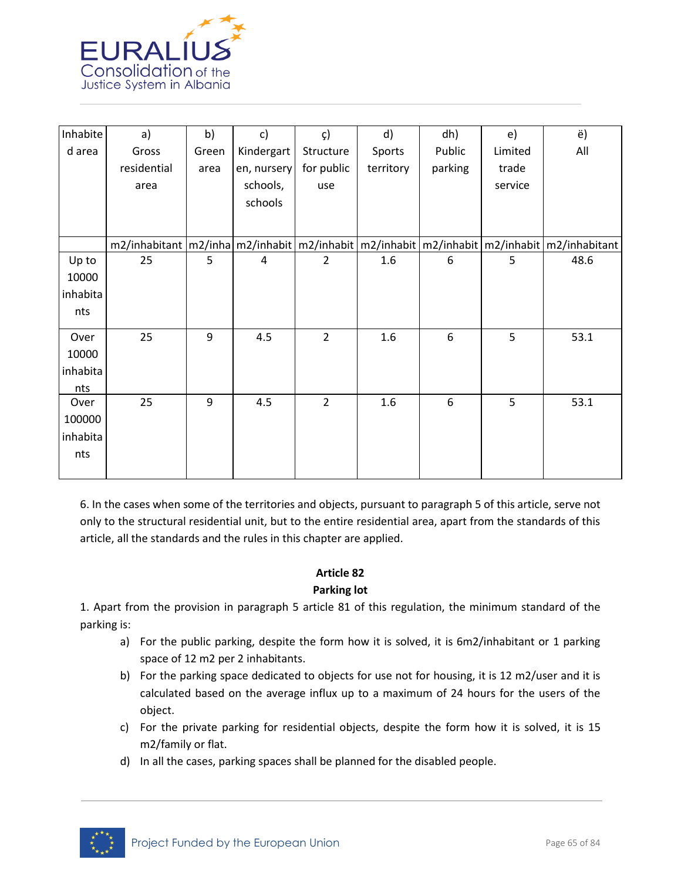

| Inhabite | a)          | b)    | c)             | $\zeta$        | d)        | dh)     | e)      | ë)                                                                                                  |
|----------|-------------|-------|----------------|----------------|-----------|---------|---------|-----------------------------------------------------------------------------------------------------|
| d area   | Gross       | Green | Kindergart     | Structure      | Sports    | Public  | Limited | All                                                                                                 |
|          | residential | area  | en, nursery    | for public     | territory | parking | trade   |                                                                                                     |
|          | area        |       | schools,       | use            |           |         | service |                                                                                                     |
|          |             |       | schools        |                |           |         |         |                                                                                                     |
|          |             |       |                |                |           |         |         |                                                                                                     |
|          |             |       |                |                |           |         |         | $m2/$ inhabitant  m2/inha m2/inhabit  m2/inhabit  m2/inhabit  m2/inhabit  m2/inhabit  m2/inhabitant |
| Up to    | 25          | 5     | $\overline{4}$ | $\overline{2}$ | 1.6       | 6       | 5       | 48.6                                                                                                |
| 10000    |             |       |                |                |           |         |         |                                                                                                     |
| inhabita |             |       |                |                |           |         |         |                                                                                                     |
| nts      |             |       |                |                |           |         |         |                                                                                                     |
| Over     | 25          | 9     | 4.5            | $\overline{2}$ | 1.6       | 6       | 5       | 53.1                                                                                                |
| 10000    |             |       |                |                |           |         |         |                                                                                                     |
| inhabita |             |       |                |                |           |         |         |                                                                                                     |
| nts      |             |       |                |                |           |         |         |                                                                                                     |
| Over     | 25          | 9     | 4.5            | $\overline{2}$ | 1.6       | 6       | 5       | 53.1                                                                                                |
| 100000   |             |       |                |                |           |         |         |                                                                                                     |
| inhabita |             |       |                |                |           |         |         |                                                                                                     |
| nts      |             |       |                |                |           |         |         |                                                                                                     |
|          |             |       |                |                |           |         |         |                                                                                                     |

6. In the cases when some of the territories and objects, pursuant to paragraph 5 of this article, serve not only to the structural residential unit, but to the entire residential area, apart from the standards of this article, all the standards and the rules in this chapter are applied.

#### **Article 82**

# **Parking lot**

1. Apart from the provision in paragraph 5 article 81 of this regulation, the minimum standard of the parking is:

- a) For the public parking, despite the form how it is solved, it is 6m2/inhabitant or 1 parking space of 12 m2 per 2 inhabitants.
- b) For the parking space dedicated to objects for use not for housing, it is 12 m2/user and it is calculated based on the average influx up to a maximum of 24 hours for the users of the object.
- c) For the private parking for residential objects, despite the form how it is solved, it is 15 m2/family or flat.
- d) In all the cases, parking spaces shall be planned for the disabled people.

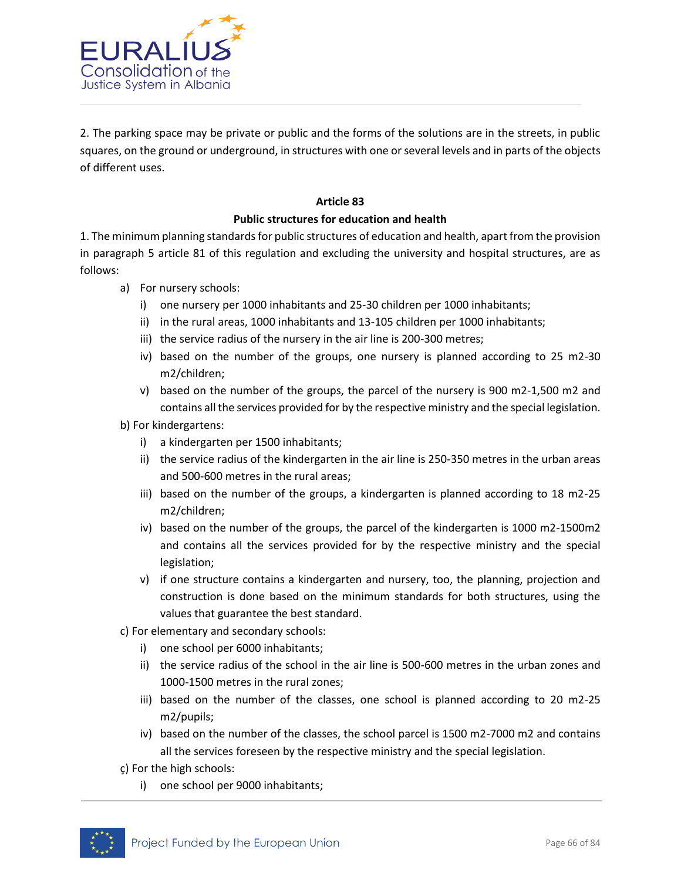

2. The parking space may be private or public and the forms of the solutions are in the streets, in public squares, on the ground or underground, in structures with one or several levels and in parts of the objects of different uses.

## **Article 83**

# **Public structures for education and health**

1. The minimum planning standards for public structures of education and health, apart from the provision in paragraph 5 article 81 of this regulation and excluding the university and hospital structures, are as follows:

- a) For nursery schools:
	- i) one nursery per 1000 inhabitants and 25-30 children per 1000 inhabitants;
	- ii) in the rural areas, 1000 inhabitants and 13-105 children per 1000 inhabitants;
	- iii) the service radius of the nursery in the air line is 200-300 metres;
	- iv) based on the number of the groups, one nursery is planned according to 25 m2-30 m2/children;
	- v) based on the number of the groups, the parcel of the nursery is 900 m2-1,500 m2 and contains all the services provided for by the respective ministry and the special legislation.
- b) For kindergartens:
	- i) a kindergarten per 1500 inhabitants;
	- ii) the service radius of the kindergarten in the air line is 250-350 metres in the urban areas and 500-600 metres in the rural areas;
	- iii) based on the number of the groups, a kindergarten is planned according to 18 m2-25 m2/children;
	- iv) based on the number of the groups, the parcel of the kindergarten is 1000 m2-1500m2 and contains all the services provided for by the respective ministry and the special legislation;
	- v) if one structure contains a kindergarten and nursery, too, the planning, projection and construction is done based on the minimum standards for both structures, using the values that guarantee the best standard.
- c) For elementary and secondary schools:
	- i) one school per 6000 inhabitants;
	- ii) the service radius of the school in the air line is 500-600 metres in the urban zones and 1000-1500 metres in the rural zones;
	- iii) based on the number of the classes, one school is planned according to 20 m2-25 m2/pupils;
	- iv) based on the number of the classes, the school parcel is 1500 m2-7000 m2 and contains all the services foreseen by the respective ministry and the special legislation.
- ç) For the high schools:
	- i) one school per 9000 inhabitants;

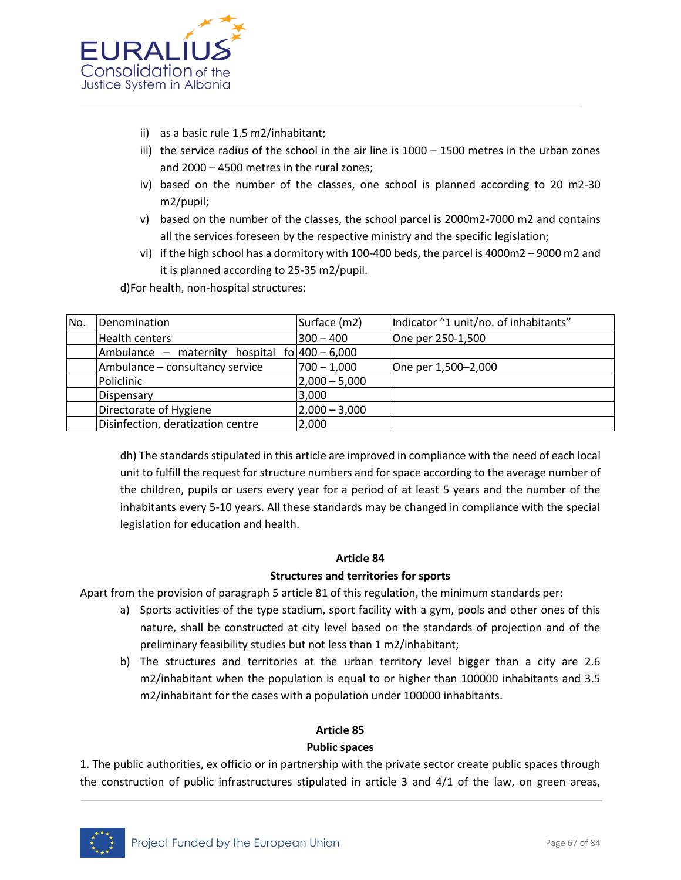

- ii) as a basic rule 1.5 m2/inhabitant;
- iii) the service radius of the school in the air line is  $1000 1500$  metres in the urban zones and 2000 – 4500 metres in the rural zones;
- iv) based on the number of the classes, one school is planned according to 20 m2-30 m2/pupil;
- v) based on the number of the classes, the school parcel is 2000m2-7000 m2 and contains all the services foreseen by the respective ministry and the specific legislation;
- vi) if the high school has a dormitory with 100-400 beds, the parcel is 4000m2 9000 m2 and it is planned according to 25-35 m2/pupil.

d)For health, non-hospital structures:

| No. | Denomination                                     | Surface (m2)    | Indicator "1 unit/no. of inhabitants" |
|-----|--------------------------------------------------|-----------------|---------------------------------------|
|     | <b>Health centers</b>                            | $300 - 400$     | One per 250-1,500                     |
|     | Ambulance – maternity hospital $f_0$ 400 – 6,000 |                 |                                       |
|     | Ambulance - consultancy service                  | $700 - 1,000$   | One per 1,500-2,000                   |
|     | Policlinic                                       | $2,000 - 5,000$ |                                       |
|     | Dispensary                                       | 3,000           |                                       |
|     | Directorate of Hygiene                           | $2,000 - 3,000$ |                                       |
|     | Disinfection, deratization centre                | 2,000           |                                       |

dh) The standards stipulated in this article are improved in compliance with the need of each local unit to fulfill the request for structure numbers and for space according to the average number of the children, pupils or users every year for a period of at least 5 years and the number of the inhabitants every 5-10 years. All these standards may be changed in compliance with the special legislation for education and health.

#### **Article 84**

#### **Structures and territories for sports**

Apart from the provision of paragraph 5 article 81 of this regulation, the minimum standards per:

- a) Sports activities of the type stadium, sport facility with a gym, pools and other ones of this nature, shall be constructed at city level based on the standards of projection and of the preliminary feasibility studies but not less than 1 m2/inhabitant;
- b) The structures and territories at the urban territory level bigger than a city are 2.6 m2/inhabitant when the population is equal to or higher than 100000 inhabitants and 3.5 m2/inhabitant for the cases with a population under 100000 inhabitants.

## **Article 85**

#### **Public spaces**

1. The public authorities, ex officio or in partnership with the private sector create public spaces through the construction of public infrastructures stipulated in article 3 and 4/1 of the law, on green areas,

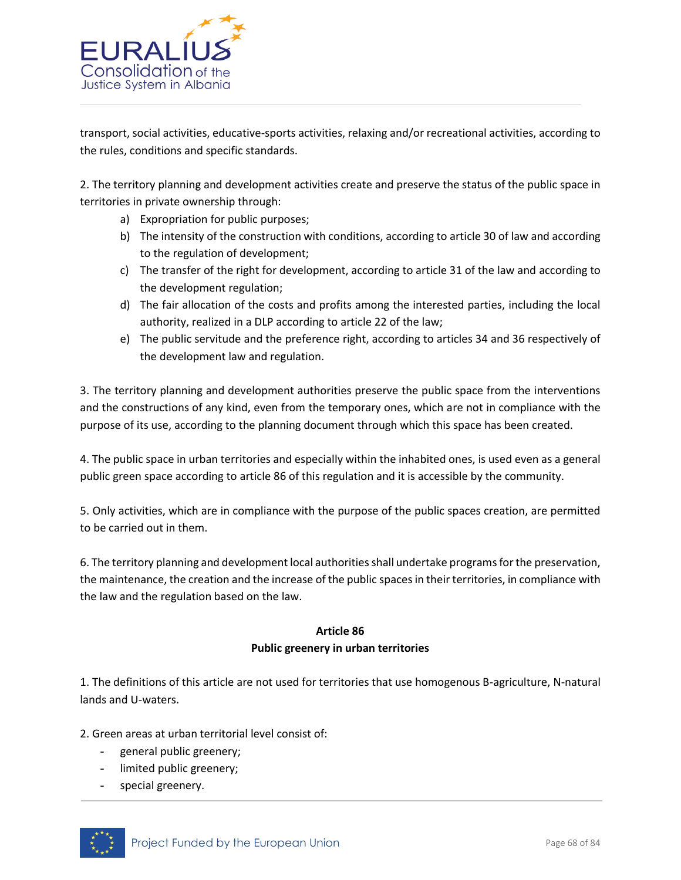

transport, social activities, educative-sports activities, relaxing and/or recreational activities, according to the rules, conditions and specific standards.

2. The territory planning and development activities create and preserve the status of the public space in territories in private ownership through:

- a) Expropriation for public purposes;
- b) The intensity of the construction with conditions, according to article 30 of law and according to the regulation of development;
- c) The transfer of the right for development, according to article 31 of the law and according to the development regulation;
- d) The fair allocation of the costs and profits among the interested parties, including the local authority, realized in a DLP according to article 22 of the law;
- e) The public servitude and the preference right, according to articles 34 and 36 respectively of the development law and regulation.

3. The territory planning and development authorities preserve the public space from the interventions and the constructions of any kind, even from the temporary ones, which are not in compliance with the purpose of its use, according to the planning document through which this space has been created.

4. The public space in urban territories and especially within the inhabited ones, is used even as a general public green space according to article 86 of this regulation and it is accessible by the community.

5. Only activities, which are in compliance with the purpose of the public spaces creation, are permitted to be carried out in them.

6. The territory planning and development local authorities shall undertake programs for the preservation, the maintenance, the creation and the increase of the public spaces in their territories, in compliance with the law and the regulation based on the law.

# **Article 86 Public greenery in urban territories**

1. The definitions of this article are not used for territories that use homogenous B-agriculture, N-natural lands and U-waters.

2. Green areas at urban territorial level consist of:

- general public greenery;
- limited public greenery;
- special greenery.

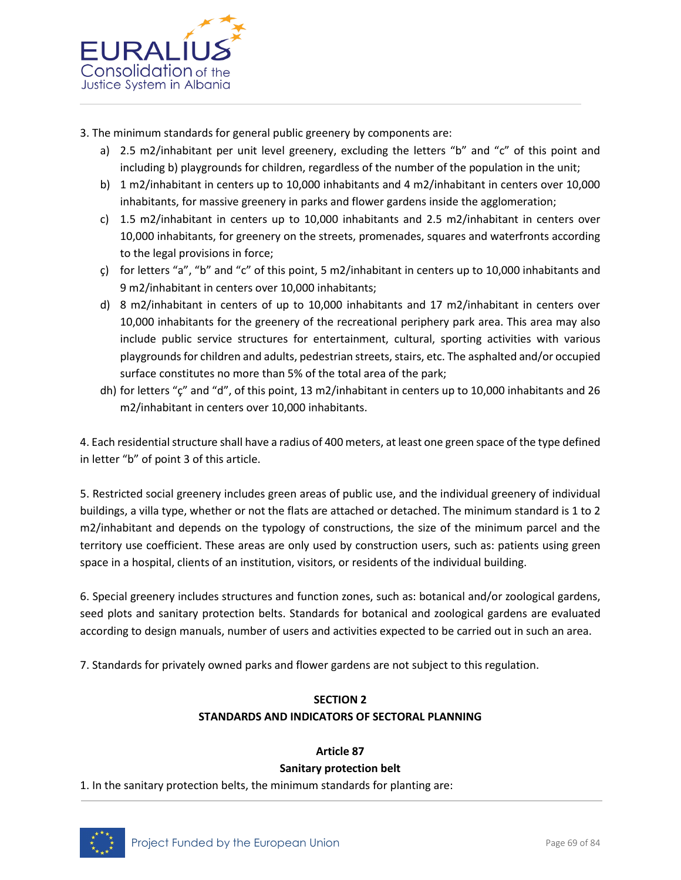

- 3. The minimum standards for general public greenery by components are:
	- a) 2.5 m2/inhabitant per unit level greenery, excluding the letters "b" and "c" of this point and including b) playgrounds for children, regardless of the number of the population in the unit;
	- b) 1 m2/inhabitant in centers up to 10,000 inhabitants and 4 m2/inhabitant in centers over 10,000 inhabitants, for massive greenery in parks and flower gardens inside the agglomeration;
	- c) 1.5 m2/inhabitant in centers up to 10,000 inhabitants and 2.5 m2/inhabitant in centers over 10,000 inhabitants, for greenery on the streets, promenades, squares and waterfronts according to the legal provisions in force;
	- c) for letters "a", "b" and "c" of this point, 5 m2/inhabitant in centers up to 10,000 inhabitants and 9 m2/inhabitant in centers over 10,000 inhabitants;
	- d) 8 m2/inhabitant in centers of up to 10,000 inhabitants and 17 m2/inhabitant in centers over 10,000 inhabitants for the greenery of the recreational periphery park area. This area may also include public service structures for entertainment, cultural, sporting activities with various playgrounds for children and adults, pedestrian streets, stairs, etc. The asphalted and/or occupied surface constitutes no more than 5% of the total area of the park;
	- dh) for letters "ç" and "d", of this point, 13 m2/inhabitant in centers up to 10,000 inhabitants and 26 m2/inhabitant in centers over 10,000 inhabitants.

4. Each residential structure shall have a radius of 400 meters, at least one green space of the type defined in letter "b" of point 3 of this article.

5. Restricted social greenery includes green areas of public use, and the individual greenery of individual buildings, a villa type, whether or not the flats are attached or detached. The minimum standard is 1 to 2 m2/inhabitant and depends on the typology of constructions, the size of the minimum parcel and the territory use coefficient. These areas are only used by construction users, such as: patients using green space in a hospital, clients of an institution, visitors, or residents of the individual building.

6. Special greenery includes structures and function zones, such as: botanical and/or zoological gardens, seed plots and sanitary protection belts. Standards for botanical and zoological gardens are evaluated according to design manuals, number of users and activities expected to be carried out in such an area.

7. Standards for privately owned parks and flower gardens are not subject to this regulation.

# **SECTION 2 STANDARDS AND INDICATORS OF SECTORAL PLANNING**

# **Article 87**

# **Sanitary protection belt**

1. In the sanitary protection belts, the minimum standards for planting are:

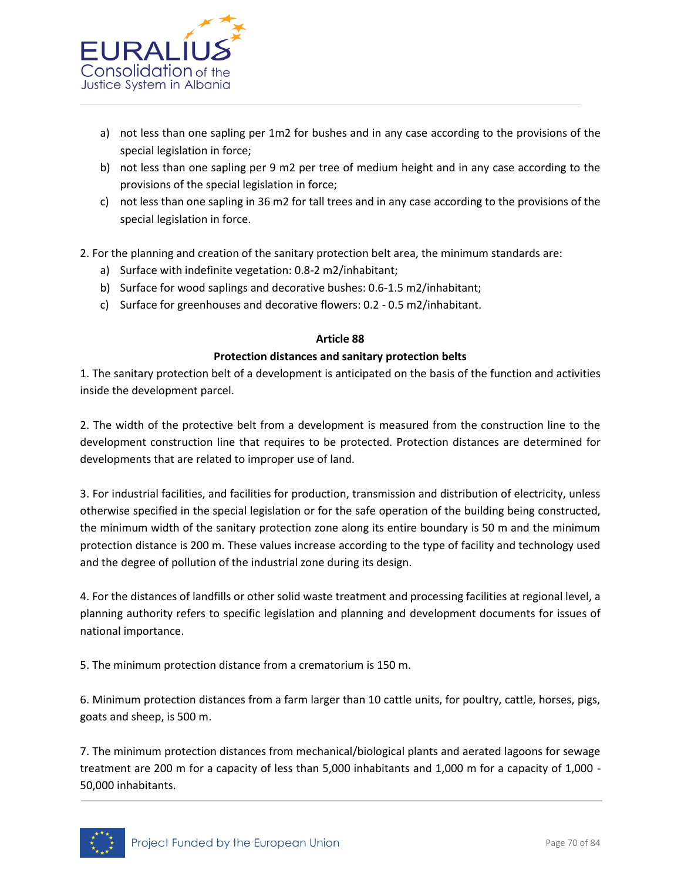

- a) not less than one sapling per 1m2 for bushes and in any case according to the provisions of the special legislation in force;
- b) not less than one sapling per 9 m2 per tree of medium height and in any case according to the provisions of the special legislation in force;
- c) not less than one sapling in 36 m2 for tall trees and in any case according to the provisions of the special legislation in force.

2. For the planning and creation of the sanitary protection belt area, the minimum standards are:

- a) Surface with indefinite vegetation: 0.8-2 m2/inhabitant;
- b) Surface for wood saplings and decorative bushes: 0.6-1.5 m2/inhabitant;
- c) Surface for greenhouses and decorative flowers: 0.2 0.5 m2/inhabitant.

#### **Article 88**

#### **Protection distances and sanitary protection belts**

1. The sanitary protection belt of a development is anticipated on the basis of the function and activities inside the development parcel.

2. The width of the protective belt from a development is measured from the construction line to the development construction line that requires to be protected. Protection distances are determined for developments that are related to improper use of land.

3. For industrial facilities, and facilities for production, transmission and distribution of electricity, unless otherwise specified in the special legislation or for the safe operation of the building being constructed, the minimum width of the sanitary protection zone along its entire boundary is 50 m and the minimum protection distance is 200 m. These values increase according to the type of facility and technology used and the degree of pollution of the industrial zone during its design.

4. For the distances of landfills or other solid waste treatment and processing facilities at regional level, a planning authority refers to specific legislation and planning and development documents for issues of national importance.

5. The minimum protection distance from a crematorium is 150 m.

6. Minimum protection distances from a farm larger than 10 cattle units, for poultry, cattle, horses, pigs, goats and sheep, is 500 m.

7. The minimum protection distances from mechanical/biological plants and aerated lagoons for sewage treatment are 200 m for a capacity of less than 5,000 inhabitants and 1,000 m for a capacity of 1,000 - 50,000 inhabitants.

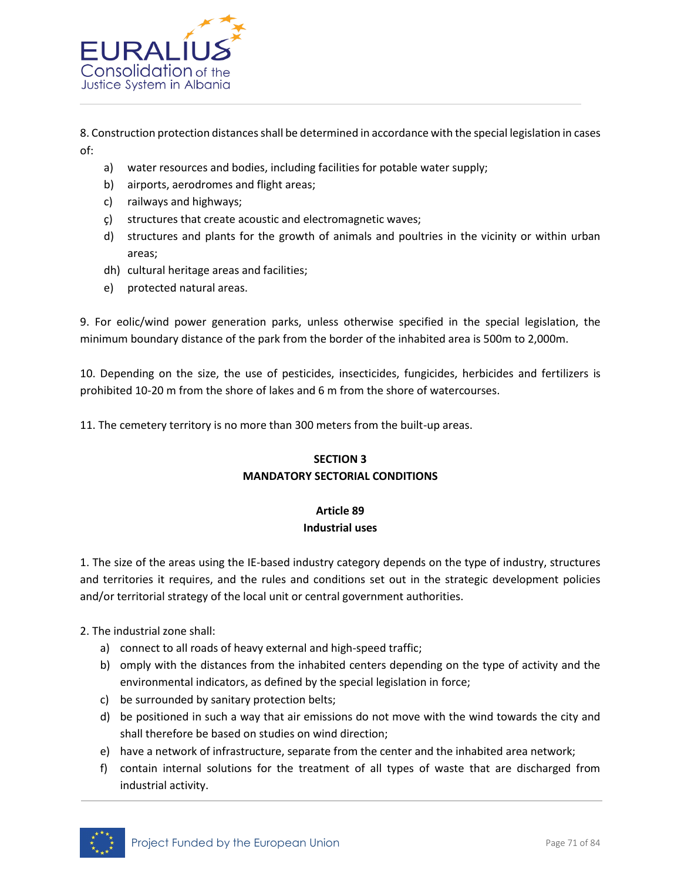

8. Construction protection distances shall be determined in accordance with the special legislation in cases of:

- a) water resources and bodies, including facilities for potable water supply;
- b) airports, aerodromes and flight areas;
- c) railways and highways;
- ç) structures that create acoustic and electromagnetic waves;
- d) structures and plants for the growth of animals and poultries in the vicinity or within urban areas;
- dh) cultural heritage areas and facilities;
- e) protected natural areas.

9. For eolic/wind power generation parks, unless otherwise specified in the special legislation, the minimum boundary distance of the park from the border of the inhabited area is 500m to 2,000m.

10. Depending on the size, the use of pesticides, insecticides, fungicides, herbicides and fertilizers is prohibited 10-20 m from the shore of lakes and 6 m from the shore of watercourses.

11. The cemetery territory is no more than 300 meters from the built-up areas.

# **SECTION 3 MANDATORY SECTORIAL CONDITIONS**

# **Article 89**

# **Industrial uses**

1. The size of the areas using the IE-based industry category depends on the type of industry, structures and territories it requires, and the rules and conditions set out in the strategic development policies and/or territorial strategy of the local unit or central government authorities.

2. The industrial zone shall:

- a) connect to all roads of heavy external and high-speed traffic;
- b) omply with the distances from the inhabited centers depending on the type of activity and the environmental indicators, as defined by the special legislation in force;
- c) be surrounded by sanitary protection belts;
- d) be positioned in such a way that air emissions do not move with the wind towards the city and shall therefore be based on studies on wind direction;
- e) have a network of infrastructure, separate from the center and the inhabited area network;
- f) contain internal solutions for the treatment of all types of waste that are discharged from industrial activity.

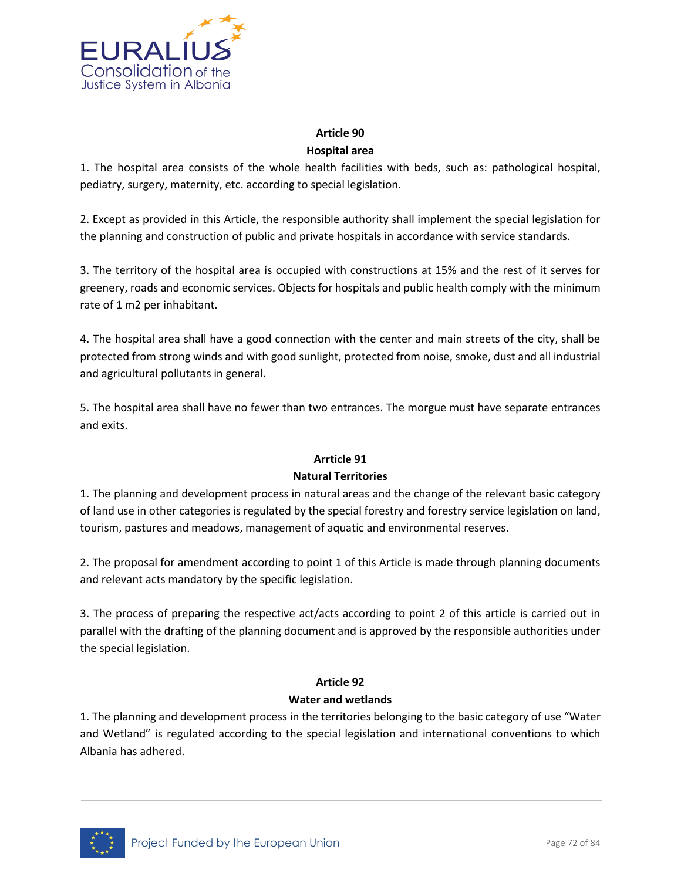

# **Article 90 Hospital area**

1. The hospital area consists of the whole health facilities with beds, such as: pathological hospital, pediatry, surgery, maternity, etc. according to special legislation.

2. Except as provided in this Article, the responsible authority shall implement the special legislation for the planning and construction of public and private hospitals in accordance with service standards.

3. The territory of the hospital area is occupied with constructions at 15% and the rest of it serves for greenery, roads and economic services. Objects for hospitals and public health comply with the minimum rate of 1 m2 per inhabitant.

4. The hospital area shall have a good connection with the center and main streets of the city, shall be protected from strong winds and with good sunlight, protected from noise, smoke, dust and all industrial and agricultural pollutants in general.

5. The hospital area shall have no fewer than two entrances. The morgue must have separate entrances and exits.

# **Arrticle 91**

# **Natural Territories**

1. The planning and development process in natural areas and the change of the relevant basic category of land use in other categories is regulated by the special forestry and forestry service legislation on land, tourism, pastures and meadows, management of aquatic and environmental reserves.

2. The proposal for amendment according to point 1 of this Article is made through planning documents and relevant acts mandatory by the specific legislation.

3. The process of preparing the respective act/acts according to point 2 of this article is carried out in parallel with the drafting of the planning document and is approved by the responsible authorities under the special legislation.

# **Article 92**

# **Water and wetlands**

1. The planning and development process in the territories belonging to the basic category of use "Water and Wetland" is regulated according to the special legislation and international conventions to which Albania has adhered.

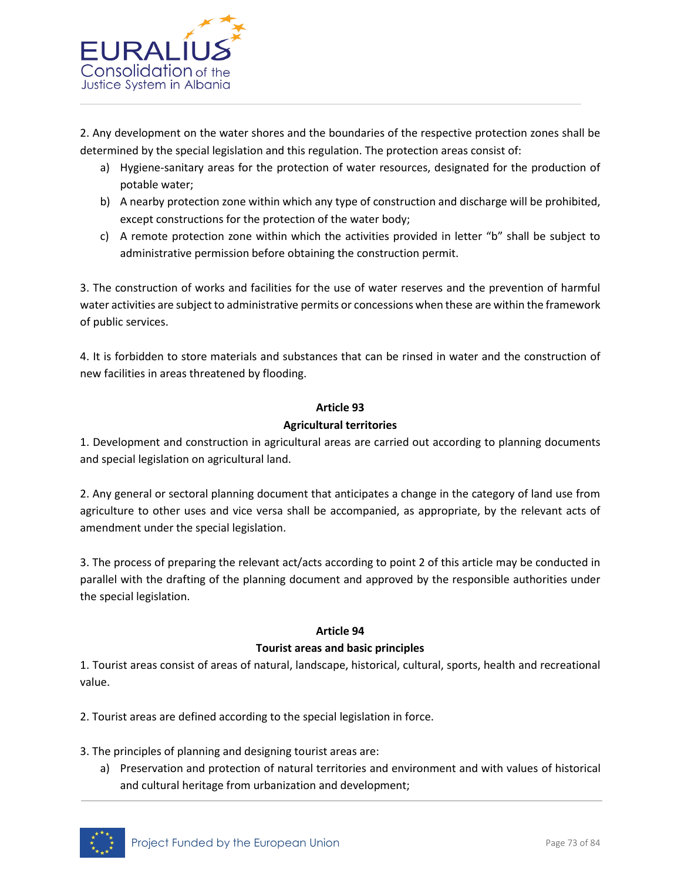

2. Any development on the water shores and the boundaries of the respective protection zones shall be determined by the special legislation and this regulation. The protection areas consist of:

- a) Hygiene-sanitary areas for the protection of water resources, designated for the production of potable water;
- b) A nearby protection zone within which any type of construction and discharge will be prohibited, except constructions for the protection of the water body;
- c) A remote protection zone within which the activities provided in letter "b" shall be subject to administrative permission before obtaining the construction permit.

3. The construction of works and facilities for the use of water reserves and the prevention of harmful water activities are subject to administrative permits or concessions when these are within the framework of public services.

4. It is forbidden to store materials and substances that can be rinsed in water and the construction of new facilities in areas threatened by flooding.

## **Article 93**

## **Agricultural territories**

1. Development and construction in agricultural areas are carried out according to planning documents and special legislation on agricultural land.

2. Any general or sectoral planning document that anticipates a change in the category of land use from agriculture to other uses and vice versa shall be accompanied, as appropriate, by the relevant acts of amendment under the special legislation.

3. The process of preparing the relevant act/acts according to point 2 of this article may be conducted in parallel with the drafting of the planning document and approved by the responsible authorities under the special legislation.

#### **Article 94**

## **Tourist areas and basic principles**

1. Tourist areas consist of areas of natural, landscape, historical, cultural, sports, health and recreational value.

2. Tourist areas are defined according to the special legislation in force.

3. The principles of planning and designing tourist areas are:

a) Preservation and protection of natural territories and environment and with values of historical and cultural heritage from urbanization and development;

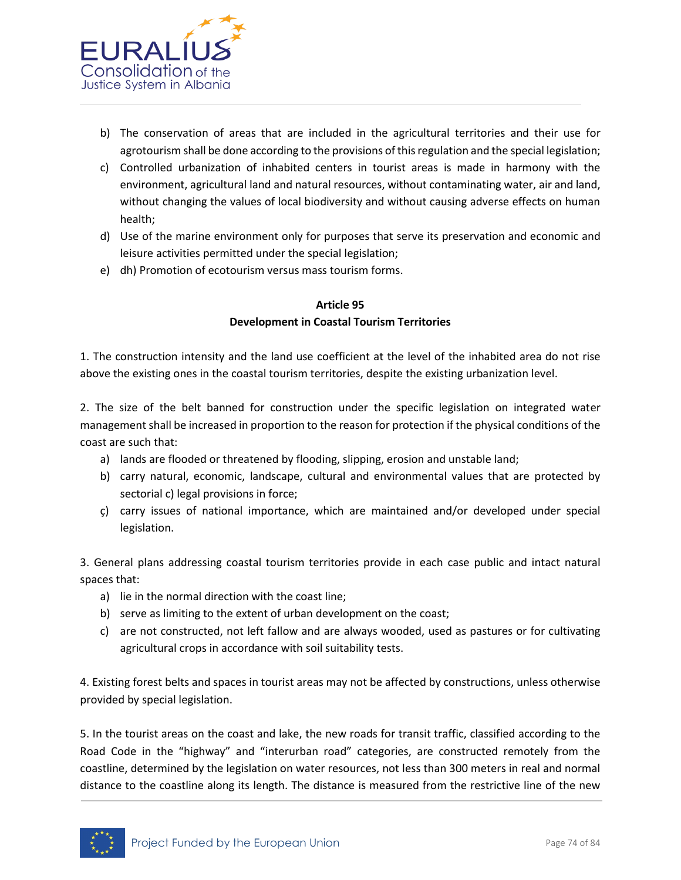

- b) The conservation of areas that are included in the agricultural territories and their use for agrotourism shall be done according to the provisions of this regulation and the special legislation;
- c) Controlled urbanization of inhabited centers in tourist areas is made in harmony with the environment, agricultural land and natural resources, without contaminating water, air and land, without changing the values of local biodiversity and without causing adverse effects on human health;
- d) Use of the marine environment only for purposes that serve its preservation and economic and leisure activities permitted under the special legislation;
- e) dh) Promotion of ecotourism versus mass tourism forms.

# **Article 95 Development in Coastal Tourism Territories**

1. The construction intensity and the land use coefficient at the level of the inhabited area do not rise above the existing ones in the coastal tourism territories, despite the existing urbanization level.

2. The size of the belt banned for construction under the specific legislation on integrated water management shall be increased in proportion to the reason for protection if the physical conditions of the coast are such that:

- a) lands are flooded or threatened by flooding, slipping, erosion and unstable land;
- b) carry natural, economic, landscape, cultural and environmental values that are protected by sectorial c) legal provisions in force;
- ç) carry issues of national importance, which are maintained and/or developed under special legislation.

3. General plans addressing coastal tourism territories provide in each case public and intact natural spaces that:

- a) lie in the normal direction with the coast line;
- b) serve as limiting to the extent of urban development on the coast;
- c) are not constructed, not left fallow and are always wooded, used as pastures or for cultivating agricultural crops in accordance with soil suitability tests.

4. Existing forest belts and spaces in tourist areas may not be affected by constructions, unless otherwise provided by special legislation.

5. In the tourist areas on the coast and lake, the new roads for transit traffic, classified according to the Road Code in the "highway" and "interurban road" categories, are constructed remotely from the coastline, determined by the legislation on water resources, not less than 300 meters in real and normal distance to the coastline along its length. The distance is measured from the restrictive line of the new

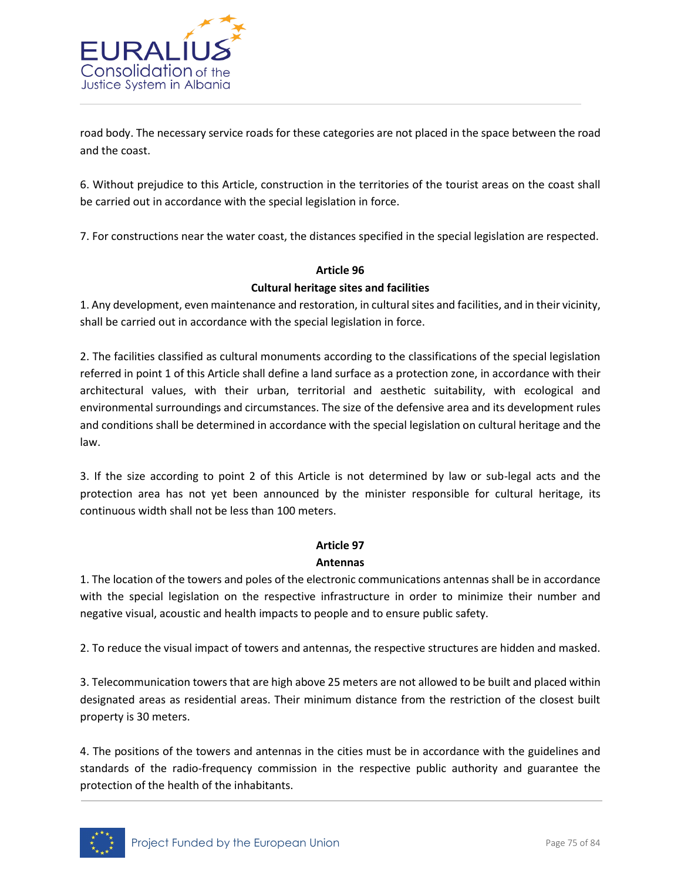

road body. The necessary service roads for these categories are not placed in the space between the road and the coast.

6. Without prejudice to this Article, construction in the territories of the tourist areas on the coast shall be carried out in accordance with the special legislation in force.

7. For constructions near the water coast, the distances specified in the special legislation are respected.

# **Article 96**

## **Cultural heritage sites and facilities**

1. Any development, even maintenance and restoration, in cultural sites and facilities, and in their vicinity, shall be carried out in accordance with the special legislation in force.

2. The facilities classified as cultural monuments according to the classifications of the special legislation referred in point 1 of this Article shall define a land surface as a protection zone, in accordance with their architectural values, with their urban, territorial and aesthetic suitability, with ecological and environmental surroundings and circumstances. The size of the defensive area and its development rules and conditions shall be determined in accordance with the special legislation on cultural heritage and the law.

3. If the size according to point 2 of this Article is not determined by law or sub-legal acts and the protection area has not yet been announced by the minister responsible for cultural heritage, its continuous width shall not be less than 100 meters.

# **Article 97**

#### **Antennas**

1. The location of the towers and poles of the electronic communications antennas shall be in accordance with the special legislation on the respective infrastructure in order to minimize their number and negative visual, acoustic and health impacts to people and to ensure public safety.

2. To reduce the visual impact of towers and antennas, the respective structures are hidden and masked.

3. Telecommunication towers that are high above 25 meters are not allowed to be built and placed within designated areas as residential areas. Their minimum distance from the restriction of the closest built property is 30 meters.

4. The positions of the towers and antennas in the cities must be in accordance with the guidelines and standards of the radio-frequency commission in the respective public authority and guarantee the protection of the health of the inhabitants.

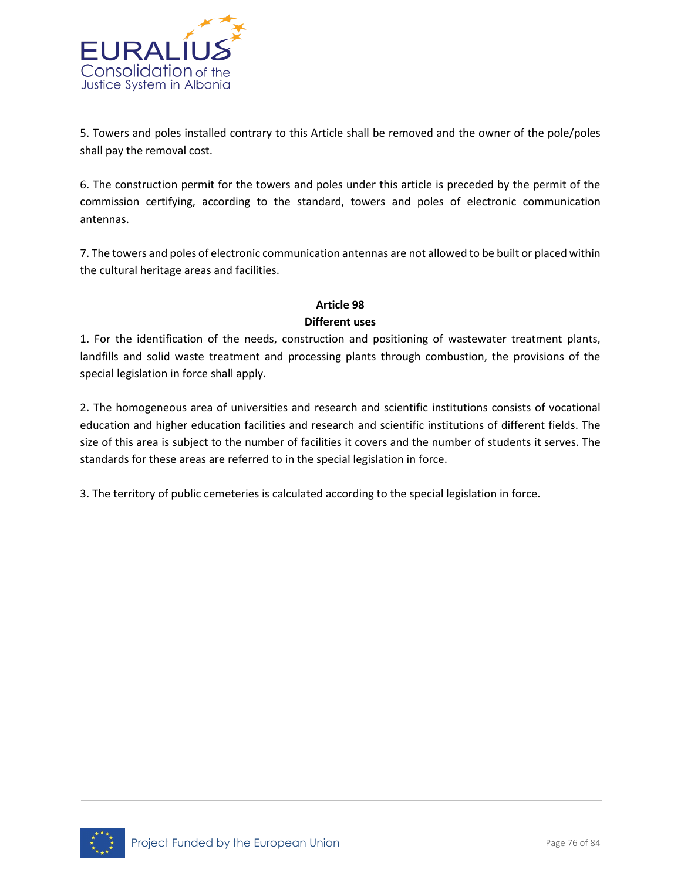

5. Towers and poles installed contrary to this Article shall be removed and the owner of the pole/poles shall pay the removal cost.

6. The construction permit for the towers and poles under this article is preceded by the permit of the commission certifying, according to the standard, towers and poles of electronic communication antennas.

7. The towers and poles of electronic communication antennas are not allowed to be built or placed within the cultural heritage areas and facilities.

# **Article 98 Different uses**

1. For the identification of the needs, construction and positioning of wastewater treatment plants, landfills and solid waste treatment and processing plants through combustion, the provisions of the special legislation in force shall apply.

2. The homogeneous area of universities and research and scientific institutions consists of vocational education and higher education facilities and research and scientific institutions of different fields. The size of this area is subject to the number of facilities it covers and the number of students it serves. The standards for these areas are referred to in the special legislation in force.

3. The territory of public cemeteries is calculated according to the special legislation in force.

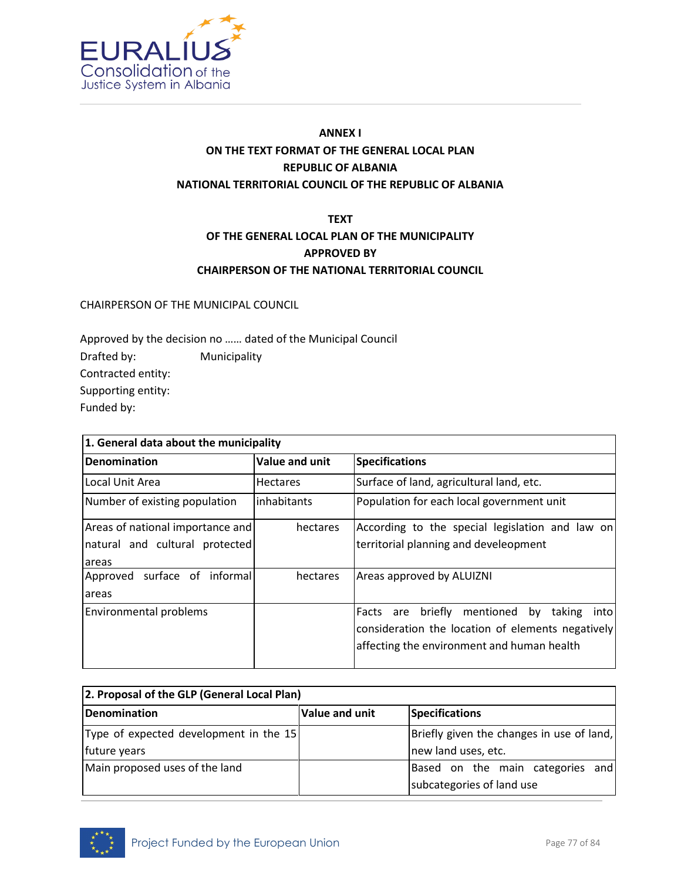

# **ANNEX I ON THE TEXT FORMAT OF THE GENERAL LOCAL PLAN REPUBLIC OF ALBANIA NATIONAL TERRITORIAL COUNCIL OF THE REPUBLIC OF ALBANIA**

# **TEXT OF THE GENERAL LOCAL PLAN OF THE MUNICIPALITY APPROVED BY CHAIRPERSON OF THE NATIONAL TERRITORIAL COUNCIL**

CHAIRPERSON OF THE MUNICIPAL COUNCIL

Approved by the decision no …… dated of the Municipal Council Drafted by: Municipality Contracted entity: Supporting entity: Funded by:

| 1. General data about the municipality                             |                                                                                          |                                                                                                                                                            |  |  |  |  |  |
|--------------------------------------------------------------------|------------------------------------------------------------------------------------------|------------------------------------------------------------------------------------------------------------------------------------------------------------|--|--|--|--|--|
| Denomination                                                       | Value and unit                                                                           | <b>Specifications</b>                                                                                                                                      |  |  |  |  |  |
| Local Unit Area                                                    | <b>Hectares</b>                                                                          | Surface of land, agricultural land, etc.                                                                                                                   |  |  |  |  |  |
| Number of existing population                                      | inhabitants                                                                              | Population for each local government unit                                                                                                                  |  |  |  |  |  |
| Areas of national importance and<br>natural and cultural protected | According to the special legislation and law on<br>territorial planning and develeopment |                                                                                                                                                            |  |  |  |  |  |
| <b>areas</b>                                                       |                                                                                          |                                                                                                                                                            |  |  |  |  |  |
| Approved surface of informal<br>areas                              | hectares                                                                                 | Areas approved by ALUIZNI                                                                                                                                  |  |  |  |  |  |
| Environmental problems                                             |                                                                                          | mentioned by<br>briefly<br>taking<br>Facts are<br>intol<br>consideration the location of elements negatively<br>affecting the environment and human health |  |  |  |  |  |

| 2. Proposal of the GLP (General Local Plan) |                                           |                                  |  |  |  |  |  |
|---------------------------------------------|-------------------------------------------|----------------------------------|--|--|--|--|--|
| Denomination                                | Value and unit                            | Specifications                   |  |  |  |  |  |
| Type of expected development in the 15      | Briefly given the changes in use of land, |                                  |  |  |  |  |  |
| future years                                |                                           | new land uses, etc.              |  |  |  |  |  |
| Main proposed uses of the land              |                                           | Based on the main categories and |  |  |  |  |  |
|                                             |                                           | subcategories of land use        |  |  |  |  |  |

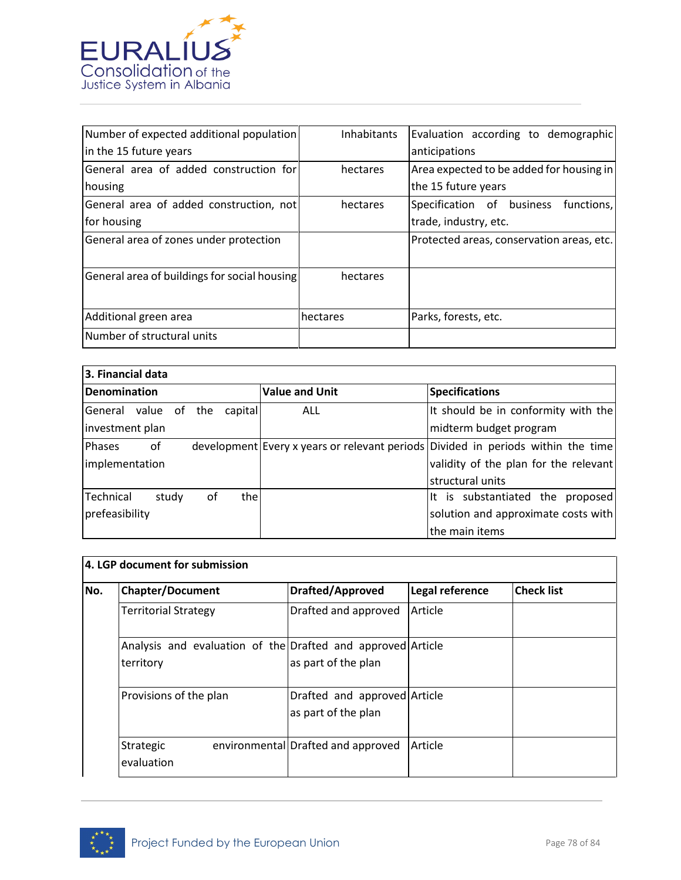

| Number of expected additional population     | <b>Inhabitants</b> | Evaluation according to demographic       |
|----------------------------------------------|--------------------|-------------------------------------------|
| in the 15 future years                       |                    | anticipations                             |
| General area of added construction for       | hectares           | Area expected to be added for housing in  |
| housing                                      |                    | the 15 future years                       |
| General area of added construction, not      | hectares           | Specification of business<br>functions,   |
| for housing                                  |                    | trade, industry, etc.                     |
| General area of zones under protection       |                    | Protected areas, conservation areas, etc. |
| General area of buildings for social housing | hectares           |                                           |
| Additional green area                        | hectares           | Parks, forests, etc.                      |
| Number of structural units                   |                    |                                           |

| 3. Financial data   |                              |  |                                     |      |                       |                                                                                  |  |  |
|---------------------|------------------------------|--|-------------------------------------|------|-----------------------|----------------------------------------------------------------------------------|--|--|
| Denomination        |                              |  |                                     |      | <b>Value and Unit</b> | <b>Specifications</b>                                                            |  |  |
|                     | General value of the capital |  |                                     |      | ALL                   | It should be in conformity with the                                              |  |  |
| investment plan     |                              |  |                                     |      |                       | midterm budget program                                                           |  |  |
| <b>Phases</b><br>0f |                              |  |                                     |      |                       | development Every x years or relevant periods Divided in periods within the time |  |  |
| implementation      |                              |  |                                     |      |                       | validity of the plan for the relevant                                            |  |  |
|                     |                              |  |                                     |      |                       | structural units                                                                 |  |  |
| Technical           | study                        |  | of                                  | thel |                       | It is substantiated the proposed                                                 |  |  |
| prefeasibility      |                              |  | solution and approximate costs with |      |                       |                                                                                  |  |  |
|                     |                              |  |                                     |      |                       | the main items                                                                   |  |  |

| <b>Chapter/Document</b>     | <b>Drafted/Approved</b>                                     | Legal reference | <b>Check list</b> |
|-----------------------------|-------------------------------------------------------------|-----------------|-------------------|
| <b>Territorial Strategy</b> | Drafted and approved                                        | Article         |                   |
|                             | Analysis and evaluation of the Drafted and approved Article |                 |                   |
| territory                   | as part of the plan                                         |                 |                   |
| Provisions of the plan      | Drafted and approved Article                                |                 |                   |
|                             | as part of the plan                                         |                 |                   |
| Strategic                   | environmental Drafted and approved                          | Article         |                   |
| evaluation                  |                                                             |                 |                   |

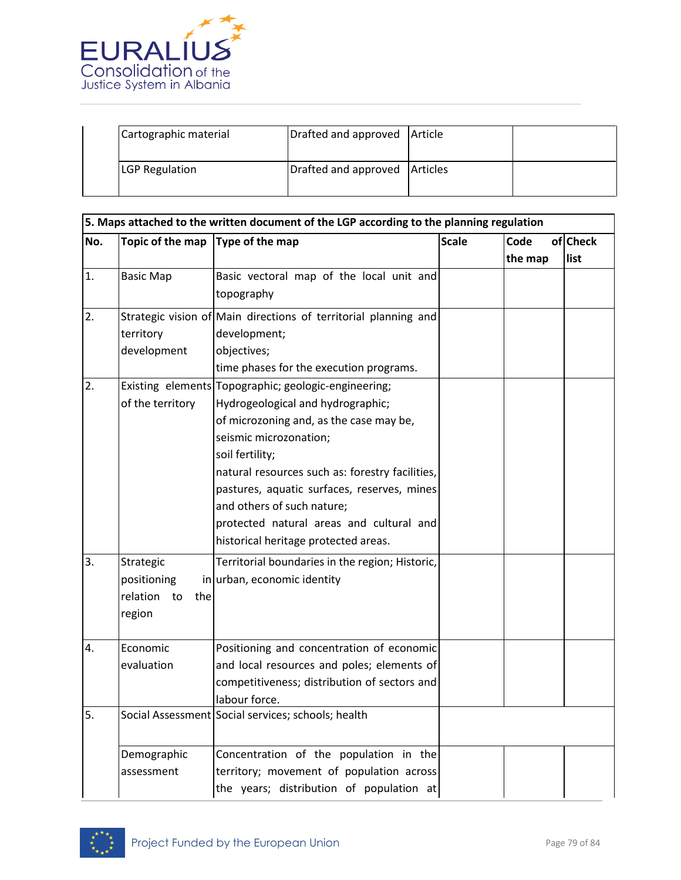

| Cartographic material | Drafted and approved Article    |  |
|-----------------------|---------------------------------|--|
| <b>LGP Regulation</b> | Drafted and approved   Articles |  |

|     |                       | 5. Maps attached to the written document of the LGP according to the planning regulation |              |         |          |
|-----|-----------------------|------------------------------------------------------------------------------------------|--------------|---------|----------|
| No. | Topic of the map      | Type of the map                                                                          | <b>Scale</b> | Code    | of Check |
|     |                       |                                                                                          |              | the map | list     |
| 1.  | <b>Basic Map</b>      | Basic vectoral map of the local unit and                                                 |              |         |          |
|     |                       | topography                                                                               |              |         |          |
| 2.  |                       | Strategic vision of Main directions of territorial planning and                          |              |         |          |
|     | territory             | development;                                                                             |              |         |          |
|     | development           | objectives;                                                                              |              |         |          |
|     |                       | time phases for the execution programs.                                                  |              |         |          |
| 2.  |                       | Existing elements Topographic; geologic-engineering;                                     |              |         |          |
|     | of the territory      | Hydrogeological and hydrographic;                                                        |              |         |          |
|     |                       | of microzoning and, as the case may be,                                                  |              |         |          |
|     |                       | seismic microzonation;                                                                   |              |         |          |
|     |                       | soil fertility;                                                                          |              |         |          |
|     |                       | natural resources such as: forestry facilities,                                          |              |         |          |
|     |                       | pastures, aquatic surfaces, reserves, mines                                              |              |         |          |
|     |                       | and others of such nature;                                                               |              |         |          |
|     |                       | protected natural areas and cultural and                                                 |              |         |          |
|     |                       | historical heritage protected areas.                                                     |              |         |          |
| 3.  | Strategic             | Territorial boundaries in the region; Historic,                                          |              |         |          |
|     | positioning           | in urban, economic identity                                                              |              |         |          |
|     | relation<br>to<br>the |                                                                                          |              |         |          |
|     | region                |                                                                                          |              |         |          |
|     |                       |                                                                                          |              |         |          |
| 4.  | Economic              | Positioning and concentration of economic                                                |              |         |          |
|     | evaluation            | and local resources and poles; elements of                                               |              |         |          |
|     |                       | competitiveness; distribution of sectors and                                             |              |         |          |
|     |                       | labour force.                                                                            |              |         |          |
| 5.  |                       | Social Assessment Social services; schools; health                                       |              |         |          |
|     | Demographic           | Concentration of the population in the                                                   |              |         |          |
|     | assessment            | territory; movement of population across                                                 |              |         |          |
|     |                       | the years; distribution of population at                                                 |              |         |          |

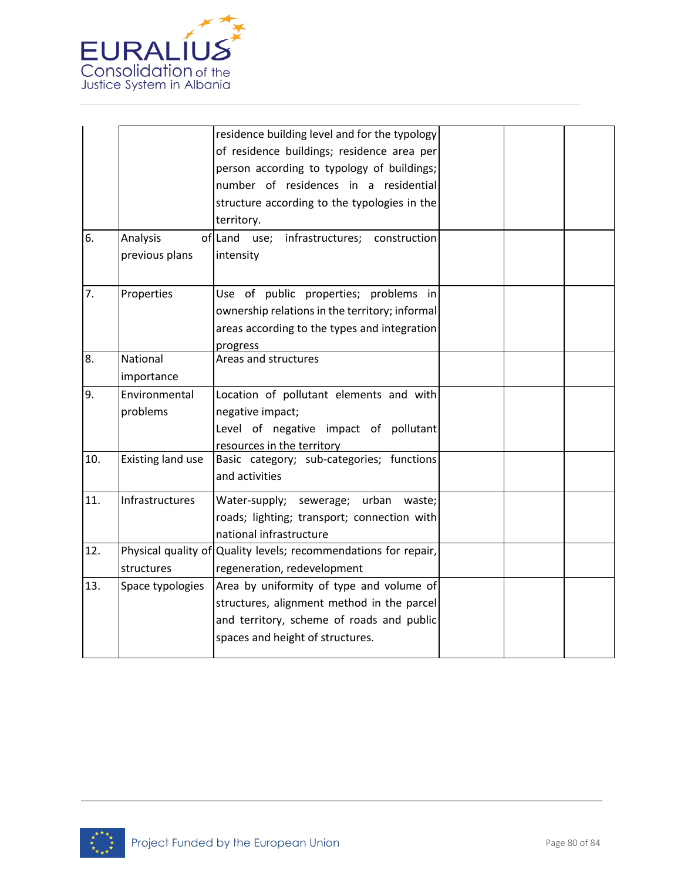

|     |                            | residence building level and for the typology<br>of residence buildings; residence area per<br>person according to typology of buildings;<br>number of residences in a residential<br>structure according to the typologies in the<br>territory. |  |  |
|-----|----------------------------|--------------------------------------------------------------------------------------------------------------------------------------------------------------------------------------------------------------------------------------------------|--|--|
| 6.  | Analysis<br>previous plans | of Land use; infrastructures; construction<br>intensity                                                                                                                                                                                          |  |  |
| 7.  | Properties                 | Use of public properties; problems in<br>ownership relations in the territory; informal<br>areas according to the types and integration<br>progress                                                                                              |  |  |
| 8.  | National<br>importance     | Areas and structures                                                                                                                                                                                                                             |  |  |
| 9.  | Environmental<br>problems  | Location of pollutant elements and with<br>negative impact;<br>Level of negative impact of pollutant<br>resources in the territory                                                                                                               |  |  |
| 10. | <b>Existing land use</b>   | Basic category; sub-categories; functions<br>and activities                                                                                                                                                                                      |  |  |
| 11. | Infrastructures            | Water-supply; sewerage; urban<br>waste;<br>roads; lighting; transport; connection with<br>national infrastructure                                                                                                                                |  |  |
| 12. | structures                 | Physical quality of Quality levels; recommendations for repair,<br>regeneration, redevelopment                                                                                                                                                   |  |  |
| 13. | Space typologies           | Area by uniformity of type and volume of<br>structures, alignment method in the parcel<br>and territory, scheme of roads and public<br>spaces and height of structures.                                                                          |  |  |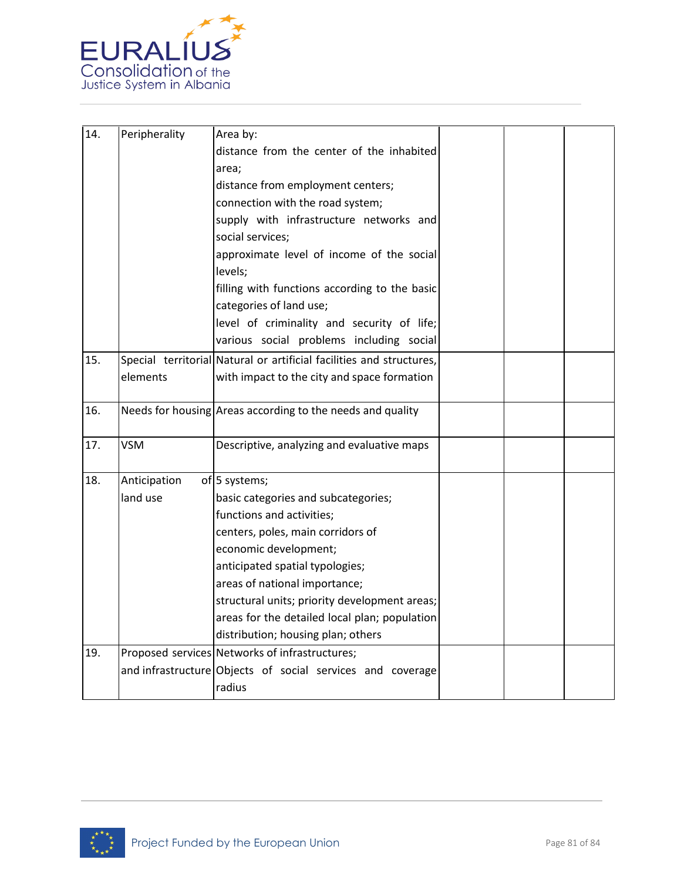

| 14. | Peripherality | Area by:                                                             |  |  |
|-----|---------------|----------------------------------------------------------------------|--|--|
|     |               | distance from the center of the inhabited                            |  |  |
|     |               | area;                                                                |  |  |
|     |               | distance from employment centers;                                    |  |  |
|     |               | connection with the road system;                                     |  |  |
|     |               | supply with infrastructure networks and                              |  |  |
|     |               | social services;                                                     |  |  |
|     |               | approximate level of income of the social                            |  |  |
|     |               | levels;                                                              |  |  |
|     |               | filling with functions according to the basic                        |  |  |
|     |               | categories of land use;                                              |  |  |
|     |               | level of criminality and security of life;                           |  |  |
|     |               | various social problems including social                             |  |  |
| 15. |               | Special territorial Natural or artificial facilities and structures, |  |  |
|     | elements      | with impact to the city and space formation                          |  |  |
|     |               |                                                                      |  |  |
| 16. |               | Needs for housing Areas according to the needs and quality           |  |  |
|     |               |                                                                      |  |  |
| 17. | <b>VSM</b>    | Descriptive, analyzing and evaluative maps                           |  |  |
|     |               |                                                                      |  |  |
| 18. | Anticipation  | of 5 systems;                                                        |  |  |
|     | land use      | basic categories and subcategories;                                  |  |  |
|     |               | functions and activities;                                            |  |  |
|     |               | centers, poles, main corridors of                                    |  |  |
|     |               | economic development;                                                |  |  |
|     |               | anticipated spatial typologies;                                      |  |  |
|     |               | areas of national importance;                                        |  |  |
|     |               | structural units; priority development areas;                        |  |  |
|     |               | areas for the detailed local plan; population                        |  |  |
|     |               | distribution; housing plan; others                                   |  |  |
| 19. |               | Proposed services Networks of infrastructures;                       |  |  |
|     |               | and infrastructure Objects of social services and coverage           |  |  |
|     |               | radius                                                               |  |  |

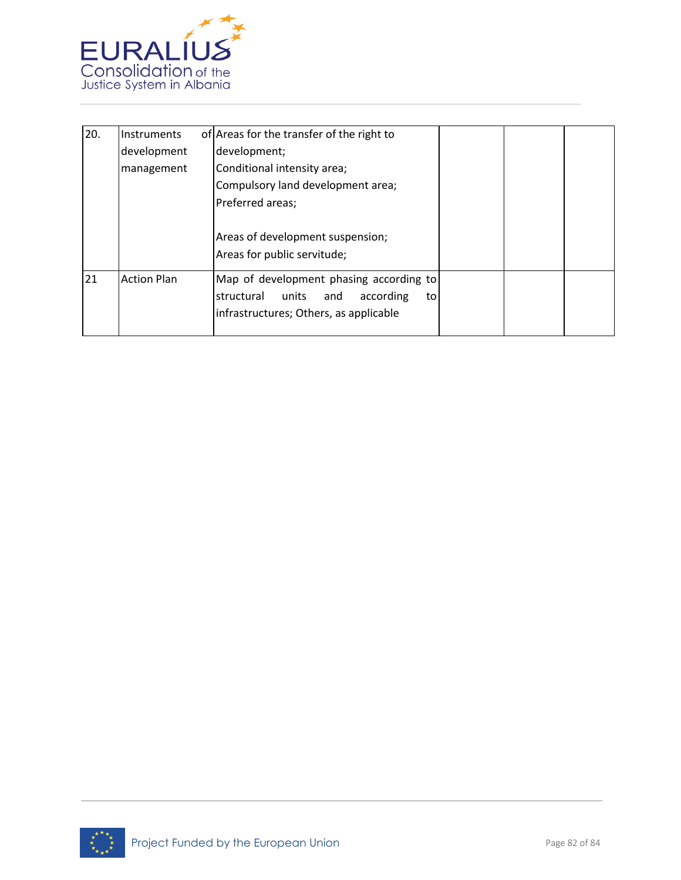

| 20. | Instruments        | of Areas for the transfer of the right to                                                                                       |
|-----|--------------------|---------------------------------------------------------------------------------------------------------------------------------|
|     | development        | development;                                                                                                                    |
|     | management         | Conditional intensity area;                                                                                                     |
|     |                    | Compulsory land development area;                                                                                               |
|     |                    | Preferred areas;                                                                                                                |
|     |                    | Areas of development suspension;<br>Areas for public servitude;                                                                 |
| 21  | <b>Action Plan</b> | Map of development phasing according to<br>structural units<br>according<br>and<br>to<br>infrastructures; Others, as applicable |

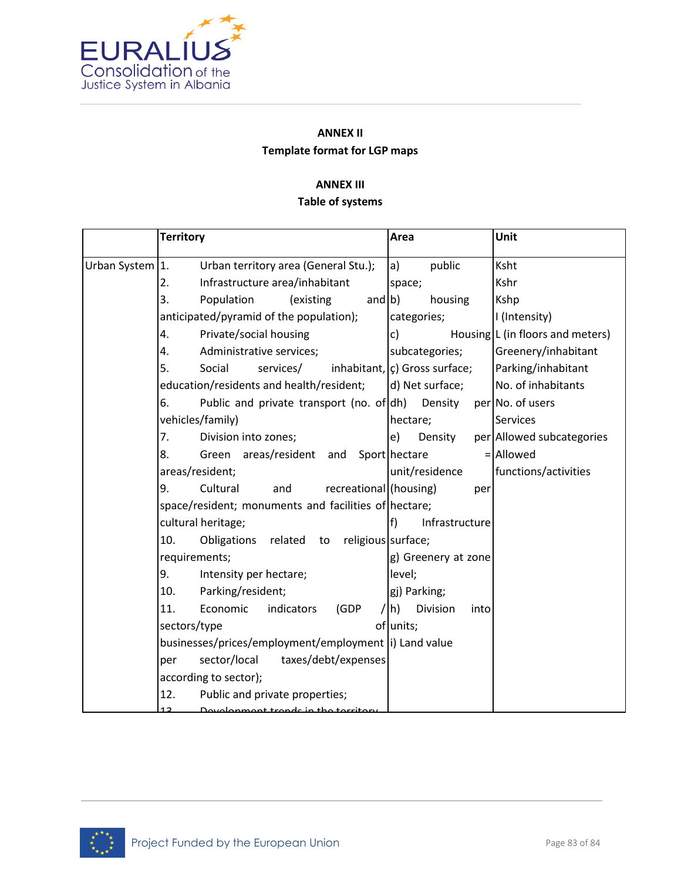

# **ANNEX II Template format for LGP maps**

## **ANNEX III**

## **Table of systems**

|                 | <b>Territory</b> |                                                        |                        |           | Area               |                                              |      | Unit                             |
|-----------------|------------------|--------------------------------------------------------|------------------------|-----------|--------------------|----------------------------------------------|------|----------------------------------|
| Urban System 1. |                  | Urban territory area (General Stu.);                   |                        |           | a)                 | public                                       |      | Ksht                             |
|                 | 2.               | Infrastructure area/inhabitant                         |                        |           | space;             |                                              |      | Kshr                             |
|                 | 3.               | Population                                             | (existing              | and $ b $ |                    | housing                                      |      | Kshp                             |
|                 |                  | anticipated/pyramid of the population);                |                        |           |                    | categories;                                  |      | I (Intensity)                    |
|                 | 4.               | Private/social housing                                 |                        |           | c)                 |                                              |      | Housing L (in floors and meters) |
|                 | 4.               | Administrative services;                               |                        |           |                    | subcategories;                               |      | Greenery/inhabitant              |
|                 | 5.               | Social<br>services/                                    |                        |           |                    | inhabitant, $\vert c \rangle$ Gross surface; |      | Parking/inhabitant               |
|                 |                  | education/residents and health/resident;               |                        |           |                    | d) Net surface;                              |      | No. of inhabitants               |
|                 | 6.               | Public and private transport (no. of dh)               |                        |           |                    | Density                                      |      | per No. of users                 |
|                 |                  | vehicles/family)                                       |                        |           | hectare;           |                                              |      | <b>Services</b>                  |
|                 | 7.               | Division into zones;                                   |                        |           | e)                 | Density                                      |      | per Allowed subcategories        |
|                 | 8.               | Green areas/resident and                               |                        |           | Sport hectare      |                                              |      | $=$ Allowed                      |
|                 |                  | areas/resident;                                        |                        |           |                    | unit/residence                               |      | functions/activities             |
|                 | 9.               | Cultural<br>and                                        | recreational (housing) |           |                    |                                              | per  |                                  |
|                 |                  | space/resident; monuments and facilities of hectare;   |                        |           |                    |                                              |      |                                  |
|                 |                  | cultural heritage;                                     |                        |           | f)                 | Infrastructure                               |      |                                  |
|                 | 10.              | Obligations related                                    | to                     |           | religious surface; |                                              |      |                                  |
|                 | requirements;    |                                                        |                        |           |                    | g) Greenery at zone                          |      |                                  |
|                 | 9.               | Intensity per hectare;                                 |                        |           | level;             |                                              |      |                                  |
|                 | 10.              | Parking/resident;                                      |                        |           |                    | gj) Parking;                                 |      |                                  |
|                 | 11.              | Economic                                               | indicators<br>(GDP     |           | $ h\rangle$        | Division                                     | into |                                  |
|                 | sectors/type     |                                                        |                        |           | of units;          |                                              |      |                                  |
|                 |                  | businesses/prices/employment/employment  i) Land value |                        |           |                    |                                              |      |                                  |
|                 | per              | sector/local                                           | taxes/debt/expenses    |           |                    |                                              |      |                                  |
|                 |                  | according to sector);                                  |                        |           |                    |                                              |      |                                  |
|                 | 12.              | Public and private properties;                         |                        |           |                    |                                              |      |                                  |
|                 |                  | Dovelopment trands in the territory                    |                        |           |                    |                                              |      |                                  |